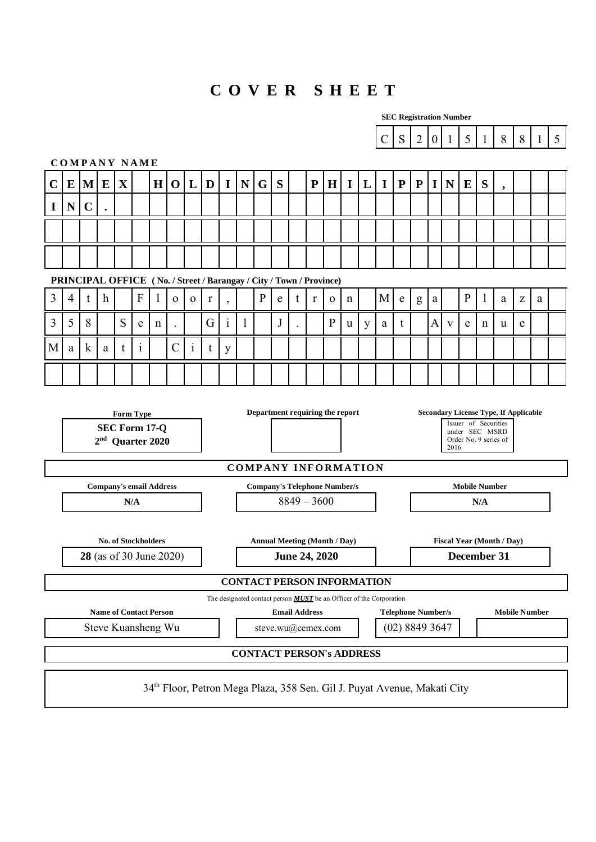# **C O V E R S H E E T**

|                                                                                                                                                                                                                                    | <b>SEC Registration Number</b> |             |              |   |                                |         |               |              |   |              |           |              |                                                                     |                                                                                      |                      |              |             |   |                                                                            |             |                                             |                  |              |                      |              |                                  |   |              |                |
|------------------------------------------------------------------------------------------------------------------------------------------------------------------------------------------------------------------------------------|--------------------------------|-------------|--------------|---|--------------------------------|---------|---------------|--------------|---|--------------|-----------|--------------|---------------------------------------------------------------------|--------------------------------------------------------------------------------------|----------------------|--------------|-------------|---|----------------------------------------------------------------------------|-------------|---------------------------------------------|------------------|--------------|----------------------|--------------|----------------------------------|---|--------------|----------------|
|                                                                                                                                                                                                                                    |                                |             |              |   |                                |         |               |              |   |              |           |              |                                                                     |                                                                                      |                      |              |             |   | $\mathcal{C}$                                                              | ${\bf S}$   | $\overline{2}$                              | $\boldsymbol{0}$ | $\mathbf{1}$ | 5                    | $\mathbf{1}$ | 8                                | 8 | $\mathbf{1}$ | 5 <sup>5</sup> |
|                                                                                                                                                                                                                                    |                                |             |              |   | <b>COMPANY NAME</b>            |         |               |              |   |              |           |              |                                                                     |                                                                                      |                      |              |             |   |                                                                            |             |                                             |                  |              |                      |              |                                  |   |              |                |
| $\mathbf C$                                                                                                                                                                                                                        | E                              | M           | E            | X |                                | $\bf H$ | $\mathbf 0$   | L            | D | $\mathbf I$  | ${\bf N}$ | G            | S                                                                   |                                                                                      | ${\bf P}$            | H            | I           | L | $\mathbf I$                                                                | ${\bf P}$   | ${\bf P}$                                   | I                | N            | ${\bf E}$            | S            | $\overline{\phantom{a}}$         |   |              |                |
| I                                                                                                                                                                                                                                  | N                              | $\mathbf C$ |              |   |                                |         |               |              |   |              |           |              |                                                                     |                                                                                      |                      |              |             |   |                                                                            |             |                                             |                  |              |                      |              |                                  |   |              |                |
|                                                                                                                                                                                                                                    |                                |             |              |   |                                |         |               |              |   |              |           |              |                                                                     |                                                                                      |                      |              |             |   |                                                                            |             |                                             |                  |              |                      |              |                                  |   |              |                |
|                                                                                                                                                                                                                                    |                                |             |              |   |                                |         |               |              |   |              |           |              |                                                                     |                                                                                      |                      |              |             |   |                                                                            |             |                                             |                  |              |                      |              |                                  |   |              |                |
|                                                                                                                                                                                                                                    |                                |             |              |   |                                |         |               |              |   |              |           |              |                                                                     |                                                                                      |                      |              |             |   |                                                                            |             |                                             |                  |              |                      |              |                                  |   |              |                |
| 3                                                                                                                                                                                                                                  | 4                              |             |              |   | F                              |         |               |              |   |              |           | $\mathbf{P}$ | PRINCIPAL OFFICE (No. / Street / Barangay / City / Town / Province) |                                                                                      |                      |              |             |   | M                                                                          |             |                                             |                  |              | $\mathbf{P}$         |              |                                  |   |              |                |
|                                                                                                                                                                                                                                    |                                | t           | $\mathbf{h}$ |   |                                | 1       | $\mathbf{O}$  | $\mathbf{O}$ | r | $\cdot$      |           |              | e                                                                   | t                                                                                    | r                    | $\mathbf{o}$ | $\mathbf n$ |   |                                                                            | $\mathbf e$ | g                                           | a                |              |                      | 1            | a                                | Z | a            |                |
| 3                                                                                                                                                                                                                                  | 5                              | 8           |              | S | e                              | n       |               |              | G | $\mathbf{i}$ | 1         |              | J                                                                   |                                                                                      |                      | $\mathbf{P}$ | u           | y | a                                                                          | t           |                                             | A                | V            | e                    | n            | u                                | e |              |                |
| M                                                                                                                                                                                                                                  | a                              | $\mathbf k$ | a            | t | $\mathbf{1}$                   |         | $\mathcal{C}$ | $\mathbf{i}$ | t | y            |           |              |                                                                     |                                                                                      |                      |              |             |   |                                                                            |             |                                             |                  |              |                      |              |                                  |   |              |                |
|                                                                                                                                                                                                                                    |                                |             |              |   |                                |         |               |              |   |              |           |              |                                                                     |                                                                                      |                      |              |             |   |                                                                            |             |                                             |                  |              |                      |              |                                  |   |              |                |
| Department requiring the report<br><b>Secondary License Type, If Applicable</b><br><b>Form Type</b><br>Issuer of Securities<br>SEC Form 17-Q<br>under SEC MSRD<br>2 <sup>nd</sup><br>Order No. 9 series of<br>Quarter 2020<br>2016 |                                |             |              |   |                                |         |               |              |   |              |           |              |                                                                     |                                                                                      |                      |              |             |   |                                                                            |             |                                             |                  |              |                      |              |                                  |   |              |                |
|                                                                                                                                                                                                                                    |                                |             |              |   |                                |         |               |              |   |              |           |              | <b>COMPANY INFORMATION</b>                                          |                                                                                      |                      |              |             |   |                                                                            |             |                                             |                  |              |                      |              |                                  |   |              |                |
|                                                                                                                                                                                                                                    |                                |             |              |   | <b>Company's email Address</b> |         |               |              |   |              |           |              | <b>Company's Telephone Number/s</b>                                 |                                                                                      |                      |              |             |   |                                                                            |             |                                             |                  |              | <b>Mobile Number</b> |              |                                  |   |              |                |
|                                                                                                                                                                                                                                    |                                |             |              |   | $\mathbf{N}/\mathbf{A}$        |         |               |              |   |              |           |              |                                                                     |                                                                                      | $8849 - 3600$        |              |             |   |                                                                            |             |                                             |                  |              |                      | N/A          |                                  |   |              |                |
|                                                                                                                                                                                                                                    |                                |             |              |   | <b>No. of Stockholders</b>     |         |               |              |   |              |           |              | <b>Annual Meeting (Month / Day)</b>                                 |                                                                                      |                      |              |             |   |                                                                            |             |                                             |                  |              |                      |              | <b>Fiscal Year (Month / Day)</b> |   |              |                |
|                                                                                                                                                                                                                                    |                                |             |              |   | <b>28</b> (as of 30 June 2020) |         |               |              |   |              |           |              |                                                                     |                                                                                      | <b>June 24, 2020</b> |              |             |   |                                                                            |             |                                             |                  |              | December 31          |              |                                  |   |              |                |
|                                                                                                                                                                                                                                    |                                |             |              |   |                                |         |               |              |   |              |           |              | <b>CONTACT PERSON INFORMATION</b>                                   |                                                                                      |                      |              |             |   |                                                                            |             |                                             |                  |              |                      |              |                                  |   |              |                |
|                                                                                                                                                                                                                                    |                                |             |              |   |                                |         |               |              |   |              |           |              |                                                                     |                                                                                      |                      |              |             |   | The designated contact person <b>MUST</b> be an Officer of the Corporation |             |                                             |                  |              |                      |              |                                  |   |              |                |
|                                                                                                                                                                                                                                    |                                |             |              |   | <b>Name of Contact Person</b>  |         |               |              |   |              |           |              |                                                                     |                                                                                      | <b>Email Address</b> |              |             |   |                                                                            |             | <b>Telephone Number/s</b><br>(02) 8849 3647 |                  |              |                      |              | <b>Mobile Number</b>             |   |              |                |
|                                                                                                                                                                                                                                    |                                |             |              |   | Steve Kuansheng Wu             |         |               |              |   |              |           |              | steve.wu@cemex.com                                                  |                                                                                      |                      |              |             |   |                                                                            |             |                                             |                  |              |                      |              |                                  |   |              |                |
|                                                                                                                                                                                                                                    |                                |             |              |   |                                |         |               |              |   |              |           |              | <b>CONTACT PERSON's ADDRESS</b>                                     |                                                                                      |                      |              |             |   |                                                                            |             |                                             |                  |              |                      |              |                                  |   |              |                |
|                                                                                                                                                                                                                                    |                                |             |              |   |                                |         |               |              |   |              |           |              |                                                                     | 34 <sup>th</sup> Floor, Petron Mega Plaza, 358 Sen. Gil J. Puyat Avenue, Makati City |                      |              |             |   |                                                                            |             |                                             |                  |              |                      |              |                                  |   |              |                |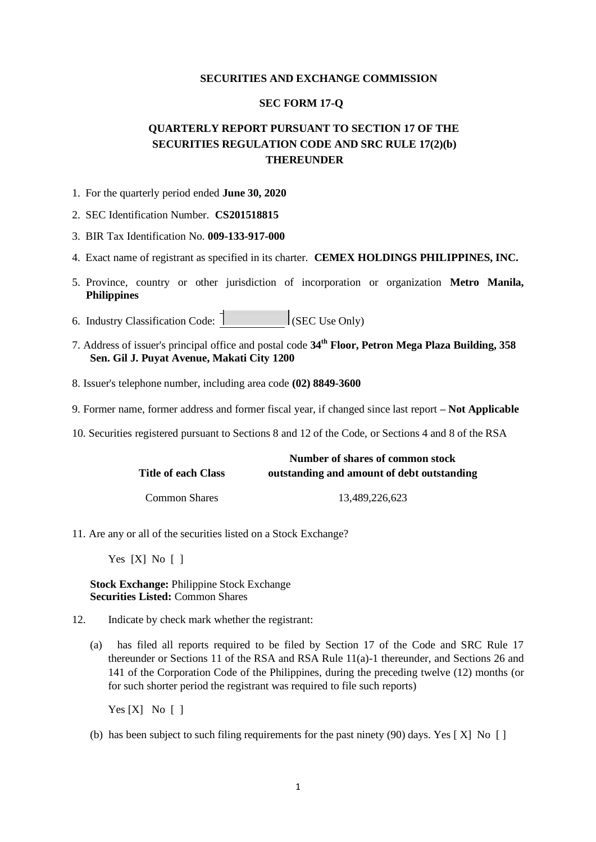### **SECURITIES AND EXCHANGE COMMISSION**

# **SEC FORM 17-Q**

# **QUARTERLY REPORT PURSUANT TO SECTION 17 OF THE SECURITIES REGULATION CODE AND SRC RULE 17(2)(b) THEREUNDER**

- 1. For the quarterly period ended **June 30, 2020**
- 2. SEC Identification Number. **CS201518815**
- 3. BIR Tax Identification No. **009-133-917-000**
- 4. Exact name of registrant as specified in its charter. **CEMEX HOLDINGS PHILIPPINES, INC.**
- 5. Province, country or other jurisdiction of incorporation or organization **Metro Manila, Philippines**
- 6. Industry Classification Code:  $\begin{bmatrix} 1 & 1 \end{bmatrix}$  (SEC Use Only)
- 7. Address of issuer's principal office and postal code **34th Floor, Petron Mega Plaza Building, 358 Sen. Gil J. Puyat Avenue, Makati City 1200**
- 8. Issuer's telephone number, including area code **(02) 8849-3600**
- 9. Former name, former address and former fiscal year, if changed since last report **– Not Applicable**
- 10. Securities registered pursuant to Sections 8 and 12 of the Code, or Sections 4 and 8 of the RSA

|                      | Number of shares of common stock           |  |  |  |  |
|----------------------|--------------------------------------------|--|--|--|--|
| Title of each Class  | outstanding and amount of debt outstanding |  |  |  |  |
| <b>Common Shares</b> | 13.489.226.623                             |  |  |  |  |

11. Are any or all of the securities listed on a Stock Exchange?

Yes [X] No [ ]

# **Stock Exchange:** Philippine Stock Exchange **Securities Listed:** Common Shares

- 12. Indicate by check mark whether the registrant:
	- (a) has filed all reports required to be filed by Section 17 of the Code and SRC Rule 17 thereunder or Sections 11 of the RSA and RSA Rule 11(a)-1 thereunder, and Sections 26 and 141 of the Corporation Code of the Philippines, during the preceding twelve (12) months (or for such shorter period the registrant was required to file such reports)

Yes [X] No [ ]

(b) has been subject to such filing requirements for the past ninety (90) days. Yes [ X] No [ ]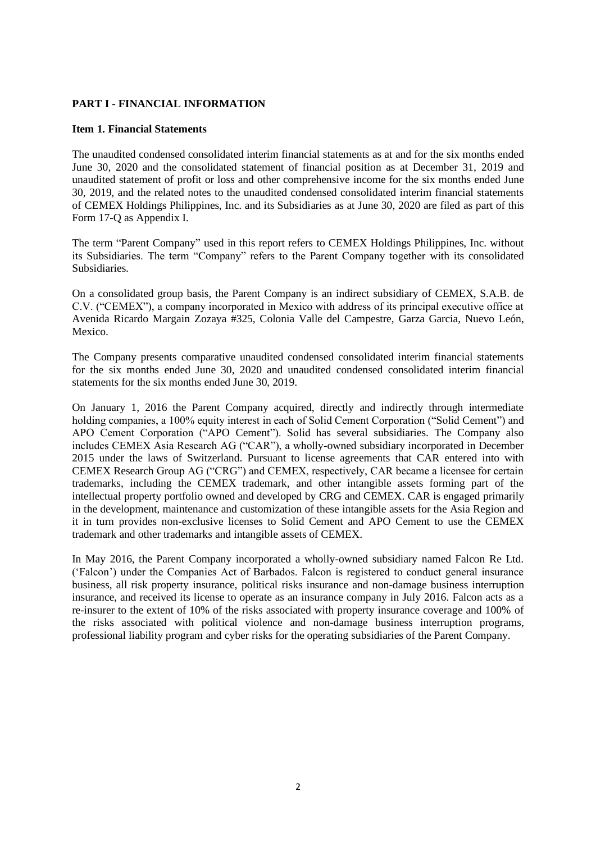# **PART I - FINANCIAL INFORMATION**

### **Item 1. Financial Statements**

The unaudited condensed consolidated interim financial statements as at and for the six months ended June 30, 2020 and the consolidated statement of financial position as at December 31, 2019 and unaudited statement of profit or loss and other comprehensive income for the six months ended June 30, 2019, and the related notes to the unaudited condensed consolidated interim financial statements of CEMEX Holdings Philippines, Inc. and its Subsidiaries as at June 30, 2020 are filed as part of this Form 17-Q as Appendix I.

The term "Parent Company" used in this report refers to CEMEX Holdings Philippines, Inc. without its Subsidiaries. The term "Company" refers to the Parent Company together with its consolidated Subsidiaries.

On a consolidated group basis, the Parent Company is an indirect subsidiary of CEMEX, S.A.B. de C.V. ("CEMEX"), a company incorporated in Mexico with address of its principal executive office at Avenida Ricardo Margain Zozaya #325, Colonia Valle del Campestre, Garza Garcia, Nuevo León, Mexico.

The Company presents comparative unaudited condensed consolidated interim financial statements for the six months ended June 30, 2020 and unaudited condensed consolidated interim financial statements for the six months ended June 30, 2019.

On January 1, 2016 the Parent Company acquired, directly and indirectly through intermediate holding companies, a 100% equity interest in each of Solid Cement Corporation ("Solid Cement") and APO Cement Corporation ("APO Cement"). Solid has several subsidiaries. The Company also includes CEMEX Asia Research AG ("CAR"), a wholly-owned subsidiary incorporated in December 2015 under the laws of Switzerland. Pursuant to license agreements that CAR entered into with CEMEX Research Group AG ("CRG") and CEMEX, respectively, CAR became a licensee for certain trademarks, including the CEMEX trademark, and other intangible assets forming part of the intellectual property portfolio owned and developed by CRG and CEMEX. CAR is engaged primarily in the development, maintenance and customization of these intangible assets for the Asia Region and it in turn provides non-exclusive licenses to Solid Cement and APO Cement to use the CEMEX trademark and other trademarks and intangible assets of CEMEX.

In May 2016, the Parent Company incorporated a wholly-owned subsidiary named Falcon Re Ltd. ('Falcon') under the Companies Act of Barbados. Falcon is registered to conduct general insurance business, all risk property insurance, political risks insurance and non-damage business interruption insurance, and received its license to operate as an insurance company in July 2016. Falcon acts as a re-insurer to the extent of 10% of the risks associated with property insurance coverage and 100% of the risks associated with political violence and non-damage business interruption programs, professional liability program and cyber risks for the operating subsidiaries of the Parent Company.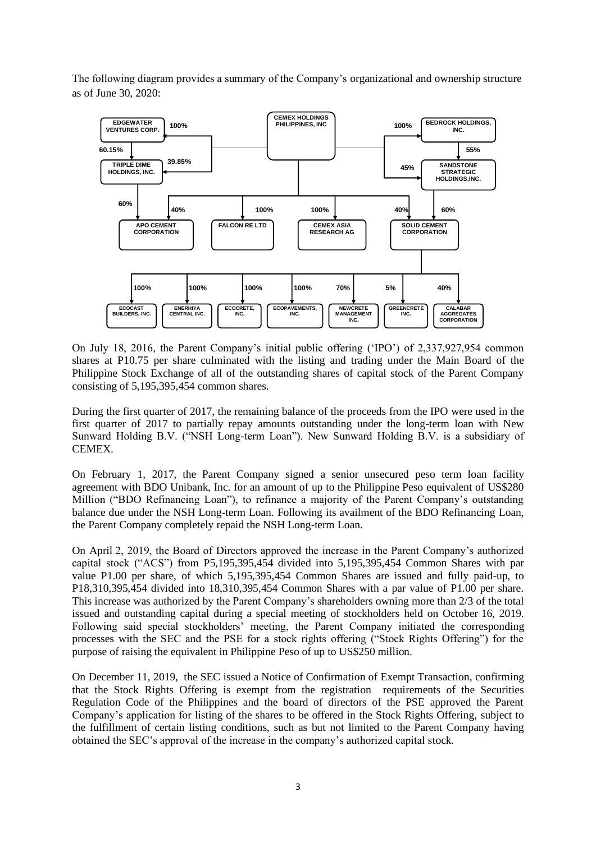The following diagram provides a summary of the Company's organizational and ownership structure as of June 30, 2020:



On July 18, 2016, the Parent Company's initial public offering ('IPO') of 2,337,927,954 common shares at P10.75 per share culminated with the listing and trading under the Main Board of the Philippine Stock Exchange of all of the outstanding shares of capital stock of the Parent Company consisting of 5,195,395,454 common shares.

During the first quarter of 2017, the remaining balance of the proceeds from the IPO were used in the first quarter of 2017 to partially repay amounts outstanding under the long-term loan with New Sunward Holding B.V. ("NSH Long-term Loan"). New Sunward Holding B.V. is a subsidiary of CEMEX.

On February 1, 2017, the Parent Company signed a senior unsecured peso term loan facility agreement with BDO Unibank, Inc. for an amount of up to the Philippine Peso equivalent of US\$280 Million ("BDO Refinancing Loan"), to refinance a majority of the Parent Company's outstanding balance due under the NSH Long-term Loan. Following its availment of the BDO Refinancing Loan, the Parent Company completely repaid the NSH Long-term Loan.

On April 2, 2019, the Board of Directors approved the increase in the Parent Company's authorized capital stock ("ACS") from P5,195,395,454 divided into 5,195,395,454 Common Shares with par value P1.00 per share, of which 5,195,395,454 Common Shares are issued and fully paid-up, to P18,310,395,454 divided into 18,310,395,454 Common Shares with a par value of P1.00 per share. This increase was authorized by the Parent Company's shareholders owning more than 2/3 of the total issued and outstanding capital during a special meeting of stockholders held on October 16, 2019. Following said special stockholders' meeting, the Parent Company initiated the corresponding processes with the SEC and the PSE for a stock rights offering ("Stock Rights Offering") for the purpose of raising the equivalent in Philippine Peso of up to US\$250 million.

On December 11, 2019, the SEC issued a Notice of Confirmation of Exempt Transaction, confirming that the Stock Rights Offering is exempt from the registration requirements of the Securities Regulation Code of the Philippines and the board of directors of the PSE approved the Parent Company's application for listing of the shares to be offered in the Stock Rights Offering, subject to the fulfillment of certain listing conditions, such as but not limited to the Parent Company having obtained the SEC's approval of the increase in the company's authorized capital stock.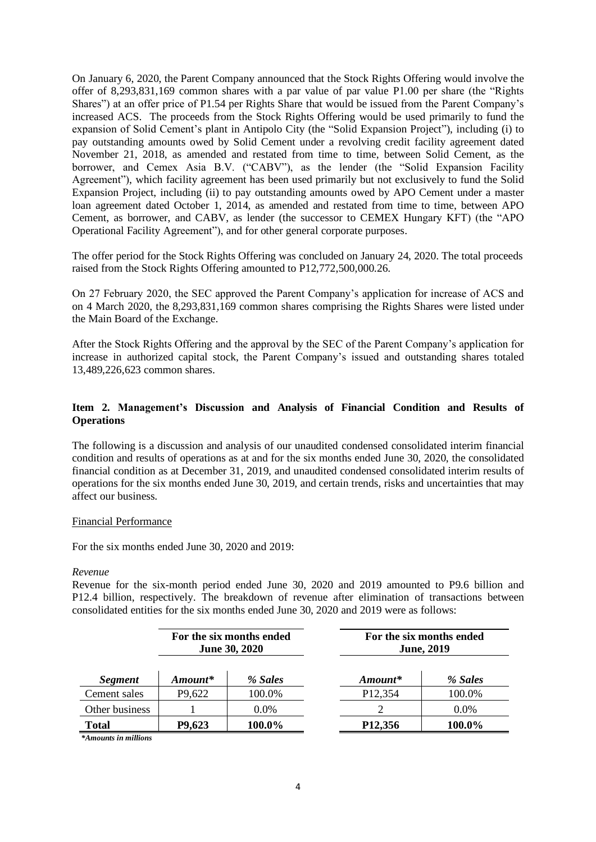On January 6, 2020, the Parent Company announced that the Stock Rights Offering would involve the offer of 8,293,831,169 common shares with a par value of par value P1.00 per share (the "Rights Shares") at an offer price of P1.54 per Rights Share that would be issued from the Parent Company's increased ACS. The proceeds from the Stock Rights Offering would be used primarily to fund the expansion of Solid Cement's plant in Antipolo City (the "Solid Expansion Project"), including (i) to pay outstanding amounts owed by Solid Cement under a revolving credit facility agreement dated November 21, 2018, as amended and restated from time to time, between Solid Cement, as the borrower, and Cemex Asia B.V. ("CABV"), as the lender (the "Solid Expansion Facility Agreement"), which facility agreement has been used primarily but not exclusively to fund the Solid Expansion Project, including (ii) to pay outstanding amounts owed by APO Cement under a master loan agreement dated October 1, 2014, as amended and restated from time to time, between APO Cement, as borrower, and CABV, as lender (the successor to CEMEX Hungary KFT) (the "APO Operational Facility Agreement"), and for other general corporate purposes.

The offer period for the Stock Rights Offering was concluded on January 24, 2020. The total proceeds raised from the Stock Rights Offering amounted to P12,772,500,000.26.

On 27 February 2020, the SEC approved the Parent Company's application for increase of ACS and on 4 March 2020, the 8,293,831,169 common shares comprising the Rights Shares were listed under the Main Board of the Exchange.

After the Stock Rights Offering and the approval by the SEC of the Parent Company's application for increase in authorized capital stock, the Parent Company's issued and outstanding shares totaled 13,489,226,623 common shares.

# **Item 2. Management's Discussion and Analysis of Financial Condition and Results of Operations**

The following is a discussion and analysis of our unaudited condensed consolidated interim financial condition and results of operations as at and for the six months ended June 30, 2020, the consolidated financial condition as at December 31, 2019, and unaudited condensed consolidated interim results of operations for the six months ended June 30, 2019, and certain trends, risks and uncertainties that may affect our business.

# Financial Performance

For the six months ended June 30, 2020 and 2019:

### *Revenue*

Revenue for the six-month period ended June 30, 2020 and 2019 amounted to P9.6 billion and P12.4 billion, respectively. The breakdown of revenue after elimination of transactions between consolidated entities for the six months ended June 30, 2020 and 2019 were as follows:

|                |                     | For the six months ended<br><b>June 30, 2020</b> | For the six months ended<br><b>June, 2019</b> |         |  |  |
|----------------|---------------------|--------------------------------------------------|-----------------------------------------------|---------|--|--|
| <b>Segment</b> | Amount*             | % Sales                                          | $A$ <i>mount</i> *                            | % Sales |  |  |
| Cement sales   | P <sub>9</sub> ,622 | 100.0%                                           | P <sub>12</sub> , 354                         | 100.0%  |  |  |
| Other business |                     | $0.0\%$                                          |                                               | $0.0\%$ |  |  |
| <b>Total</b>   | P9,623              | 100.0%                                           | P <sub>12</sub> ,356                          | 100.0%  |  |  |

*\*Amounts in millions*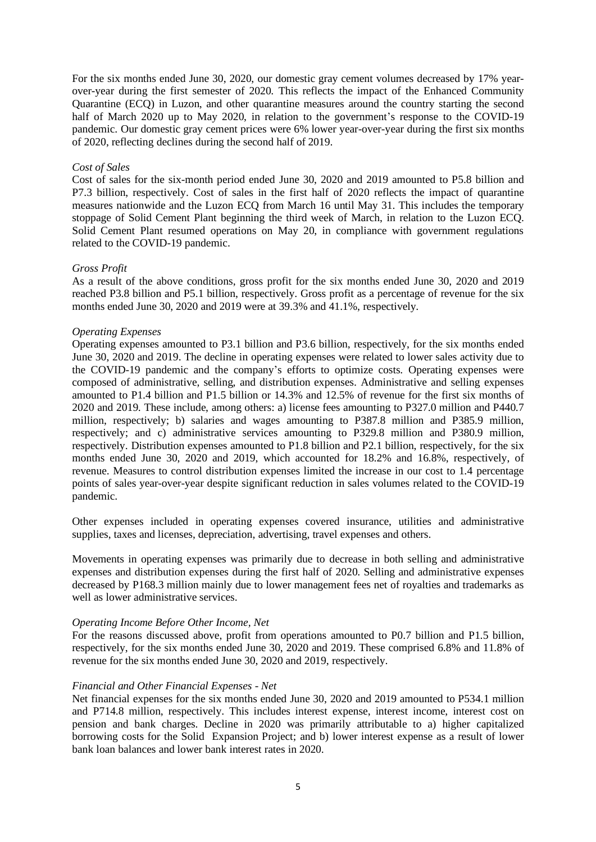For the six months ended June 30, 2020, our domestic gray cement volumes decreased by 17% yearover-year during the first semester of 2020. This reflects the impact of the Enhanced Community Quarantine (ECQ) in Luzon, and other quarantine measures around the country starting the second half of March 2020 up to May 2020, in relation to the government's response to the COVID-19 pandemic. Our domestic gray cement prices were 6% lower year-over-year during the first six months of 2020, reflecting declines during the second half of 2019.

### *Cost of Sales*

Cost of sales for the six-month period ended June 30, 2020 and 2019 amounted to P5.8 billion and P7.3 billion, respectively. Cost of sales in the first half of 2020 reflects the impact of quarantine measures nationwide and the Luzon ECQ from March 16 until May 31. This includes the temporary stoppage of Solid Cement Plant beginning the third week of March, in relation to the Luzon ECQ. Solid Cement Plant resumed operations on May 20, in compliance with government regulations related to the COVID-19 pandemic.

### *Gross Profit*

As a result of the above conditions, gross profit for the six months ended June 30, 2020 and 2019 reached P3.8 billion and P5.1 billion, respectively. Gross profit as a percentage of revenue for the six months ended June 30, 2020 and 2019 were at 39.3% and 41.1%, respectively.

# *Operating Expenses*

Operating expenses amounted to P3.1 billion and P3.6 billion, respectively, for the six months ended June 30, 2020 and 2019. The decline in operating expenses were related to lower sales activity due to the COVID-19 pandemic and the company's efforts to optimize costs. Operating expenses were composed of administrative, selling, and distribution expenses. Administrative and selling expenses amounted to P1.4 billion and P1.5 billion or 14.3% and 12.5% of revenue for the first six months of 2020 and 2019. These include, among others: a) license fees amounting to P327.0 million and P440.7 million, respectively; b) salaries and wages amounting to P387.8 million and P385.9 million, respectively; and c) administrative services amounting to P329.8 million and P380.9 million, respectively. Distribution expenses amounted to P1.8 billion and P2.1 billion, respectively, for the six months ended June 30, 2020 and 2019, which accounted for 18.2% and 16.8%, respectively, of revenue. Measures to control distribution expenses limited the increase in our cost to 1.4 percentage points of sales year-over-year despite significant reduction in sales volumes related to the COVID-19 pandemic.

Other expenses included in operating expenses covered insurance, utilities and administrative supplies, taxes and licenses, depreciation, advertising, travel expenses and others.

Movements in operating expenses was primarily due to decrease in both selling and administrative expenses and distribution expenses during the first half of 2020. Selling and administrative expenses decreased by P168.3 million mainly due to lower management fees net of royalties and trademarks as well as lower administrative services.

### *Operating Income Before Other Income, Net*

For the reasons discussed above, profit from operations amounted to P0.7 billion and P1.5 billion, respectively, for the six months ended June 30, 2020 and 2019. These comprised 6.8% and 11.8% of revenue for the six months ended June 30, 2020 and 2019, respectively.

# *Financial and Other Financial Expenses - Net*

Net financial expenses for the six months ended June 30, 2020 and 2019 amounted to P534.1 million and P714.8 million, respectively. This includes interest expense, interest income, interest cost on pension and bank charges. Decline in 2020 was primarily attributable to a) higher capitalized borrowing costs for the Solid Expansion Project; and b) lower interest expense as a result of lower bank loan balances and lower bank interest rates in 2020.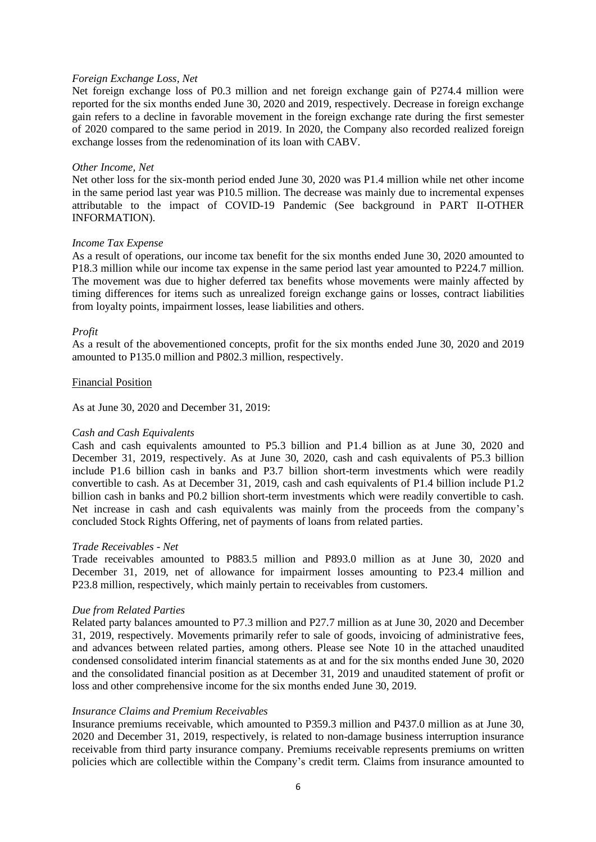### *Foreign Exchange Loss, Net*

Net foreign exchange loss of P0.3 million and net foreign exchange gain of P274.4 million were reported for the six months ended June 30, 2020 and 2019, respectively. Decrease in foreign exchange gain refers to a decline in favorable movement in the foreign exchange rate during the first semester of 2020 compared to the same period in 2019. In 2020, the Company also recorded realized foreign exchange losses from the redenomination of its loan with CABV.

### *Other Income, Net*

Net other loss for the six-month period ended June 30, 2020 was P1.4 million while net other income in the same period last year was P10.5 million. The decrease was mainly due to incremental expenses attributable to the impact of COVID-19 Pandemic (See background in PART II-OTHER INFORMATION).

### *Income Tax Expense*

As a result of operations, our income tax benefit for the six months ended June 30, 2020 amounted to P18.3 million while our income tax expense in the same period last year amounted to P224.7 million. The movement was due to higher deferred tax benefits whose movements were mainly affected by timing differences for items such as unrealized foreign exchange gains or losses, contract liabilities from loyalty points, impairment losses, lease liabilities and others.

### *Profit*

As a result of the abovementioned concepts, profit for the six months ended June 30, 2020 and 2019 amounted to P135.0 million and P802.3 million, respectively.

### Financial Position

As at June 30, 2020 and December 31, 2019:

### *Cash and Cash Equivalents*

Cash and cash equivalents amounted to P5.3 billion and P1.4 billion as at June 30, 2020 and December 31, 2019, respectively. As at June 30, 2020, cash and cash equivalents of P5.3 billion include P1.6 billion cash in banks and P3.7 billion short-term investments which were readily convertible to cash. As at December 31, 2019, cash and cash equivalents of P1.4 billion include P1.2 billion cash in banks and P0.2 billion short-term investments which were readily convertible to cash. Net increase in cash and cash equivalents was mainly from the proceeds from the company's concluded Stock Rights Offering, net of payments of loans from related parties.

#### *Trade Receivables - Net*

Trade receivables amounted to P883.5 million and P893.0 million as at June 30, 2020 and December 31, 2019, net of allowance for impairment losses amounting to P23.4 million and P23.8 million, respectively, which mainly pertain to receivables from customers.

#### *Due from Related Parties*

Related party balances amounted to P7.3 million and P27.7 million as at June 30, 2020 and December 31, 2019, respectively. Movements primarily refer to sale of goods, invoicing of administrative fees, and advances between related parties, among others. Please see Note 10 in the attached unaudited condensed consolidated interim financial statements as at and for the six months ended June 30, 2020 and the consolidated financial position as at December 31, 2019 and unaudited statement of profit or loss and other comprehensive income for the six months ended June 30, 2019.

#### *Insurance Claims and Premium Receivables*

Insurance premiums receivable, which amounted to P359.3 million and P437.0 million as at June 30, 2020 and December 31, 2019, respectively, is related to non-damage business interruption insurance receivable from third party insurance company. Premiums receivable represents premiums on written policies which are collectible within the Company's credit term. Claims from insurance amounted to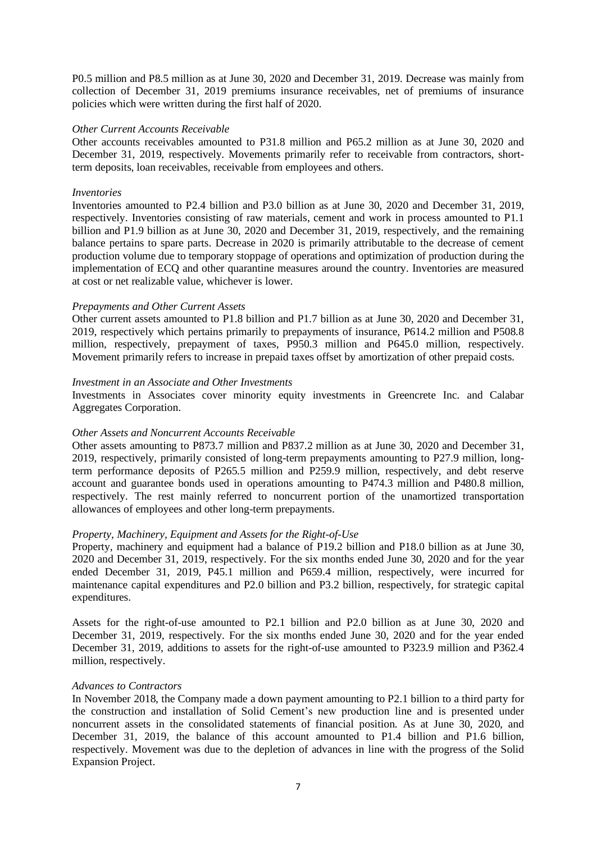P0.5 million and P8.5 million as at June 30, 2020 and December 31, 2019. Decrease was mainly from collection of December 31, 2019 premiums insurance receivables, net of premiums of insurance policies which were written during the first half of 2020.

### *Other Current Accounts Receivable*

Other accounts receivables amounted to P31.8 million and P65.2 million as at June 30, 2020 and December 31, 2019, respectively. Movements primarily refer to receivable from contractors, shortterm deposits, loan receivables, receivable from employees and others.

# *Inventories*

Inventories amounted to P2.4 billion and P3.0 billion as at June 30, 2020 and December 31, 2019, respectively. Inventories consisting of raw materials, cement and work in process amounted to P1.1 billion and P1.9 billion as at June 30, 2020 and December 31, 2019, respectively, and the remaining balance pertains to spare parts. Decrease in 2020 is primarily attributable to the decrease of cement production volume due to temporary stoppage of operations and optimization of production during the implementation of ECQ and other quarantine measures around the country. Inventories are measured at cost or net realizable value, whichever is lower.

### *Prepayments and Other Current Assets*

Other current assets amounted to P1.8 billion and P1.7 billion as at June 30, 2020 and December 31, 2019, respectively which pertains primarily to prepayments of insurance, P614.2 million and P508.8 million, respectively, prepayment of taxes, P950.3 million and P645.0 million, respectively. Movement primarily refers to increase in prepaid taxes offset by amortization of other prepaid costs.

### *Investment in an Associate and Other Investments*

Investments in Associates cover minority equity investments in Greencrete Inc. and Calabar Aggregates Corporation.

# *Other Assets and Noncurrent Accounts Receivable*

Other assets amounting to P873.7 million and P837.2 million as at June 30, 2020 and December 31, 2019, respectively, primarily consisted of long-term prepayments amounting to P27.9 million, longterm performance deposits of P265.5 million and P259.9 million, respectively, and debt reserve account and guarantee bonds used in operations amounting to P474.3 million and P480.8 million, respectively. The rest mainly referred to noncurrent portion of the unamortized transportation allowances of employees and other long-term prepayments.

### *Property, Machinery, Equipment and Assets for the Right-of-Use*

Property, machinery and equipment had a balance of P19.2 billion and P18.0 billion as at June 30, 2020 and December 31, 2019, respectively. For the six months ended June 30, 2020 and for the year ended December 31, 2019, P45.1 million and P659.4 million, respectively, were incurred for maintenance capital expenditures and P2.0 billion and P3.2 billion, respectively, for strategic capital expenditures.

Assets for the right-of-use amounted to P2.1 billion and P2.0 billion as at June 30, 2020 and December 31, 2019, respectively. For the six months ended June 30, 2020 and for the year ended December 31, 2019, additions to assets for the right-of-use amounted to P323.9 million and P362.4 million, respectively.

### *Advances to Contractors*

In November 2018, the Company made a down payment amounting to P2.1 billion to a third party for the construction and installation of Solid Cement's new production line and is presented under noncurrent assets in the consolidated statements of financial position. As at June 30, 2020, and December 31, 2019, the balance of this account amounted to P1.4 billion and P1.6 billion, respectively. Movement was due to the depletion of advances in line with the progress of the Solid Expansion Project.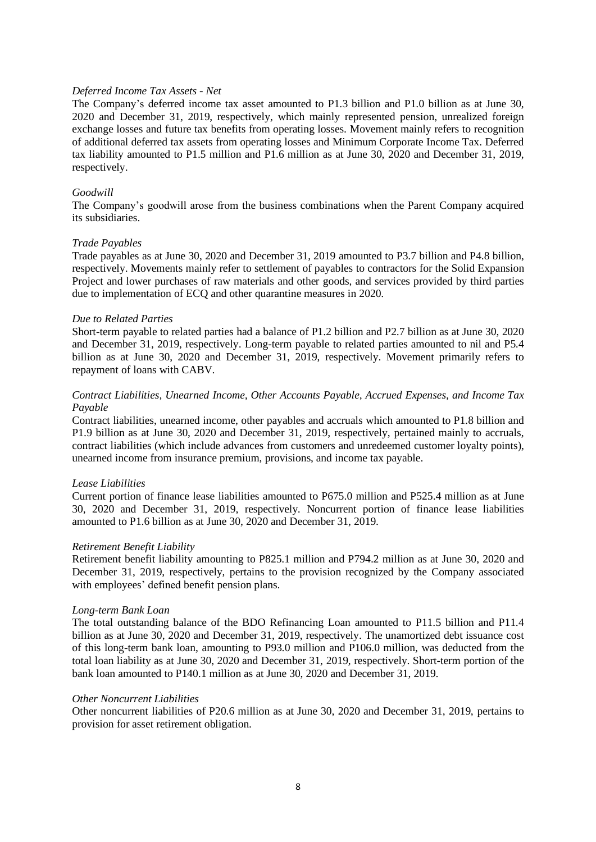### *Deferred Income Tax Assets - Net*

The Company's deferred income tax asset amounted to P1.3 billion and P1.0 billion as at June 30, 2020 and December 31, 2019, respectively, which mainly represented pension, unrealized foreign exchange losses and future tax benefits from operating losses. Movement mainly refers to recognition of additional deferred tax assets from operating losses and Minimum Corporate Income Tax. Deferred tax liability amounted to P1.5 million and P1.6 million as at June 30, 2020 and December 31, 2019, respectively.

# *Goodwill*

The Company's goodwill arose from the business combinations when the Parent Company acquired its subsidiaries.

### *Trade Payables*

Trade payables as at June 30, 2020 and December 31, 2019 amounted to P3.7 billion and P4.8 billion, respectively. Movements mainly refer to settlement of payables to contractors for the Solid Expansion Project and lower purchases of raw materials and other goods, and services provided by third parties due to implementation of ECQ and other quarantine measures in 2020.

### *Due to Related Parties*

Short-term payable to related parties had a balance of P1.2 billion and P2.7 billion as at June 30, 2020 and December 31, 2019, respectively. Long-term payable to related parties amounted to nil and P5.4 billion as at June 30, 2020 and December 31, 2019, respectively. Movement primarily refers to repayment of loans with CABV.

# *Contract Liabilities, Unearned Income, Other Accounts Payable, Accrued Expenses, and Income Tax Payable*

Contract liabilities, unearned income, other payables and accruals which amounted to P1.8 billion and P1.9 billion as at June 30, 2020 and December 31, 2019, respectively, pertained mainly to accruals, contract liabilities (which include advances from customers and unredeemed customer loyalty points), unearned income from insurance premium, provisions, and income tax payable.

# *Lease Liabilities*

Current portion of finance lease liabilities amounted to P675.0 million and P525.4 million as at June 30, 2020 and December 31, 2019, respectively. Noncurrent portion of finance lease liabilities amounted to P1.6 billion as at June 30, 2020 and December 31, 2019.

# *Retirement Benefit Liability*

Retirement benefit liability amounting to P825.1 million and P794.2 million as at June 30, 2020 and December 31, 2019, respectively, pertains to the provision recognized by the Company associated with employees' defined benefit pension plans.

### *Long-term Bank Loan*

The total outstanding balance of the BDO Refinancing Loan amounted to P11.5 billion and P11.4 billion as at June 30, 2020 and December 31, 2019, respectively. The unamortized debt issuance cost of this long-term bank loan, amounting to P93.0 million and P106.0 million, was deducted from the total loan liability as at June 30, 2020 and December 31, 2019, respectively. Short-term portion of the bank loan amounted to P140.1 million as at June 30, 2020 and December 31, 2019.

### *Other Noncurrent Liabilities*

Other noncurrent liabilities of P20.6 million as at June 30, 2020 and December 31, 2019, pertains to provision for asset retirement obligation.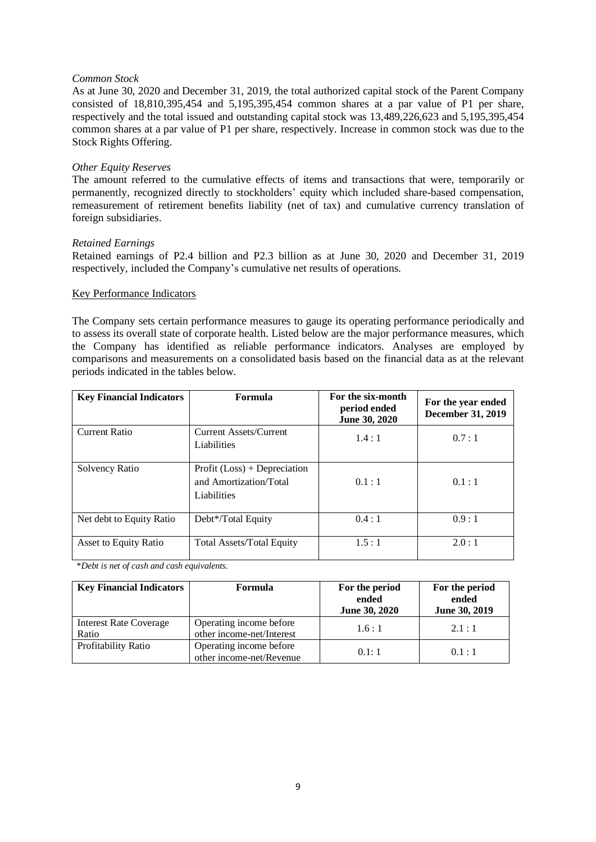### *Common Stock*

As at June 30, 2020 and December 31, 2019, the total authorized capital stock of the Parent Company consisted of 18,810,395,454 and 5,195,395,454 common shares at a par value of P1 per share, respectively and the total issued and outstanding capital stock was 13,489,226,623 and 5,195,395,454 common shares at a par value of P1 per share, respectively. Increase in common stock was due to the Stock Rights Offering.

# *Other Equity Reserves*

The amount referred to the cumulative effects of items and transactions that were, temporarily or permanently, recognized directly to stockholders' equity which included share-based compensation, remeasurement of retirement benefits liability (net of tax) and cumulative currency translation of foreign subsidiaries.

### *Retained Earnings*

Retained earnings of P2.4 billion and P2.3 billion as at June 30, 2020 and December 31, 2019 respectively, included the Company's cumulative net results of operations.

### Key Performance Indicators

The Company sets certain performance measures to gauge its operating performance periodically and to assess its overall state of corporate health. Listed below are the major performance measures, which the Company has identified as reliable performance indicators. Analyses are employed by comparisons and measurements on a consolidated basis based on the financial data as at the relevant periods indicated in the tables below.

| <b>Key Financial Indicators</b> | Formula                                                                 | For the six-month<br>period ended<br>June 30, 2020 | For the year ended<br><b>December 31, 2019</b> |
|---------------------------------|-------------------------------------------------------------------------|----------------------------------------------------|------------------------------------------------|
| Current Ratio                   | Current Assets/Current<br>Liabilities                                   | 1.4:1                                              | 0.7:1                                          |
| Solvency Ratio                  | Profit $(Loss) + Depreciation$<br>and Amortization/Total<br>Liabilities | 0.1:1                                              | 0.1:1                                          |
| Net debt to Equity Ratio        | Debt*/Total Equity                                                      | 0.4:1                                              | 0.9:1                                          |
| Asset to Equity Ratio           | <b>Total Assets/Total Equity</b>                                        | 1.5:1                                              | 2.0:1                                          |

\**Debt is net of cash and cash equivalents.*

| <b>Key Financial Indicators</b>        | Formula                                              | For the period<br>ended<br>June 30, 2020 | For the period<br>ended<br>June 30, 2019 |  |
|----------------------------------------|------------------------------------------------------|------------------------------------------|------------------------------------------|--|
| <b>Interest Rate Coverage</b><br>Ratio | Operating income before<br>other income-net/Interest | 1.6:1                                    | 2.1:1                                    |  |
| Profitability Ratio                    | Operating income before<br>other income-net/Revenue  | 0.1:1                                    | 0.1:1                                    |  |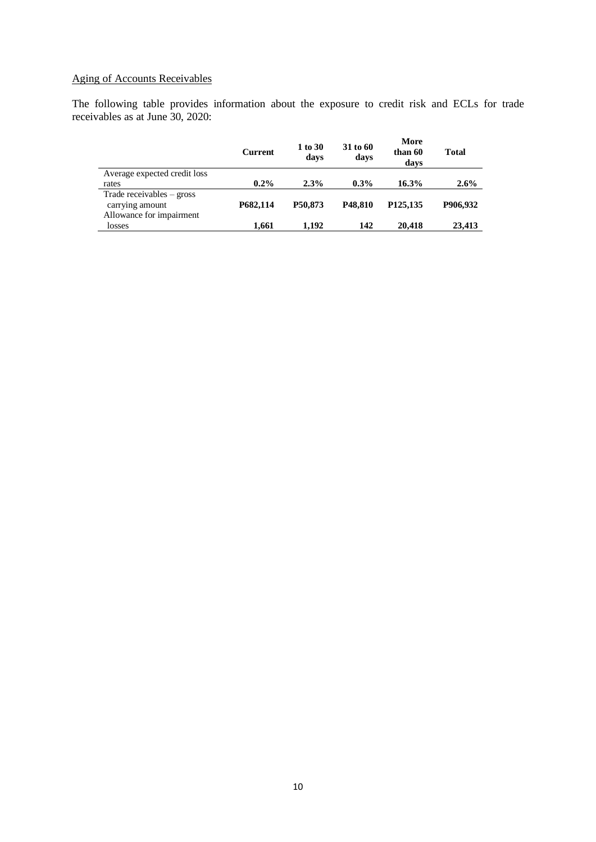# Aging of Accounts Receivables

The following table provides information about the exposure to credit risk and ECLs for trade receivables as at June 30, 2020:

|                              | <b>Current</b> | 1 to 30<br>days | 31 to 60<br>days     | More<br>than 60<br>days | Total    |
|------------------------------|----------------|-----------------|----------------------|-------------------------|----------|
| Average expected credit loss |                |                 |                      |                         |          |
| rates                        | $0.2\%$        | 2.3%            | $0.3\%$              | 16.3%                   | 2.6%     |
| Trade receivables $-$ gross  |                |                 |                      |                         |          |
| carrying amount              | P682.114       | P50.873         | P <sub>48</sub> .810 | P <sub>125</sub> , 135  | P906.932 |
| Allowance for impairment     |                |                 |                      |                         |          |
| losses                       | 1,661          | 1.192           | 142                  | 20,418                  | 23,413   |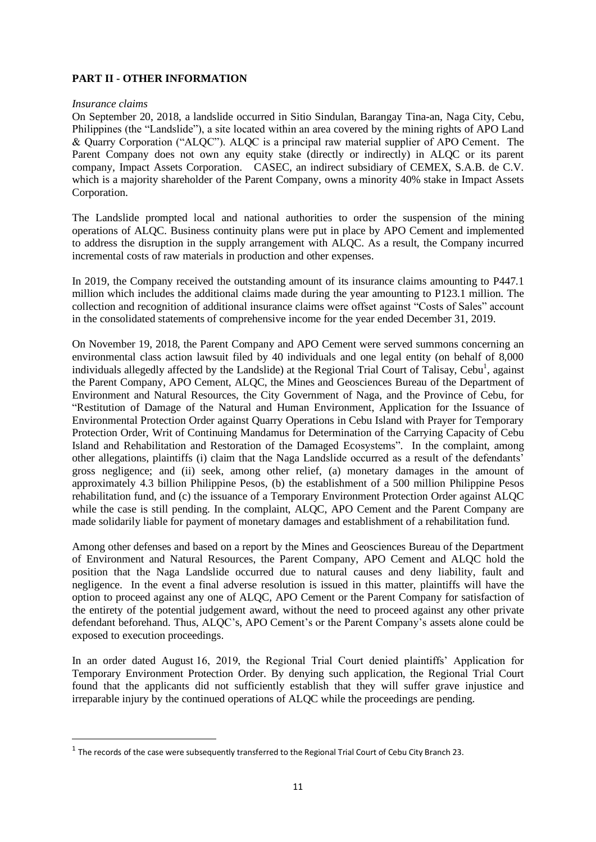# **PART II - OTHER INFORMATION**

### *Insurance claims*

On September 20, 2018, a landslide occurred in Sitio Sindulan, Barangay Tina-an, Naga City, Cebu, Philippines (the "Landslide"), a site located within an area covered by the mining rights of APO Land & Quarry Corporation ("ALQC"). ALQC is a principal raw material supplier of APO Cement. The Parent Company does not own any equity stake (directly or indirectly) in ALQC or its parent company, Impact Assets Corporation. CASEC, an indirect subsidiary of CEMEX, S.A.B. de C.V. which is a majority shareholder of the Parent Company, owns a minority 40% stake in Impact Assets Corporation.

The Landslide prompted local and national authorities to order the suspension of the mining operations of ALQC. Business continuity plans were put in place by APO Cement and implemented to address the disruption in the supply arrangement with ALQC. As a result, the Company incurred incremental costs of raw materials in production and other expenses.

In 2019, the Company received the outstanding amount of its insurance claims amounting to P447.1 million which includes the additional claims made during the year amounting to P123.1 million. The collection and recognition of additional insurance claims were offset against "Costs of Sales" account in the consolidated statements of comprehensive income for the year ended December 31, 2019.

On November 19, 2018, the Parent Company and APO Cement were served summons concerning an environmental class action lawsuit filed by 40 individuals and one legal entity (on behalf of 8,000 individuals allegedly affected by the Landslide) at the Regional Trial Court of Talisay, Cebu<sup>1</sup>, against the Parent Company, APO Cement, ALQC, the Mines and Geosciences Bureau of the Department of Environment and Natural Resources, the City Government of Naga, and the Province of Cebu, for "Restitution of Damage of the Natural and Human Environment, Application for the Issuance of Environmental Protection Order against Quarry Operations in Cebu Island with Prayer for Temporary Protection Order, Writ of Continuing Mandamus for Determination of the Carrying Capacity of Cebu Island and Rehabilitation and Restoration of the Damaged Ecosystems". In the complaint, among other allegations, plaintiffs (i) claim that the Naga Landslide occurred as a result of the defendants' gross negligence; and (ii) seek, among other relief, (a) monetary damages in the amount of approximately 4.3 billion Philippine Pesos, (b) the establishment of a 500 million Philippine Pesos rehabilitation fund, and (c) the issuance of a Temporary Environment Protection Order against ALQC while the case is still pending. In the complaint, ALQC, APO Cement and the Parent Company are made solidarily liable for payment of monetary damages and establishment of a rehabilitation fund.

Among other defenses and based on a report by the Mines and Geosciences Bureau of the Department of Environment and Natural Resources, the Parent Company, APO Cement and ALQC hold the position that the Naga Landslide occurred due to natural causes and deny liability, fault and negligence. In the event a final adverse resolution is issued in this matter, plaintiffs will have the option to proceed against any one of ALQC, APO Cement or the Parent Company for satisfaction of the entirety of the potential judgement award, without the need to proceed against any other private defendant beforehand. Thus, ALQC's, APO Cement's or the Parent Company's assets alone could be exposed to execution proceedings.

In an order dated August 16, 2019, the Regional Trial Court denied plaintiffs' Application for Temporary Environment Protection Order. By denying such application, the Regional Trial Court found that the applicants did not sufficiently establish that they will suffer grave injustice and irreparable injury by the continued operations of ALQC while the proceedings are pending.

 $<sup>1</sup>$  The records of the case were subsequently transferred to the Regional Trial Court of Cebu City Branch 23.</sup>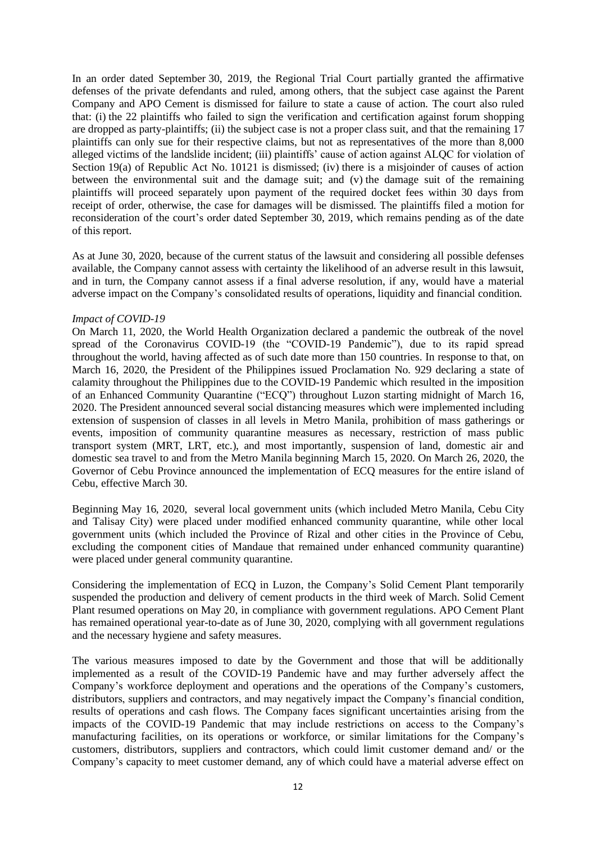In an order dated September 30, 2019, the Regional Trial Court partially granted the affirmative defenses of the private defendants and ruled, among others, that the subject case against the Parent Company and APO Cement is dismissed for failure to state a cause of action. The court also ruled that: (i) the 22 plaintiffs who failed to sign the verification and certification against forum shopping are dropped as party-plaintiffs; (ii) the subject case is not a proper class suit, and that the remaining 17 plaintiffs can only sue for their respective claims, but not as representatives of the more than 8,000 alleged victims of the landslide incident; (iii) plaintiffs' cause of action against ALQC for violation of Section 19(a) of Republic Act No. 10121 is dismissed; (iv) there is a misjoinder of causes of action between the environmental suit and the damage suit; and (v) the damage suit of the remaining plaintiffs will proceed separately upon payment of the required docket fees within 30 days from receipt of order, otherwise, the case for damages will be dismissed. The plaintiffs filed a motion for reconsideration of the court's order dated September 30, 2019, which remains pending as of the date of this report.

As at June 30, 2020, because of the current status of the lawsuit and considering all possible defenses available, the Company cannot assess with certainty the likelihood of an adverse result in this lawsuit, and in turn, the Company cannot assess if a final adverse resolution, if any, would have a material adverse impact on the Company's consolidated results of operations, liquidity and financial condition.

### *Impact of COVID-19*

On March 11, 2020, the World Health Organization declared a pandemic the outbreak of the novel spread of the Coronavirus COVID-19 (the "COVID-19 Pandemic"), due to its rapid spread throughout the world, having affected as of such date more than 150 countries. In response to that, on March 16, 2020, the President of the Philippines issued Proclamation No. 929 declaring a state of calamity throughout the Philippines due to the COVID-19 Pandemic which resulted in the imposition of an Enhanced Community Quarantine ("ECQ") throughout Luzon starting midnight of March 16, 2020. The President announced several social distancing measures which were implemented including extension of suspension of classes in all levels in Metro Manila, prohibition of mass gatherings or events, imposition of community quarantine measures as necessary, restriction of mass public transport system (MRT, LRT, etc.), and most importantly, suspension of land, domestic air and domestic sea travel to and from the Metro Manila beginning March 15, 2020. On March 26, 2020, the Governor of Cebu Province announced the implementation of ECQ measures for the entire island of Cebu, effective March 30.

Beginning May 16, 2020, several local government units (which included Metro Manila, Cebu City and Talisay City) were placed under modified enhanced community quarantine, while other local government units (which included the Province of Rizal and other cities in the Province of Cebu, excluding the component cities of Mandaue that remained under enhanced community quarantine) were placed under general community quarantine.

Considering the implementation of ECQ in Luzon, the Company's Solid Cement Plant temporarily suspended the production and delivery of cement products in the third week of March. Solid Cement Plant resumed operations on May 20, in compliance with government regulations. APO Cement Plant has remained operational year-to-date as of June 30, 2020, complying with all government regulations and the necessary hygiene and safety measures.

The various measures imposed to date by the Government and those that will be additionally implemented as a result of the COVID-19 Pandemic have and may further adversely affect the Company's workforce deployment and operations and the operations of the Company's customers, distributors, suppliers and contractors, and may negatively impact the Company's financial condition, results of operations and cash flows. The Company faces significant uncertainties arising from the impacts of the COVID-19 Pandemic that may include restrictions on access to the Company's manufacturing facilities, on its operations or workforce, or similar limitations for the Company's customers, distributors, suppliers and contractors, which could limit customer demand and/ or the Company's capacity to meet customer demand, any of which could have a material adverse effect on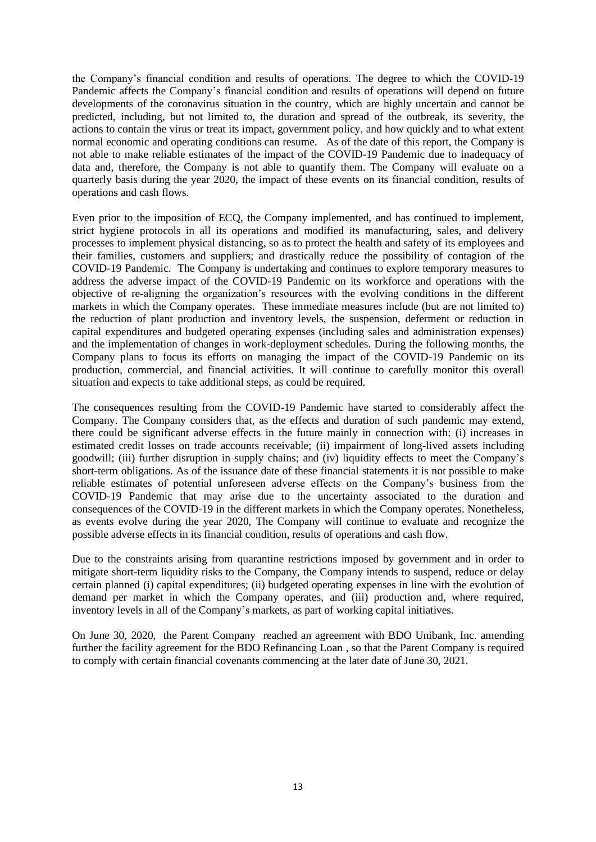the Company's financial condition and results of operations. The degree to which the COVID-19 Pandemic affects the Company's financial condition and results of operations will depend on future developments of the coronavirus situation in the country, which are highly uncertain and cannot be predicted, including, but not limited to, the duration and spread of the outbreak, its severity, the actions to contain the virus or treat its impact, government policy, and how quickly and to what extent normal economic and operating conditions can resume. As of the date of this report, the Company is not able to make reliable estimates of the impact of the COVID-19 Pandemic due to inadequacy of data and, therefore, the Company is not able to quantify them. The Company will evaluate on a quarterly basis during the year 2020, the impact of these events on its financial condition, results of operations and cash flows.

Even prior to the imposition of ECQ, the Company implemented, and has continued to implement, strict hygiene protocols in all its operations and modified its manufacturing, sales, and delivery processes to implement physical distancing, so as to protect the health and safety of its employees and their families, customers and suppliers; and drastically reduce the possibility of contagion of the COVID-19 Pandemic. The Company is undertaking and continues to explore temporary measures to address the adverse impact of the COVID-19 Pandemic on its workforce and operations with the objective of re-aligning the organization's resources with the evolving conditions in the different markets in which the Company operates. These immediate measures include (but are not limited to) the reduction of plant production and inventory levels, the suspension, deferment or reduction in capital expenditures and budgeted operating expenses (including sales and administration expenses) and the implementation of changes in work-deployment schedules. During the following months, the Company plans to focus its efforts on managing the impact of the COVID-19 Pandemic on its production, commercial, and financial activities. It will continue to carefully monitor this overall situation and expects to take additional steps, as could be required.

The consequences resulting from the COVID-19 Pandemic have started to considerably affect the Company. The Company considers that, as the effects and duration of such pandemic may extend, there could be significant adverse effects in the future mainly in connection with: (i) increases in estimated credit losses on trade accounts receivable; (ii) impairment of long-lived assets including goodwill; (iii) further disruption in supply chains; and (iv) liquidity effects to meet the Company's short-term obligations. As of the issuance date of these financial statements it is not possible to make reliable estimates of potential unforeseen adverse effects on the Company's business from the COVID-19 Pandemic that may arise due to the uncertainty associated to the duration and consequences of the COVID-19 in the different markets in which the Company operates. Nonetheless, as events evolve during the year 2020, The Company will continue to evaluate and recognize the possible adverse effects in its financial condition, results of operations and cash flow.

Due to the constraints arising from quarantine restrictions imposed by government and in order to mitigate short-term liquidity risks to the Company, the Company intends to suspend, reduce or delay certain planned (i) capital expenditures; (ii) budgeted operating expenses in line with the evolution of demand per market in which the Company operates, and (iii) production and, where required, inventory levels in all of the Company's markets, as part of working capital initiatives.

On June 30, 2020, the Parent Company reached an agreement with BDO Unibank, Inc. amending further the facility agreement for the BDO Refinancing Loan , so that the Parent Company is required to comply with certain financial covenants commencing at the later date of June 30, 2021.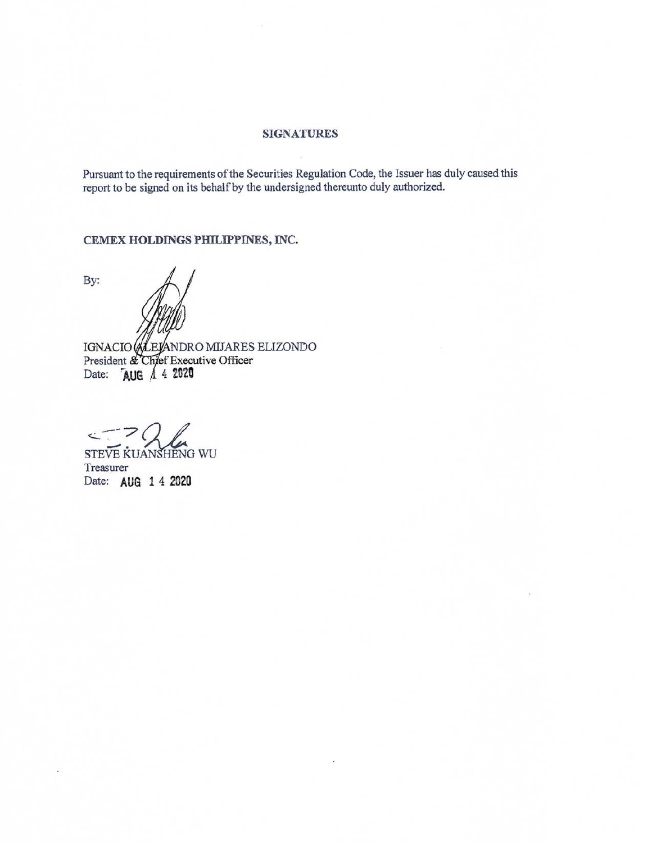### SIGNATURES

Pursuant to the requirements of the Securities Regulation Code, the lssuer has duly caused this report to be signed on its behalf by the undersigned thereunto duly authorized.

CEMEX HOLDINGS PHILIPPINES, INC.

By:

IGNACIO (ALEJANDRO MIJARES ELIZONDO<br>President & Chjef Executive Officer Date: AUG 4 4 2020

V.

STEVE KUANSHENG WU Treasurer Date: AUG 1 4 2020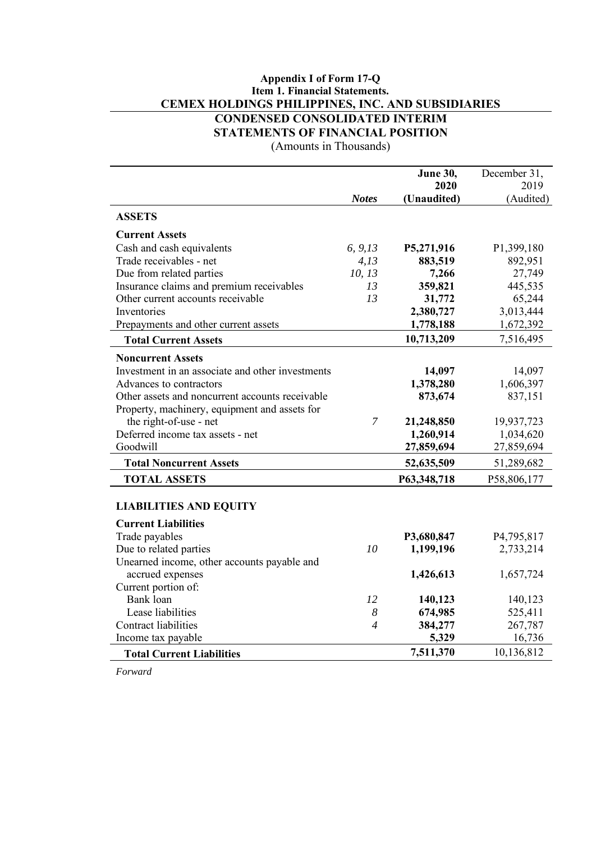# **Appendix I of Form 17-Q Item 1. Financial Statements. CEMEX HOLDINGS PHILIPPINES, INC. AND SUBSIDIARIES CONDENSED CONSOLIDATED INTERIM STATEMENTS OF FINANCIAL POSITION**

(Amounts in Thousands)

|                                                  |                | <b>June 30,</b> | December 31, |
|--------------------------------------------------|----------------|-----------------|--------------|
|                                                  |                | 2020            | 2019         |
|                                                  | <b>Notes</b>   | (Unaudited)     | (Audited)    |
| <b>ASSETS</b>                                    |                |                 |              |
| <b>Current Assets</b>                            |                |                 |              |
| Cash and cash equivalents                        | 6, 9, 13       | P5,271,916      | P1,399,180   |
| Trade receivables - net                          | 4,13           | 883,519         | 892,951      |
| Due from related parties                         | 10, 13         | 7,266           | 27,749       |
| Insurance claims and premium receivables         | 13             | 359,821         | 445,535      |
| Other current accounts receivable                | 13             | 31,772          | 65,244       |
| Inventories                                      |                | 2,380,727       | 3,013,444    |
| Prepayments and other current assets             |                | 1,778,188       | 1,672,392    |
| <b>Total Current Assets</b>                      |                | 10,713,209      | 7,516,495    |
| <b>Noncurrent Assets</b>                         |                |                 |              |
| Investment in an associate and other investments |                | 14,097          | 14,097       |
| Advances to contractors                          |                | 1,378,280       | 1,606,397    |
| Other assets and noncurrent accounts receivable  |                | 873,674         | 837,151      |
| Property, machinery, equipment and assets for    |                |                 |              |
| the right-of-use - net                           | $\overline{7}$ | 21,248,850      | 19,937,723   |
| Deferred income tax assets - net                 |                | 1,260,914       | 1,034,620    |
| Goodwill                                         |                | 27,859,694      | 27,859,694   |
| <b>Total Noncurrent Assets</b>                   |                | 52,635,509      | 51,289,682   |
| <b>TOTAL ASSETS</b>                              |                | P63,348,718     | P58,806,177  |
| <b>LIABILITIES AND EQUITY</b>                    |                |                 |              |
| <b>Current Liabilities</b>                       |                |                 |              |
| Trade payables                                   |                | P3,680,847      | P4,795,817   |
| Due to related parties                           | 10             | 1,199,196       | 2,733,214    |
| Unearned income, other accounts payable and      |                |                 |              |
| accrued expenses                                 |                | 1,426,613       | 1,657,724    |
| Current portion of:                              |                |                 |              |
| Bank loan                                        | 12             | 140,123         | 140,123      |
| Lease liabilities                                | 8              | 674,985         | 525,411      |
| Contract liabilities                             | $\overline{4}$ | 384,277         | 267,787      |
| Income tax payable                               |                | 5,329           | 16,736       |
| <b>Total Current Liabilities</b>                 |                | 7,511,370       | 10,136,812   |

*Forward*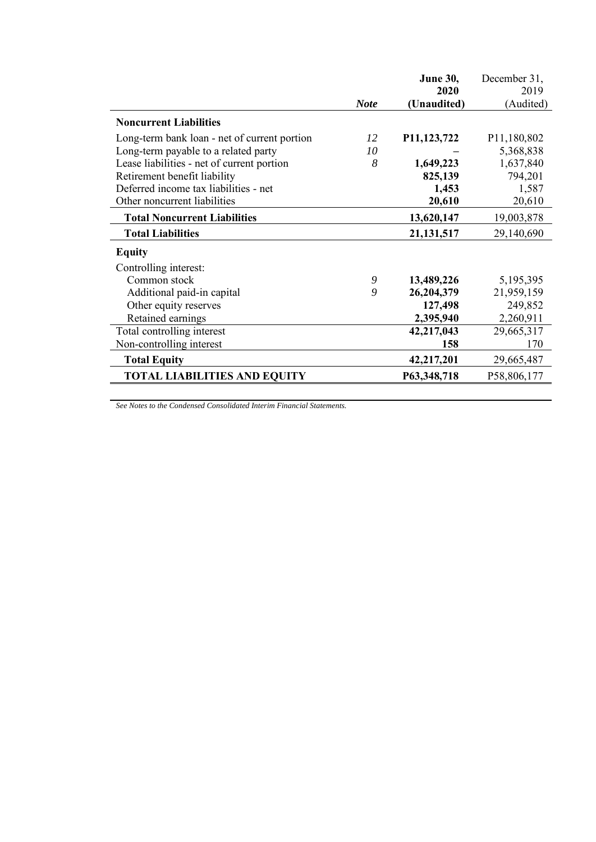|                                              |             | <b>June 30,</b> | December 31, |
|----------------------------------------------|-------------|-----------------|--------------|
|                                              |             | 2020            | 2019         |
|                                              | <b>Note</b> | (Unaudited)     | (Audited)    |
| <b>Noncurrent Liabilities</b>                |             |                 |              |
| Long-term bank loan - net of current portion | 12          | P11,123,722     | P11,180,802  |
| Long-term payable to a related party         | 10          |                 | 5,368,838    |
| Lease liabilities - net of current portion   | 8           | 1,649,223       | 1,637,840    |
| Retirement benefit liability                 |             | 825,139         | 794,201      |
| Deferred income tax liabilities - net        |             | 1,453           | 1,587        |
| Other noncurrent liabilities                 |             | 20,610          | 20,610       |
| <b>Total Noncurrent Liabilities</b>          |             | 13,620,147      | 19,003,878   |
| <b>Total Liabilities</b>                     |             | 21, 131, 517    | 29,140,690   |
| <b>Equity</b>                                |             |                 |              |
| Controlling interest:                        |             |                 |              |
| Common stock                                 | 9           | 13,489,226      | 5,195,395    |
| Additional paid-in capital                   | 9           | 26,204,379      | 21,959,159   |
| Other equity reserves                        |             | 127,498         | 249,852      |
| Retained earnings                            |             | 2,395,940       | 2,260,911    |
| Total controlling interest                   |             | 42,217,043      | 29,665,317   |
| Non-controlling interest                     |             | 158             | 170          |
| <b>Total Equity</b>                          |             | 42,217,201      | 29,665,487   |
| <b>TOTAL LIABILITIES AND EQUITY</b>          |             | P63,348,718     | P58,806,177  |

*See Notes to the Condensed Consolidated Interim Financial Statements.*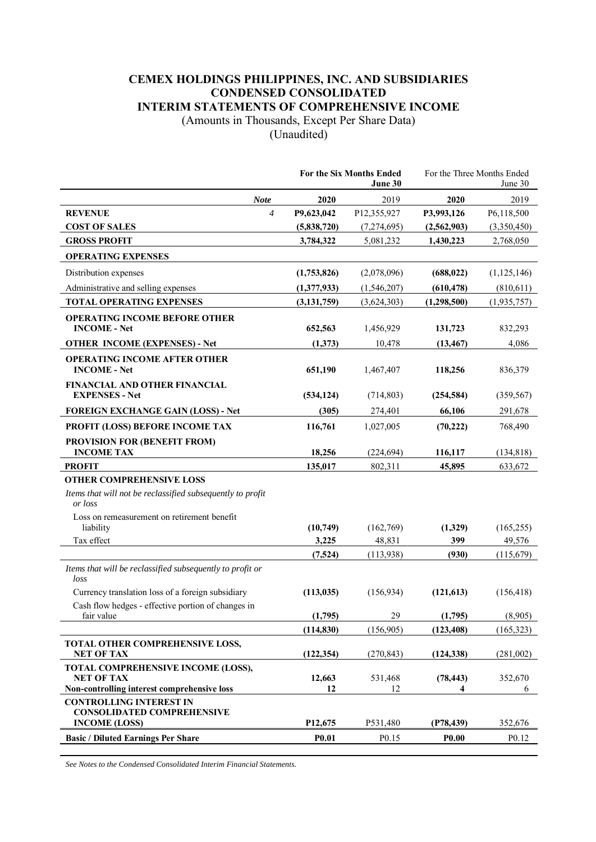# **CEMEX HOLDINGS PHILIPPINES, INC. AND SUBSIDIARIES CONDENSED CONSOLIDATED INTERIM STATEMENTS OF COMPREHENSIVE INCOME**

(Amounts in Thousands, Except Per Share Data)

(Unaudited)

|                                                                                                        |               | <b>For the Six Months Ended</b><br>June 30 | For the Three Months Ended<br>June 30 |                   |  |
|--------------------------------------------------------------------------------------------------------|---------------|--------------------------------------------|---------------------------------------|-------------------|--|
| <b>Note</b>                                                                                            | 2020          | 2019                                       | 2020                                  | 2019              |  |
| <b>REVENUE</b><br>$\overline{4}$                                                                       | P9,623,042    | P12,355,927                                | P3,993,126                            | P6,118,500        |  |
| <b>COST OF SALES</b>                                                                                   | (5,838,720)   | (7,274,695)                                | (2,562,903)                           | (3,350,450)       |  |
| <b>GROSS PROFIT</b>                                                                                    | 3,784,322     | 5,081,232                                  | 1,430,223                             | 2,768,050         |  |
| <b>OPERATING EXPENSES</b>                                                                              |               |                                            |                                       |                   |  |
| Distribution expenses                                                                                  | (1,753,826)   | (2,078,096)                                | (688, 022)                            | (1,125,146)       |  |
| Administrative and selling expenses                                                                    | (1,377,933)   | (1,546,207)                                | (610, 478)                            | (810,611)         |  |
| <b>TOTAL OPERATING EXPENSES</b>                                                                        | (3, 131, 759) | (3,624,303)                                | (1,298,500)                           | (1,935,757)       |  |
| <b>OPERATING INCOME BEFORE OTHER</b><br><b>INCOME</b> - Net                                            | 652,563       | 1,456,929                                  | 131,723                               | 832,293           |  |
| <b>OTHER INCOME (EXPENSES) - Net</b>                                                                   | (1,373)       | 10,478                                     | (13, 467)                             | 4,086             |  |
| <b>OPERATING INCOME AFTER OTHER</b><br><b>INCOME - Net</b>                                             | 651,190       | 1,467,407                                  | 118,256                               | 836,379           |  |
| FINANCIAL AND OTHER FINANCIAL<br><b>EXPENSES - Net</b>                                                 | (534, 124)    | (714, 803)                                 | (254, 584)                            | (359, 567)        |  |
| <b>FOREIGN EXCHANGE GAIN (LOSS) - Net</b>                                                              | (305)         | 274,401                                    | 66,106                                | 291,678           |  |
| PROFIT (LOSS) BEFORE INCOME TAX                                                                        | 116,761       | 1,027,005                                  | (70, 222)                             | 768,490           |  |
| PROVISION FOR (BENEFIT FROM)<br><b>INCOME TAX</b>                                                      | 18,256        | (224, 694)                                 | 116,117                               | (134, 818)        |  |
| <b>PROFIT</b>                                                                                          | 135,017       | 802,311                                    | 45,895                                | 633,672           |  |
| <b>OTHER COMPREHENSIVE LOSS</b>                                                                        |               |                                            |                                       |                   |  |
| Items that will not be reclassified subsequently to profit<br>or loss                                  |               |                                            |                                       |                   |  |
| Loss on remeasurement on retirement benefit<br>liability                                               | (10,749)      | (162,769)                                  | (1,329)                               | (165, 255)        |  |
| Tax effect                                                                                             | 3,225         | 48,831                                     | 399                                   | 49,576            |  |
|                                                                                                        | (7,524)       | (113,938)                                  | (930)                                 | (115,679)         |  |
| Items that will be reclassified subsequently to profit or<br>loss                                      |               |                                            |                                       |                   |  |
| Currency translation loss of a foreign subsidiary                                                      | (113, 035)    | (156, 934)                                 | (121, 613)                            | (156, 418)        |  |
| Cash flow hedges - effective portion of changes in<br>fair value                                       | (1,795)       | 29                                         | (1,795)                               | (8,905)           |  |
|                                                                                                        | (114, 830)    | (156,905)                                  | (123, 408)                            | (165, 323)        |  |
| TOTAL OTHER COMPREHENSIVE LOSS,<br><b>NET OF TAX</b>                                                   | (122, 354)    | (270, 843)                                 | (124, 338)                            | (281,002)         |  |
| TOTAL COMPREHENSIVE INCOME (LOSS),<br><b>NET OF TAX</b><br>Non-controlling interest comprehensive loss | 12,663<br>12  | 531,468<br>12                              | (78, 443)<br>4                        | 352,670<br>6      |  |
| <b>CONTROLLING INTEREST IN</b>                                                                         |               |                                            |                                       |                   |  |
| <b>CONSOLIDATED COMPREHENSIVE</b><br><b>INCOME (LOSS)</b>                                              | P12,675       | P531,480                                   | (P78, 439)                            | 352,676           |  |
| <b>Basic / Diluted Earnings Per Share</b>                                                              | <b>P0.01</b>  | P <sub>0.15</sub>                          | <b>P0.00</b>                          | P <sub>0.12</sub> |  |

*See Notes to the Condensed Consolidated Interim Financial Statements.*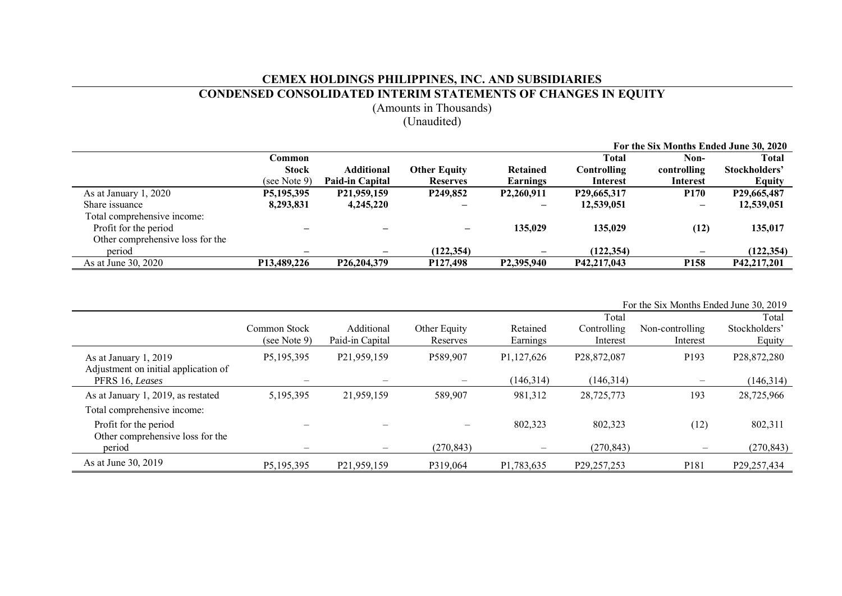# **CEMEX HOLDINGS PHILIPPINES, INC. AND SUBSIDIARIES**

### **CONDENSED CONSOLIDATED INTERIM STATEMENTS OF CHANGES IN EQUITY**

(Amounts in Thousands)

# (Unaudited)

|                                  |                            |                        |                                   |                         | For the Six Months Ended June 30, 2020 |                          |               |  |  |
|----------------------------------|----------------------------|------------------------|-----------------------------------|-------------------------|----------------------------------------|--------------------------|---------------|--|--|
|                                  | Common                     |                        |                                   |                         | <b>Total</b>                           | Non-                     | <b>Total</b>  |  |  |
|                                  | <b>Stock</b>               | Additional             | <b>Other Equity</b>               | Retained                | Controlling                            | controlling              | Stockholders' |  |  |
|                                  | (see Note 9)               | <b>Paid-in Capital</b> | <b>Reserves</b>                   | Earnings                | Interest                               | Interest                 | <b>Equity</b> |  |  |
| As at January 1, 2020            | P5,195,395                 | P21,959,159            | P <sub>249</sub> ,85 <sub>2</sub> | P <sub>2</sub> ,260,911 | P29,665,317                            | <b>P170</b>              | P29,665,487   |  |  |
| Share issuance                   | 8,293,831                  | 4,245,220              |                                   |                         | 12,539,051                             |                          | 12,539,051    |  |  |
| Total comprehensive income:      |                            |                        |                                   |                         |                                        |                          |               |  |  |
| Profit for the period            |                            |                        |                                   | 135,029                 | 135,029                                | (12)                     | 135,017       |  |  |
| Other comprehensive loss for the |                            |                        |                                   |                         |                                        |                          |               |  |  |
| period                           |                            | $\qquad \qquad -$      | (122.354)                         |                         | (122, 354)                             | $\overline{\phantom{0}}$ | (122, 354)    |  |  |
| As at June 30, 2020              | P <sub>13</sub> , 489, 226 | P26,204,379            | P <sub>127</sub> ,498             | P2,395,940              | P42,217,043                            | P <sub>158</sub>         | P42,217,201   |  |  |

|                                                         |              |                 |              |            |                            | For the Six Months Ended June 30, 2019 |               |
|---------------------------------------------------------|--------------|-----------------|--------------|------------|----------------------------|----------------------------------------|---------------|
|                                                         |              |                 |              |            | Total                      |                                        | Total         |
|                                                         | Common Stock | Additional      | Other Equity | Retained   | Controlling                | Non-controlling                        | Stockholders' |
|                                                         | (see Note 9) | Paid-in Capital | Reserves     | Earnings   | Interest                   | Interest                               | Equity        |
| As at January 1, 2019                                   | P5,195,395   | P21,959,159     | P589,907     | P1,127,626 | P28,872,087                | P <sub>193</sub>                       | P28,872,280   |
| Adjustment on initial application of<br>PFRS 16, Leases |              |                 |              | (146, 314) | (146, 314)                 | $\overline{\phantom{m}}$               | (146,314)     |
| As at January 1, 2019, as restated                      | 5,195,395    | 21,959,159      | 589,907      | 981,312    | 28,725,773                 | 193                                    | 28,725,966    |
| Total comprehensive income:                             |              |                 |              |            |                            |                                        |               |
| Profit for the period                                   |              |                 |              | 802,323    | 802,323                    | (12)                                   | 802,311       |
| Other comprehensive loss for the<br>period              |              |                 | (270, 843)   |            | (270, 843)                 |                                        | (270, 843)    |
| As at June 30, 2019                                     | P5,195,395   | P21,959,159     | P319,064     | P1,783,635 | P <sub>29</sub> , 257, 253 | P <sub>181</sub>                       | P29,257,434   |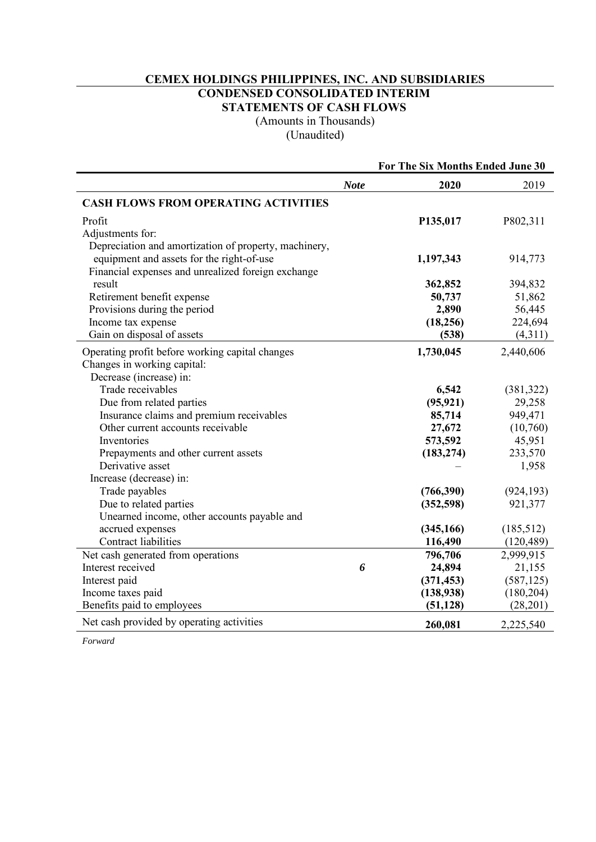# **CEMEX HOLDINGS PHILIPPINES, INC. AND SUBSIDIARIES CONDENSED CONSOLIDATED INTERIM STATEMENTS OF CASH FLOWS**

(Amounts in Thousands) (Unaudited)

|                                                       |             | For The Six Months Ended June 30 |            |
|-------------------------------------------------------|-------------|----------------------------------|------------|
|                                                       | <b>Note</b> | 2020                             | 2019       |
| <b>CASH FLOWS FROM OPERATING ACTIVITIES</b>           |             |                                  |            |
| Profit                                                |             | P135,017                         | P802,311   |
| Adjustments for:                                      |             |                                  |            |
| Depreciation and amortization of property, machinery, |             |                                  |            |
| equipment and assets for the right-of-use             |             | 1,197,343                        | 914,773    |
| Financial expenses and unrealized foreign exchange    |             |                                  |            |
| result                                                |             | 362,852                          | 394,832    |
| Retirement benefit expense                            |             | 50,737                           | 51,862     |
| Provisions during the period                          |             | 2,890                            | 56,445     |
| Income tax expense                                    |             | (18, 256)                        | 224,694    |
| Gain on disposal of assets                            |             | (538)                            | (4,311)    |
| Operating profit before working capital changes       |             | 1,730,045                        | 2,440,606  |
| Changes in working capital:                           |             |                                  |            |
| Decrease (increase) in:                               |             |                                  |            |
| Trade receivables                                     |             | 6,542                            | (381, 322) |
| Due from related parties                              |             | (95, 921)                        | 29,258     |
| Insurance claims and premium receivables              |             | 85,714                           | 949,471    |
| Other current accounts receivable                     |             | 27,672                           | (10,760)   |
| Inventories                                           |             | 573,592                          | 45,951     |
| Prepayments and other current assets                  |             | (183, 274)                       | 233,570    |
| Derivative asset                                      |             |                                  | 1,958      |
| Increase (decrease) in:                               |             |                                  |            |
| Trade payables                                        |             | (766,390)                        | (924, 193) |
| Due to related parties                                |             | (352, 598)                       | 921,377    |
| Unearned income, other accounts payable and           |             |                                  |            |
| accrued expenses                                      |             | (345, 166)                       | (185, 512) |
| Contract liabilities                                  |             | 116,490                          | (120, 489) |
| Net cash generated from operations                    |             | 796,706                          | 2,999,915  |
| Interest received                                     | 6           | 24,894                           | 21,155     |
| Interest paid                                         |             | (371, 453)                       | (587, 125) |
| Income taxes paid                                     |             | (138, 938)                       | (180, 204) |
| Benefits paid to employees                            |             | (51, 128)                        | (28, 201)  |
| Net cash provided by operating activities             |             | 260,081                          | 2,225,540  |

*Forward*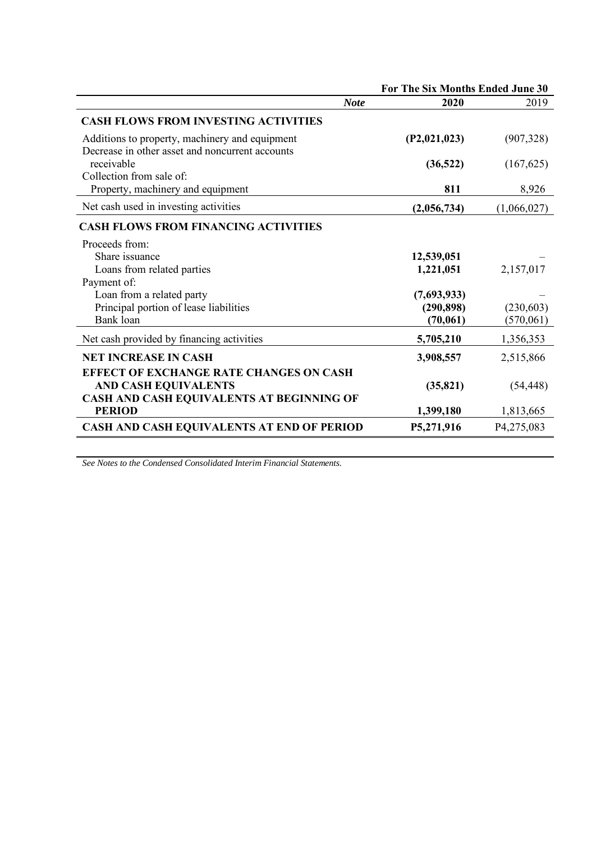|                                                                                                                                             | For The Six Months Ended June 30       |                         |
|---------------------------------------------------------------------------------------------------------------------------------------------|----------------------------------------|-------------------------|
| <b>Note</b>                                                                                                                                 | 2020                                   | 2019                    |
| <b>CASH FLOWS FROM INVESTING ACTIVITIES</b>                                                                                                 |                                        |                         |
| Additions to property, machinery and equipment                                                                                              | (P2,021,023)                           | (907, 328)              |
| Decrease in other asset and noncurrent accounts<br>receivable<br>Collection from sale of:                                                   | (36, 522)                              | (167, 625)              |
| Property, machinery and equipment                                                                                                           | 811                                    | 8,926                   |
| Net cash used in investing activities                                                                                                       | (2,056,734)                            | (1,066,027)             |
| <b>CASH FLOWS FROM FINANCING ACTIVITIES</b>                                                                                                 |                                        |                         |
| Proceeds from:<br>Share issuance<br>Loans from related parties<br>Payment of:                                                               | 12,539,051<br>1,221,051                | 2,157,017               |
| Loan from a related party<br>Principal portion of lease liabilities<br>Bank loan                                                            | (7,693,933)<br>(290, 898)<br>(70, 061) | (230, 603)<br>(570,061) |
| Net cash provided by financing activities                                                                                                   | 5,705,210                              | 1,356,353               |
| <b>NET INCREASE IN CASH</b>                                                                                                                 | 3,908,557                              | 2,515,866               |
| <b>EFFECT OF EXCHANGE RATE CHANGES ON CASH</b><br><b>AND CASH EQUIVALENTS</b><br>CASH AND CASH EQUIVALENTS AT BEGINNING OF<br><b>PERIOD</b> | (35, 821)<br>1,399,180                 | (54, 448)<br>1,813,665  |
| CASH AND CASH EQUIVALENTS AT END OF PERIOD                                                                                                  | P5,271,916                             | P4,275,083              |

*See Notes to the Condensed Consolidated Interim Financial Statements.*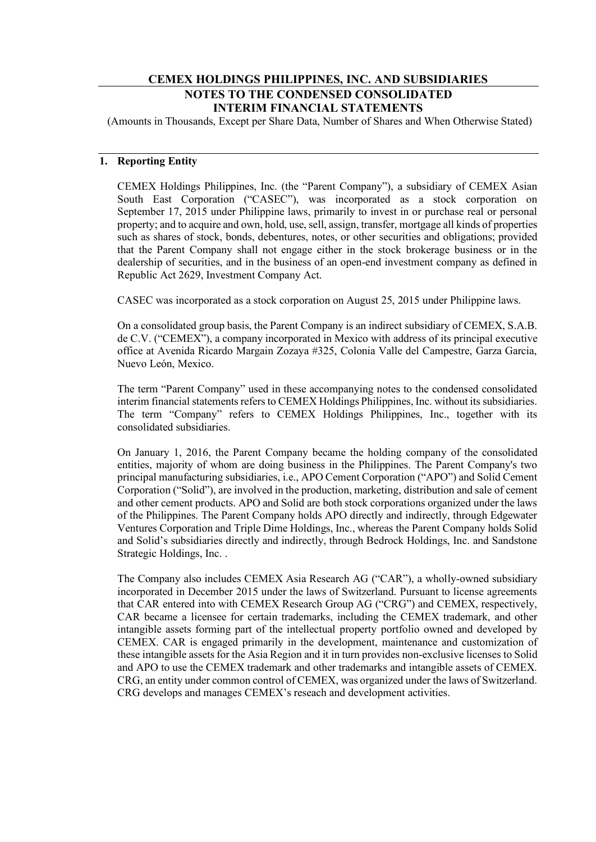# **CEMEX HOLDINGS PHILIPPINES, INC. AND SUBSIDIARIES NOTES TO THE CONDENSED CONSOLIDATED INTERIM FINANCIAL STATEMENTS**

(Amounts in Thousands, Except per Share Data, Number of Shares and When Otherwise Stated)

# **1. Reporting Entity**

CEMEX Holdings Philippines, Inc. (the "Parent Company"), a subsidiary of CEMEX Asian South East Corporation ("CASEC"), was incorporated as a stock corporation on September 17, 2015 under Philippine laws, primarily to invest in or purchase real or personal property; and to acquire and own, hold, use, sell, assign, transfer, mortgage all kinds of properties such as shares of stock, bonds, debentures, notes, or other securities and obligations; provided that the Parent Company shall not engage either in the stock brokerage business or in the dealership of securities, and in the business of an open-end investment company as defined in Republic Act 2629, Investment Company Act.

CASEC was incorporated as a stock corporation on August 25, 2015 under Philippine laws.

On a consolidated group basis, the Parent Company is an indirect subsidiary of CEMEX, S.A.B. de C.V. ("CEMEX"), a company incorporated in Mexico with address of its principal executive office at Avenida Ricardo Margain Zozaya #325, Colonia Valle del Campestre, Garza Garcia, Nuevo León, Mexico.

The term "Parent Company" used in these accompanying notes to the condensed consolidated interim financial statements refers to CEMEX Holdings Philippines, Inc. without its subsidiaries. The term "Company" refers to CEMEX Holdings Philippines, Inc., together with its consolidated subsidiaries.

On January 1, 2016, the Parent Company became the holding company of the consolidated entities, majority of whom are doing business in the Philippines. The Parent Company's two principal manufacturing subsidiaries, i.e., APO Cement Corporation ("APO") and Solid Cement Corporation ("Solid"), are involved in the production, marketing, distribution and sale of cement and other cement products. APO and Solid are both stock corporations organized under the laws of the Philippines. The Parent Company holds APO directly and indirectly, through Edgewater Ventures Corporation and Triple Dime Holdings, Inc., whereas the Parent Company holds Solid and Solid's subsidiaries directly and indirectly, through Bedrock Holdings, Inc. and Sandstone Strategic Holdings, Inc. .

The Company also includes CEMEX Asia Research AG ("CAR"), a wholly-owned subsidiary incorporated in December 2015 under the laws of Switzerland. Pursuant to license agreements that CAR entered into with CEMEX Research Group AG ("CRG") and CEMEX, respectively, CAR became a licensee for certain trademarks, including the CEMEX trademark, and other intangible assets forming part of the intellectual property portfolio owned and developed by CEMEX. CAR is engaged primarily in the development, maintenance and customization of these intangible assets for the Asia Region and it in turn provides non-exclusive licenses to Solid and APO to use the CEMEX trademark and other trademarks and intangible assets of CEMEX. CRG, an entity under common control of CEMEX, was organized under the laws of Switzerland. CRG develops and manages CEMEX's reseach and development activities.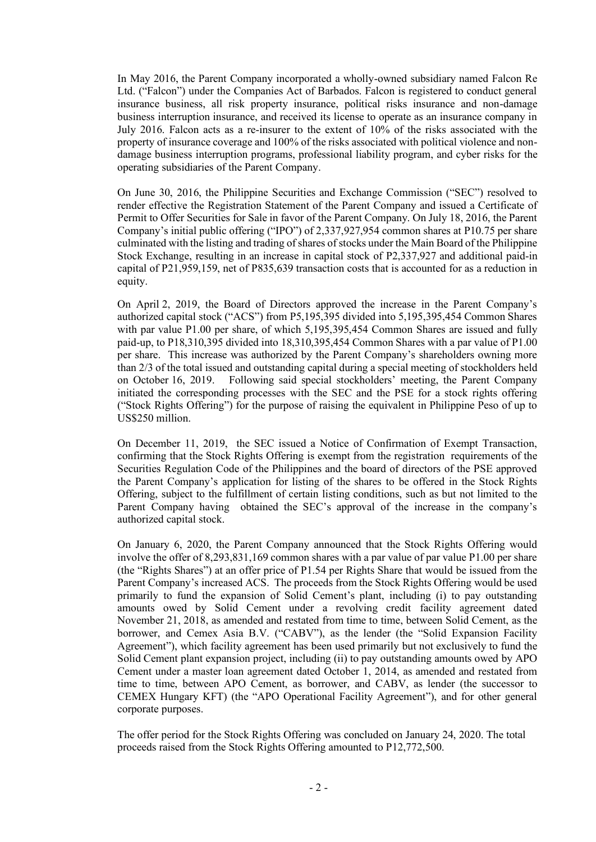In May 2016, the Parent Company incorporated a wholly-owned subsidiary named Falcon Re Ltd. ("Falcon") under the Companies Act of Barbados. Falcon is registered to conduct general insurance business, all risk property insurance, political risks insurance and non-damage business interruption insurance, and received its license to operate as an insurance company in July 2016. Falcon acts as a re-insurer to the extent of 10% of the risks associated with the property of insurance coverage and 100% of the risks associated with political violence and nondamage business interruption programs, professional liability program, and cyber risks for the operating subsidiaries of the Parent Company.

On June 30, 2016, the Philippine Securities and Exchange Commission ("SEC") resolved to render effective the Registration Statement of the Parent Company and issued a Certificate of Permit to Offer Securities for Sale in favor of the Parent Company. On July 18, 2016, the Parent Company's initial public offering ("IPO") of 2,337,927,954 common shares at P10.75 per share culminated with the listing and trading of shares of stocks under the Main Board of the Philippine Stock Exchange, resulting in an increase in capital stock of P2,337,927 and additional paid-in capital of P21,959,159, net of P835,639 transaction costs that is accounted for as a reduction in equity.

On April 2, 2019, the Board of Directors approved the increase in the Parent Company's authorized capital stock ("ACS") from P5,195,395 divided into 5,195,395,454 Common Shares with par value P1.00 per share, of which 5,195,395,454 Common Shares are issued and fully paid-up, to P18,310,395 divided into 18,310,395,454 Common Shares with a par value of P1.00 per share. This increase was authorized by the Parent Company's shareholders owning more than 2/3 of the total issued and outstanding capital during a special meeting of stockholders held on October 16, 2019. Following said special stockholders' meeting, the Parent Company initiated the corresponding processes with the SEC and the PSE for a stock rights offering ("Stock Rights Offering") for the purpose of raising the equivalent in Philippine Peso of up to US\$250 million.

On December 11, 2019, the SEC issued a Notice of Confirmation of Exempt Transaction, confirming that the Stock Rights Offering is exempt from the registration requirements of the Securities Regulation Code of the Philippines and the board of directors of the PSE approved the Parent Company's application for listing of the shares to be offered in the Stock Rights Offering, subject to the fulfillment of certain listing conditions, such as but not limited to the Parent Company having obtained the SEC's approval of the increase in the company's authorized capital stock.

On January 6, 2020, the Parent Company announced that the Stock Rights Offering would involve the offer of 8,293,831,169 common shares with a par value of par value P1.00 per share (the "Rights Shares") at an offer price of P1.54 per Rights Share that would be issued from the Parent Company's increased ACS. The proceeds from the Stock Rights Offering would be used primarily to fund the expansion of Solid Cement's plant, including (i) to pay outstanding amounts owed by Solid Cement under a revolving credit facility agreement dated November 21, 2018, as amended and restated from time to time, between Solid Cement, as the borrower, and Cemex Asia B.V. ("CABV"), as the lender (the "Solid Expansion Facility Agreement"), which facility agreement has been used primarily but not exclusively to fund the Solid Cement plant expansion project, including (ii) to pay outstanding amounts owed by APO Cement under a master loan agreement dated October 1, 2014, as amended and restated from time to time, between APO Cement, as borrower, and CABV, as lender (the successor to CEMEX Hungary KFT) (the "APO Operational Facility Agreement"), and for other general corporate purposes.

The offer period for the Stock Rights Offering was concluded on January 24, 2020. The total proceeds raised from the Stock Rights Offering amounted to P12,772,500.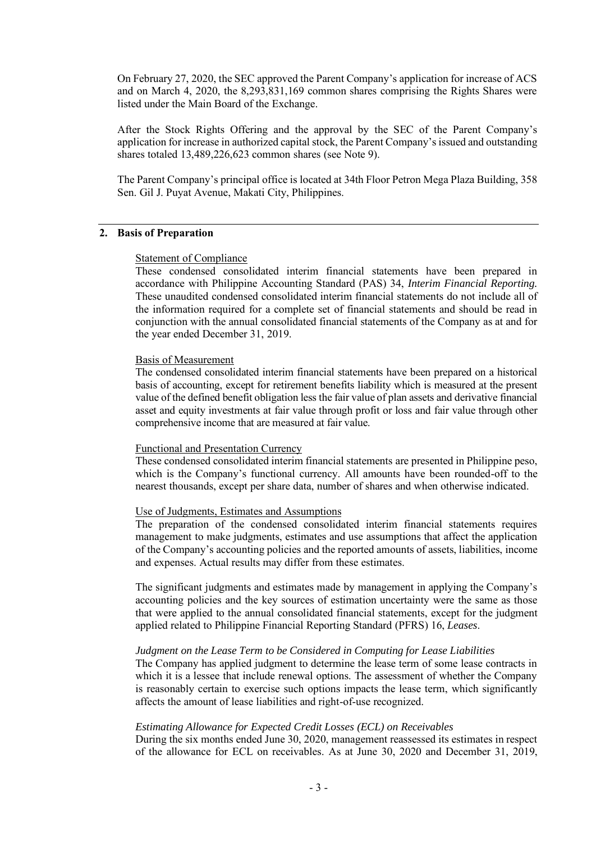On February 27, 2020, the SEC approved the Parent Company's application for increase of ACS and on March 4, 2020, the 8,293,831,169 common shares comprising the Rights Shares were listed under the Main Board of the Exchange.

After the Stock Rights Offering and the approval by the SEC of the Parent Company's application for increase in authorized capital stock, the Parent Company's issued and outstanding shares totaled 13,489,226,623 common shares (see Note 9).

The Parent Company's principal office is located at 34th Floor Petron Mega Plaza Building, 358 Sen. Gil J. Puyat Avenue, Makati City, Philippines.

### **2. Basis of Preparation**

### Statement of Compliance

These condensed consolidated interim financial statements have been prepared in accordance with Philippine Accounting Standard (PAS) 34, *Interim Financial Reporting.*  These unaudited condensed consolidated interim financial statements do not include all of the information required for a complete set of financial statements and should be read in conjunction with the annual consolidated financial statements of the Company as at and for the year ended December 31, 2019.

### Basis of Measurement

The condensed consolidated interim financial statements have been prepared on a historical basis of accounting, except for retirement benefits liability which is measured at the present value of the defined benefit obligation less the fair value of plan assets and derivative financial asset and equity investments at fair value through profit or loss and fair value through other comprehensive income that are measured at fair value.

#### Functional and Presentation Currency

These condensed consolidated interim financial statements are presented in Philippine peso, which is the Company's functional currency. All amounts have been rounded-off to the nearest thousands, except per share data, number of shares and when otherwise indicated.

### Use of Judgments, Estimates and Assumptions

The preparation of the condensed consolidated interim financial statements requires management to make judgments, estimates and use assumptions that affect the application of the Company's accounting policies and the reported amounts of assets, liabilities, income and expenses. Actual results may differ from these estimates.

The significant judgments and estimates made by management in applying the Company's accounting policies and the key sources of estimation uncertainty were the same as those that were applied to the annual consolidated financial statements, except for the judgment applied related to Philippine Financial Reporting Standard (PFRS) 16, *Leases*.

### *Judgment on the Lease Term to be Considered in Computing for Lease Liabilities*

The Company has applied judgment to determine the lease term of some lease contracts in which it is a lessee that include renewal options. The assessment of whether the Company is reasonably certain to exercise such options impacts the lease term, which significantly affects the amount of lease liabilities and right-of-use recognized.

### *Estimating Allowance for Expected Credit Losses (ECL) on Receivables*

During the six months ended June 30, 2020, management reassessed its estimates in respect of the allowance for ECL on receivables. As at June 30, 2020 and December 31, 2019,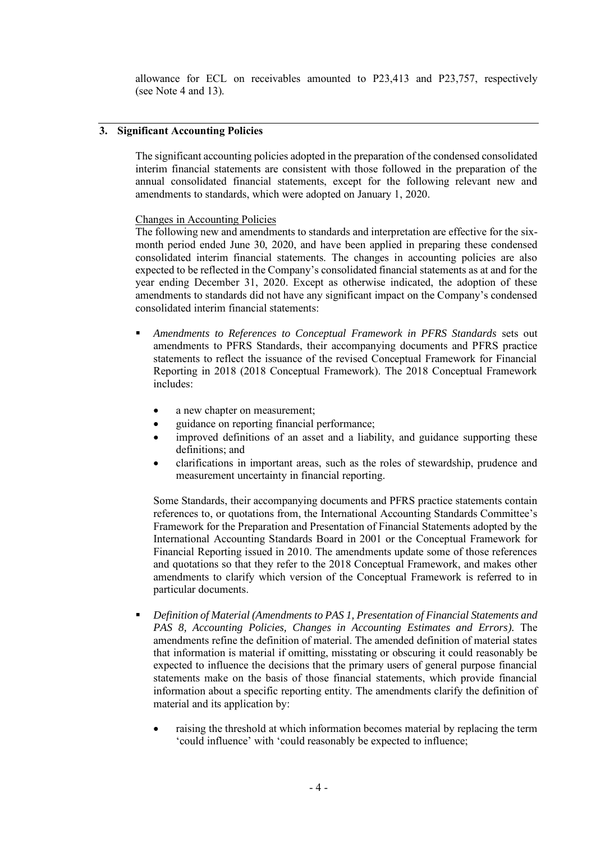allowance for ECL on receivables amounted to P23,413 and P23,757, respectively (see Note 4 and 13).

# **3. Significant Accounting Policies**

The significant accounting policies adopted in the preparation of the condensed consolidated interim financial statements are consistent with those followed in the preparation of the annual consolidated financial statements, except for the following relevant new and amendments to standards, which were adopted on January 1, 2020.

# Changes in Accounting Policies

The following new and amendments to standards and interpretation are effective for the sixmonth period ended June 30, 2020, and have been applied in preparing these condensed consolidated interim financial statements. The changes in accounting policies are also expected to be reflected in the Company's consolidated financial statements as at and for the year ending December 31, 2020. Except as otherwise indicated, the adoption of these amendments to standards did not have any significant impact on the Company's condensed consolidated interim financial statements:

- *Amendments to References to Conceptual Framework in PFRS Standards* sets out amendments to PFRS Standards, their accompanying documents and PFRS practice statements to reflect the issuance of the revised Conceptual Framework for Financial Reporting in 2018 (2018 Conceptual Framework). The 2018 Conceptual Framework includes:
	- a new chapter on measurement;
	- guidance on reporting financial performance;
	- improved definitions of an asset and a liability, and guidance supporting these definitions; and
	- clarifications in important areas, such as the roles of stewardship, prudence and measurement uncertainty in financial reporting.

Some Standards, their accompanying documents and PFRS practice statements contain references to, or quotations from, the International Accounting Standards Committee's Framework for the Preparation and Presentation of Financial Statements adopted by the International Accounting Standards Board in 2001 or the Conceptual Framework for Financial Reporting issued in 2010. The amendments update some of those references and quotations so that they refer to the 2018 Conceptual Framework, and makes other amendments to clarify which version of the Conceptual Framework is referred to in particular documents.

- *Definition of Material (Amendments to PAS 1, Presentation of Financial Statements and*  PAS 8, Accounting Policies, Changes in Accounting Estimates and Errors). The amendments refine the definition of material. The amended definition of material states that information is material if omitting, misstating or obscuring it could reasonably be expected to influence the decisions that the primary users of general purpose financial statements make on the basis of those financial statements, which provide financial information about a specific reporting entity. The amendments clarify the definition of material and its application by:
	- raising the threshold at which information becomes material by replacing the term 'could influence' with 'could reasonably be expected to influence;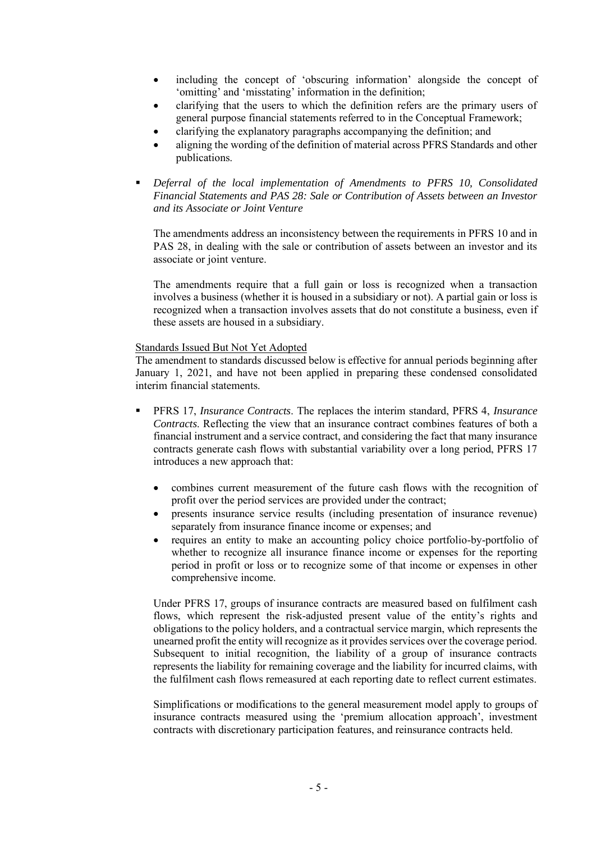- including the concept of 'obscuring information' alongside the concept of 'omitting' and 'misstating' information in the definition;
- clarifying that the users to which the definition refers are the primary users of general purpose financial statements referred to in the Conceptual Framework;
- clarifying the explanatory paragraphs accompanying the definition; and
- aligning the wording of the definition of material across PFRS Standards and other publications.
- *Deferral of the local implementation of Amendments to PFRS 10, Consolidated Financial Statements and PAS 28: Sale or Contribution of Assets between an Investor and its Associate or Joint Venture*

The amendments address an inconsistency between the requirements in PFRS 10 and in PAS 28, in dealing with the sale or contribution of assets between an investor and its associate or joint venture.

The amendments require that a full gain or loss is recognized when a transaction involves a business (whether it is housed in a subsidiary or not). A partial gain or loss is recognized when a transaction involves assets that do not constitute a business, even if these assets are housed in a subsidiary.

### Standards Issued But Not Yet Adopted

The amendment to standards discussed below is effective for annual periods beginning after January 1, 2021, and have not been applied in preparing these condensed consolidated interim financial statements.

- PFRS 17, *Insurance Contracts*. The replaces the interim standard, PFRS 4, *Insurance Contracts*. Reflecting the view that an insurance contract combines features of both a financial instrument and a service contract, and considering the fact that many insurance contracts generate cash flows with substantial variability over a long period, PFRS 17 introduces a new approach that:
	- combines current measurement of the future cash flows with the recognition of profit over the period services are provided under the contract;
	- presents insurance service results (including presentation of insurance revenue) separately from insurance finance income or expenses; and
	- requires an entity to make an accounting policy choice portfolio-by-portfolio of whether to recognize all insurance finance income or expenses for the reporting period in profit or loss or to recognize some of that income or expenses in other comprehensive income.

Under PFRS 17, groups of insurance contracts are measured based on fulfilment cash flows, which represent the risk-adjusted present value of the entity's rights and obligations to the policy holders, and a contractual service margin, which represents the unearned profit the entity will recognize as it provides services over the coverage period. Subsequent to initial recognition, the liability of a group of insurance contracts represents the liability for remaining coverage and the liability for incurred claims, with the fulfilment cash flows remeasured at each reporting date to reflect current estimates.

Simplifications or modifications to the general measurement model apply to groups of insurance contracts measured using the 'premium allocation approach', investment contracts with discretionary participation features, and reinsurance contracts held.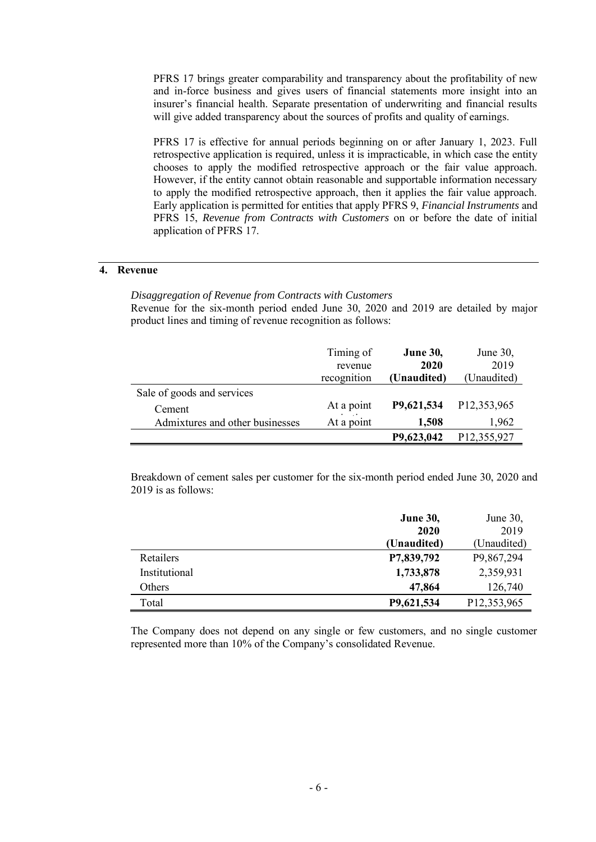PFRS 17 brings greater comparability and transparency about the profitability of new and in-force business and gives users of financial statements more insight into an insurer's financial health. Separate presentation of underwriting and financial results will give added transparency about the sources of profits and quality of earnings.

PFRS 17 is effective for annual periods beginning on or after January 1, 2023. Full retrospective application is required, unless it is impracticable, in which case the entity chooses to apply the modified retrospective approach or the fair value approach. However, if the entity cannot obtain reasonable and supportable information necessary to apply the modified retrospective approach, then it applies the fair value approach. Early application is permitted for entities that apply PFRS 9, *Financial Instruments* and PFRS 15, *Revenue from Contracts with Customers* on or before the date of initial application of PFRS 17.

# **4. Revenue**

*Disaggregation of Revenue from Contracts with Customers*

Revenue for the six-month period ended June 30, 2020 and 2019 are detailed by major product lines and timing of revenue recognition as follows:

|                                 | Timing of<br>revenue    | <b>June 30,</b><br>2020 | June $30$ ,<br>2019 |
|---------------------------------|-------------------------|-------------------------|---------------------|
|                                 | recognition             | (Unaudited)             | (Unaudited)         |
| Sale of goods and services      |                         |                         |                     |
| Cement                          | At a point<br>$\cdot$ . | P9,621,534              | P12,353,965         |
| Admixtures and other businesses | At a point              | 1,508                   | 1,962               |
|                                 |                         | P9,623,042              | P12,355,927         |

Breakdown of cement sales per customer for the six-month period ended June 30, 2020 and 2019 is as follows:

|               | <b>June 30,</b> | June 30,    |
|---------------|-----------------|-------------|
|               | 2020            | 2019        |
|               | (Unaudited)     | (Unaudited) |
| Retailers     | P7,839,792      | P9,867,294  |
| Institutional | 1,733,878       | 2,359,931   |
| Others        | 47,864          | 126,740     |
| Total         | P9,621,534      | P12,353,965 |

The Company does not depend on any single or few customers, and no single customer represented more than 10% of the Company's consolidated Revenue.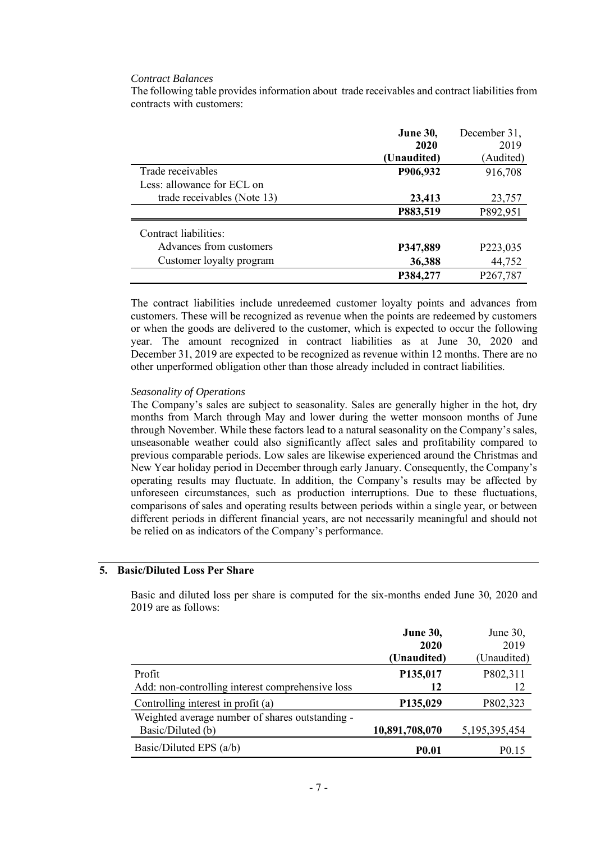### *Contract Balances*

The following table provides information about trade receivables and contract liabilities from contracts with customers:

|                             | <b>June 30,</b> | December 31,          |
|-----------------------------|-----------------|-----------------------|
|                             | 2020            | 2019                  |
|                             | (Unaudited)     | (Audited)             |
| Trade receivables           | P906,932        | 916,708               |
| Less: allowance for ECL on  |                 |                       |
| trade receivables (Note 13) | 23,413          | 23,757                |
|                             | P883,519        | P892,951              |
| Contract liabilities:       |                 |                       |
| Advances from customers     | P347,889        | P223,035              |
| Customer loyalty program    | 36,388          | 44,752                |
|                             | P384,277        | P <sub>267</sub> ,787 |

The contract liabilities include unredeemed customer loyalty points and advances from customers. These will be recognized as revenue when the points are redeemed by customers or when the goods are delivered to the customer, which is expected to occur the following year. The amount recognized in contract liabilities as at June 30, 2020 and December 31, 2019 are expected to be recognized as revenue within 12 months. There are no other unperformed obligation other than those already included in contract liabilities.

### *Seasonality of Operations*

The Company's sales are subject to seasonality. Sales are generally higher in the hot, dry months from March through May and lower during the wetter monsoon months of June through November. While these factors lead to a natural seasonality on the Company's sales, unseasonable weather could also significantly affect sales and profitability compared to previous comparable periods. Low sales are likewise experienced around the Christmas and New Year holiday period in December through early January. Consequently, the Company's operating results may fluctuate. In addition, the Company's results may be affected by unforeseen circumstances, such as production interruptions. Due to these fluctuations, comparisons of sales and operating results between periods within a single year, or between different periods in different financial years, are not necessarily meaningful and should not be relied on as indicators of the Company's performance.

# **5. Basic/Diluted Loss Per Share**

Basic and diluted loss per share is computed for the six-months ended June 30, 2020 and 2019 are as follows:

|                                                  | <b>June 30,</b> | June 30,          |
|--------------------------------------------------|-----------------|-------------------|
|                                                  | 2020            | 2019              |
|                                                  | (Unaudited)     | (Unaudited)       |
| Profit                                           | P135,017        | P802,311          |
| Add: non-controlling interest comprehensive loss | 12              | 12                |
| Controlling interest in profit (a)               | P135,029        | P802,323          |
| Weighted average number of shares outstanding -  |                 |                   |
| Basic/Diluted (b)                                | 10,891,708,070  | 5,195,395,454     |
| Basic/Diluted EPS (a/b)                          | <b>P0.01</b>    | P <sub>0.15</sub> |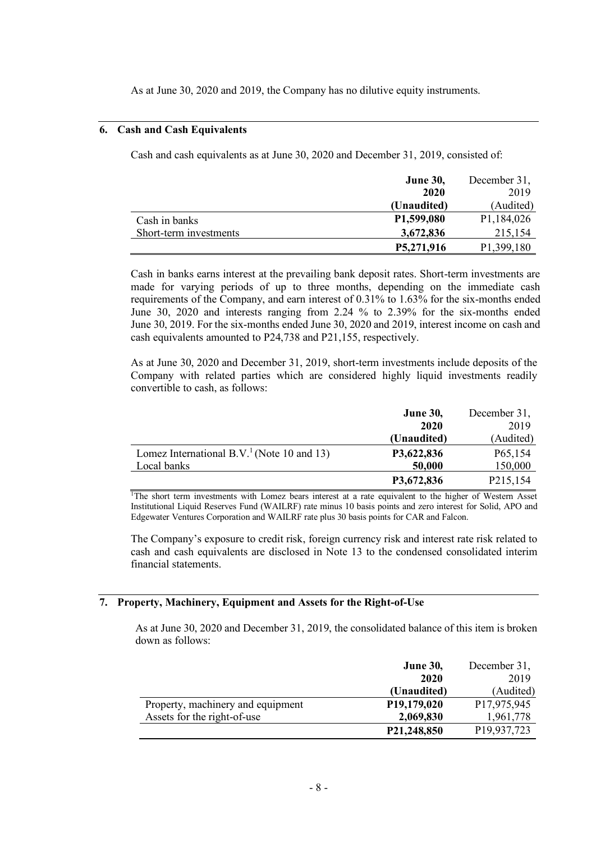As at June 30, 2020 and 2019, the Company has no dilutive equity instruments.

# **6. Cash and Cash Equivalents**

Cash and cash equivalents as at June 30, 2020 and December 31, 2019, consisted of:

|                        | <b>June 30,</b> | December 31,            |
|------------------------|-----------------|-------------------------|
|                        | 2020            | 2019                    |
|                        | (Unaudited)     | (Audited)               |
| Cash in banks          | P1,599,080      | P <sub>1</sub> ,184,026 |
| Short-term investments | 3,672,836       | 215,154                 |
|                        | P5,271,916      | P1,399,180              |

Cash in banks earns interest at the prevailing bank deposit rates. Short-term investments are made for varying periods of up to three months, depending on the immediate cash requirements of the Company, and earn interest of 0.31% to 1.63% for the six-months ended June 30, 2020 and interests ranging from 2.24 % to 2.39% for the six-months ended June 30, 2019. For the six-months ended June 30, 2020 and 2019, interest income on cash and cash equivalents amounted to P24,738 and P21,155, respectively.

As at June 30, 2020 and December 31, 2019, short-term investments include deposits of the Company with related parties which are considered highly liquid investments readily convertible to cash, as follows:

|                                                        | <b>June 30,</b> | December 31,         |
|--------------------------------------------------------|-----------------|----------------------|
|                                                        | 2020            | 2019                 |
|                                                        | (Unaudited)     | (Audited)            |
| Lomez International B.V. <sup>1</sup> (Note 10 and 13) | P3,622,836      | P <sub>65</sub> ,154 |
| Local banks                                            | 50,000          | 150,000              |
|                                                        | P3,672,836      | P215,154             |

<sup>1</sup>The short term investments with Lomez bears interest at a rate equivalent to the higher of Western Asset Institutional Liquid Reserves Fund (WAILRF) rate minus 10 basis points and zero interest for Solid, APO and Edgewater Ventures Corporation and WAILRF rate plus 30 basis points for CAR and Falcon.

The Company's exposure to credit risk, foreign currency risk and interest rate risk related to cash and cash equivalents are disclosed in Note 13 to the condensed consolidated interim financial statements.

# **7. Property, Machinery, Equipment and Assets for the Right-of-Use**

As at June 30, 2020 and December 31, 2019, the consolidated balance of this item is broken down as follows:

|                                   | <b>June 30,</b>          | December 31, |
|-----------------------------------|--------------------------|--------------|
|                                   | 2020                     | 2019         |
|                                   | (Unaudited)              | (Audited)    |
| Property, machinery and equipment | P <sub>19</sub> ,179,020 | P17,975,945  |
| Assets for the right-of-use       | 2,069,830                | 1,961,778    |
|                                   | P21,248,850              | P19,937,723  |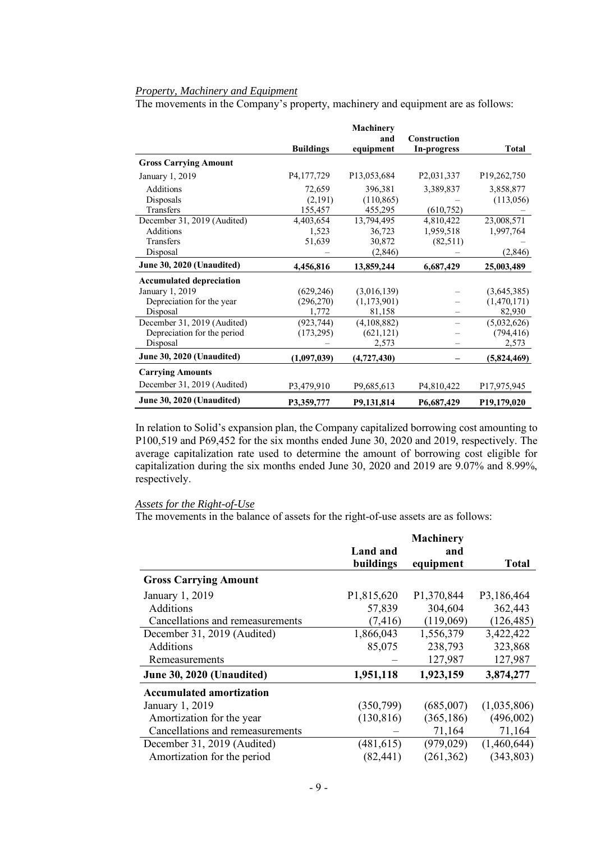# *Property, Machinery and Equipment*

The movements in the Company's property, machinery and equipment are as follows:

|                                 |                  | Machinery                 |                         |                          |
|---------------------------------|------------------|---------------------------|-------------------------|--------------------------|
|                                 | <b>Buildings</b> | and<br>equipment          | <b>Construction</b>     | <b>Total</b>             |
|                                 |                  |                           | In-progress             |                          |
| <b>Gross Carrying Amount</b>    |                  |                           |                         |                          |
| January 1, 2019                 | P4,177,729       | P13,053,684               | P <sub>2</sub> ,031,337 | P <sub>19</sub> ,262,750 |
| Additions                       | 72,659           | 396,381                   | 3,389,837               | 3,858,877                |
| Disposals                       | (2,191)          | (110, 865)                |                         | (113,056)                |
| Transfers                       | 155,457          | 455,295                   | (610, 752)              |                          |
| December 31, 2019 (Audited)     | 4,403,654        | 13,794,495                | 4,810,422               | 23,008,571               |
| Additions                       | 1,523            | 36,723                    | 1,959,518               | 1,997,764                |
| Transfers                       | 51,639           | 30,872                    | (82,511)                |                          |
| Disposal                        |                  | (2, 846)                  |                         | (2,846)                  |
| June 30, 2020 (Unaudited)       | 4,456,816        | 13,859,244                | 6,687,429               | 25,003,489               |
| <b>Accumulated depreciation</b> |                  |                           |                         |                          |
| January 1, 2019                 | (629, 246)       | (3,016,139)               |                         | (3,645,385)              |
| Depreciation for the year       | (296, 270)       | (1,173,901)               |                         | (1,470,171)              |
| Disposal                        | 1,772            | 81,158                    |                         | 82,930                   |
| December 31, 2019 (Audited)     | (923, 744)       | (4,108,882)               |                         | (5,032,626)              |
| Depreciation for the period     | (173, 295)       | (621, 121)                |                         | (794, 416)               |
| Disposal                        |                  | 2,573                     |                         | 2,573                    |
| June 30, 2020 (Unaudited)       | (1,097,039)      | (4,727,430)               |                         | (5,824,469)              |
| <b>Carrying Amounts</b>         |                  |                           |                         |                          |
| December 31, 2019 (Audited)     | P3,479,910       | P <sub>9</sub> , 685, 613 | P <sub>4</sub> ,810,422 | P17,975,945              |
| June 30, 2020 (Unaudited)       | P3,359,777       | P9,131,814                | P6,687,429              | P <sub>19</sub> ,179,020 |

In relation to Solid's expansion plan, the Company capitalized borrowing cost amounting to P100,519 and P69,452 for the six months ended June 30, 2020 and 2019, respectively. The average capitalization rate used to determine the amount of borrowing cost eligible for capitalization during the six months ended June 30, 2020 and 2019 are 9.07% and 8.99%, respectively.

### *Assets for the Right-of-Use*

The movements in the balance of assets for the right-of-use assets are as follows:

|                                  |            | Machinery  |             |
|----------------------------------|------------|------------|-------------|
|                                  | Land and   | and        |             |
|                                  | buildings  | equipment  | Total       |
| <b>Gross Carrying Amount</b>     |            |            |             |
| January 1, 2019                  | P1,815,620 | P1,370,844 | P3,186,464  |
| Additions                        | 57,839     | 304,604    | 362,443     |
| Cancellations and remeasurements | (7, 416)   | (119,069)  | (126, 485)  |
| December 31, 2019 (Audited)      | 1,866,043  | 1,556,379  | 3,422,422   |
| Additions                        | 85,075     | 238,793    | 323,868     |
| Remeasurements                   |            | 127,987    | 127,987     |
| June 30, 2020 (Unaudited)        | 1,951,118  | 1,923,159  | 3,874,277   |
| <b>Accumulated amortization</b>  |            |            |             |
| January 1, 2019                  | (350, 799) | (685,007)  | (1,035,806) |
| Amortization for the year        | (130, 816) | (365, 186) | (496,002)   |
| Cancellations and remeasurements |            | 71,164     | 71,164      |
| December 31, 2019 (Audited)      | (481, 615) | (979, 029) | (1,460,644) |
| Amortization for the period      | (82, 441)  | (261, 362) | (343, 803)  |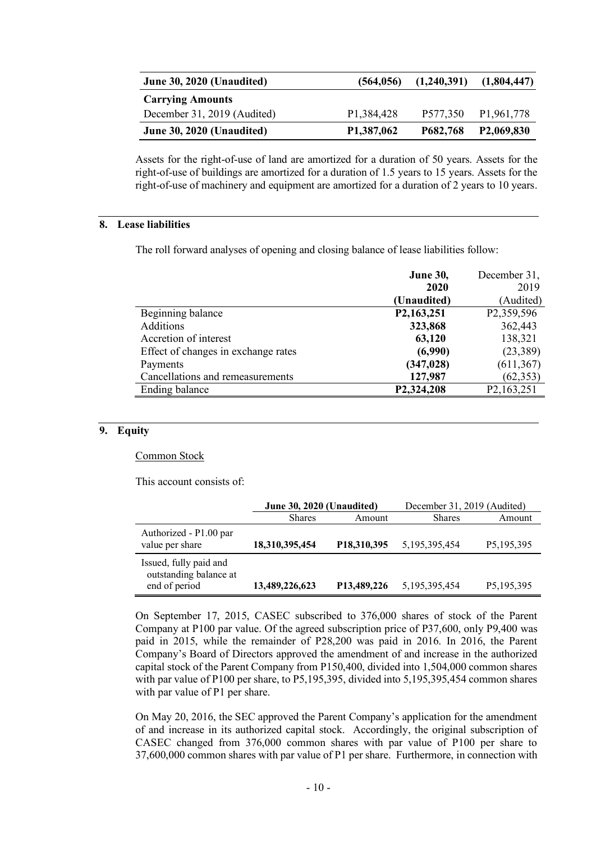| June 30, 2020 (Unaudited)   | (564, 056)              | (1,240,391) | (1,804,447)             |
|-----------------------------|-------------------------|-------------|-------------------------|
| <b>Carrying Amounts</b>     |                         |             |                         |
| December 31, 2019 (Audited) | P <sub>1</sub> ,384,428 | P577,350    | P <sub>1</sub> ,961,778 |
| June 30, 2020 (Unaudited)   | P <sub>1</sub> ,387,062 | P682,768    | P <sub>2</sub> ,069,830 |

Assets for the right-of-use of land are amortized for a duration of 50 years. Assets for the right-of-use of buildings are amortized for a duration of 1.5 years to 15 years. Assets for the right-of-use of machinery and equipment are amortized for a duration of 2 years to 10 years.

# **8. Lease liabilities**

The roll forward analyses of opening and closing balance of lease liabilities follow:

|                                     | <b>June 30,</b>         | December 31,              |
|-------------------------------------|-------------------------|---------------------------|
|                                     | 2020                    | 2019                      |
|                                     | (Unaudited)             | (Audited)                 |
| Beginning balance                   | P <sub>2</sub> ,163,251 | P2,359,596                |
| Additions                           | 323,868                 | 362,443                   |
| Accretion of interest               | 63,120                  | 138,321                   |
| Effect of changes in exchange rates | (6,990)                 | (23, 389)                 |
| Payments                            | (347, 028)              | (611, 367)                |
| Cancellations and remeasurements    | 127,987                 | (62, 353)                 |
| Ending balance                      | P <sub>2</sub> ,324,208 | P <sub>2</sub> , 163, 251 |
|                                     |                         |                           |

# **9. Equity**

### Common Stock

This account consists of:

|                                                                   | June 30, 2020 (Unaudited) |                            | December 31, 2019 (Audited) |            |
|-------------------------------------------------------------------|---------------------------|----------------------------|-----------------------------|------------|
|                                                                   | <b>Shares</b>             | Amount                     | <b>Shares</b>               | Amount     |
| Authorized - P1.00 par<br>value per share                         | 18,310,395,454            | P <sub>18</sub> , 310, 395 | 5, 195, 395, 454            | P5,195,395 |
| Issued, fully paid and<br>outstanding balance at<br>end of period | 13,489,226,623            | P13,489,226                | 5,195,395,454               | P5,195,395 |

On September 17, 2015, CASEC subscribed to 376,000 shares of stock of the Parent Company at P100 par value. Of the agreed subscription price of P37,600, only P9,400 was paid in 2015, while the remainder of P28,200 was paid in 2016. In 2016, the Parent Company's Board of Directors approved the amendment of and increase in the authorized capital stock of the Parent Company from P150,400, divided into 1,504,000 common shares with par value of P100 per share, to P5,195,395, divided into 5,195,395,454 common shares with par value of P1 per share.

On May 20, 2016, the SEC approved the Parent Company's application for the amendment of and increase in its authorized capital stock. Accordingly, the original subscription of CASEC changed from 376,000 common shares with par value of P100 per share to 37,600,000 common shares with par value of P1 per share. Furthermore, in connection with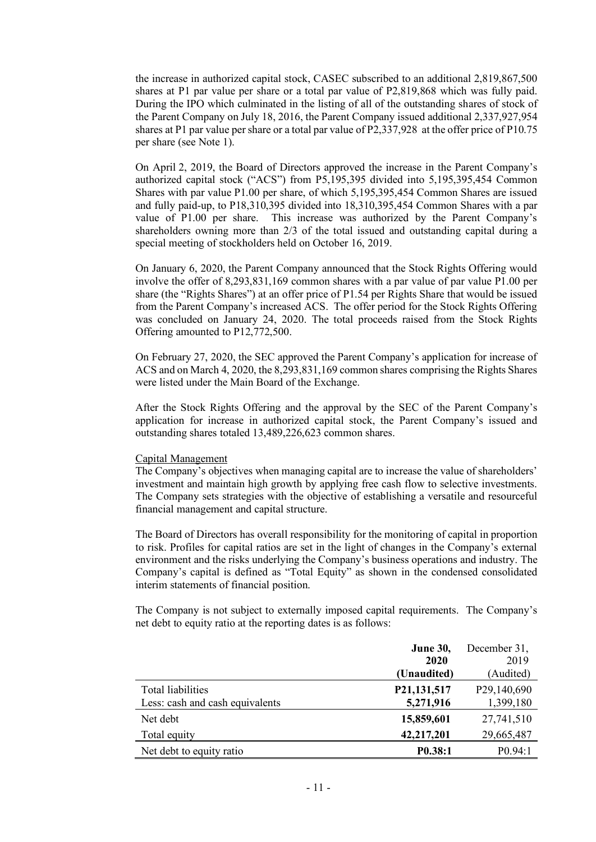the increase in authorized capital stock, CASEC subscribed to an additional 2,819,867,500 shares at P1 par value per share or a total par value of P2,819,868 which was fully paid. During the IPO which culminated in the listing of all of the outstanding shares of stock of the Parent Company on July 18, 2016, the Parent Company issued additional 2,337,927,954 shares at P1 par value pershare or a total par value of P2,337,928 at the offer price of P10.75 per share (see Note 1).

On April 2, 2019, the Board of Directors approved the increase in the Parent Company's authorized capital stock ("ACS") from P5,195,395 divided into 5,195,395,454 Common Shares with par value P1.00 per share, of which 5,195,395,454 Common Shares are issued and fully paid-up, to P18,310,395 divided into 18,310,395,454 Common Shares with a par value of P1.00 per share. This increase was authorized by the Parent Company's shareholders owning more than 2/3 of the total issued and outstanding capital during a special meeting of stockholders held on October 16, 2019.

On January 6, 2020, the Parent Company announced that the Stock Rights Offering would involve the offer of 8,293,831,169 common shares with a par value of par value P1.00 per share (the "Rights Shares") at an offer price of P1.54 per Rights Share that would be issued from the Parent Company's increased ACS. The offer period for the Stock Rights Offering was concluded on January 24, 2020. The total proceeds raised from the Stock Rights Offering amounted to P12,772,500.

On February 27, 2020, the SEC approved the Parent Company's application for increase of ACS and on March 4, 2020, the 8,293,831,169 common shares comprising the Rights Shares were listed under the Main Board of the Exchange.

After the Stock Rights Offering and the approval by the SEC of the Parent Company's application for increase in authorized capital stock, the Parent Company's issued and outstanding shares totaled 13,489,226,623 common shares.

## Capital Management

The Company's objectives when managing capital are to increase the value of shareholders' investment and maintain high growth by applying free cash flow to selective investments. The Company sets strategies with the objective of establishing a versatile and resourceful financial management and capital structure.

The Board of Directors has overall responsibility for the monitoring of capital in proportion to risk. Profiles for capital ratios are set in the light of changes in the Company's external environment and the risks underlying the Company's business operations and industry. The Company's capital is defined as "Total Equity" as shown in the condensed consolidated interim statements of financial position.

The Company is not subject to externally imposed capital requirements. The Company's net debt to equity ratio at the reporting dates is as follows:

|                                 | <b>June 30,</b>      | December 31,             |
|---------------------------------|----------------------|--------------------------|
|                                 | 2020                 | 2019                     |
|                                 | (Unaudited)          | (Audited)                |
| Total liabilities               | P21,131,517          | P <sub>29</sub> ,140,690 |
| Less: cash and cash equivalents | 5,271,916            | 1,399,180                |
| Net debt                        | 15,859,601           | 27,741,510               |
| Total equity                    | 42,217,201           | 29,665,487               |
| Net debt to equity ratio        | P <sub>0.38</sub> :1 | P(0.94:1)                |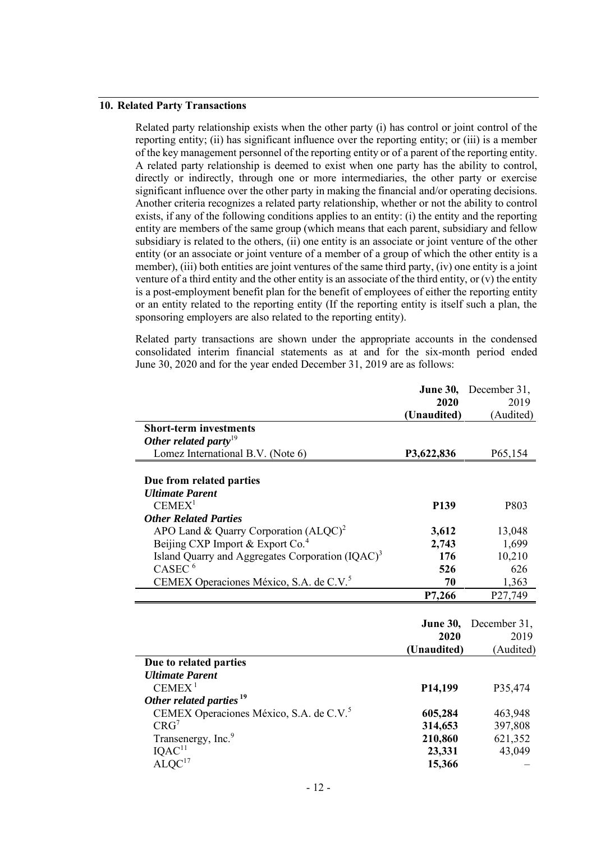# **10. Related Party Transactions**

Related party relationship exists when the other party (i) has control or joint control of the reporting entity; (ii) has significant influence over the reporting entity; or (iii) is a member of the key management personnel of the reporting entity or of a parent of the reporting entity. A related party relationship is deemed to exist when one party has the ability to control, directly or indirectly, through one or more intermediaries, the other party or exercise significant influence over the other party in making the financial and/or operating decisions. Another criteria recognizes a related party relationship, whether or not the ability to control exists, if any of the following conditions applies to an entity: (i) the entity and the reporting entity are members of the same group (which means that each parent, subsidiary and fellow subsidiary is related to the others, (ii) one entity is an associate or joint venture of the other entity (or an associate or joint venture of a member of a group of which the other entity is a member), (iii) both entities are joint ventures of the same third party, (iv) one entity is a joint venture of a third entity and the other entity is an associate of the third entity, or (v) the entity is a post-employment benefit plan for the benefit of employees of either the reporting entity or an entity related to the reporting entity (If the reporting entity is itself such a plan, the sponsoring employers are also related to the reporting entity).

Related party transactions are shown under the appropriate accounts in the condensed consolidated interim financial statements as at and for the six-month period ended June 30, 2020 and for the year ended December 31, 2019 are as follows:

|                                                              | <b>June 30,</b>      | December 31, |
|--------------------------------------------------------------|----------------------|--------------|
|                                                              | 2020                 | 2019         |
|                                                              | (Unaudited)          | (Audited)    |
| <b>Short-term investments</b>                                |                      |              |
| Other related party <sup>19</sup>                            |                      |              |
| Lomez International B.V. (Note 6)                            | P3,622,836           | P65,154      |
|                                                              |                      |              |
| Due from related parties                                     |                      |              |
| <b>Ultimate Parent</b>                                       |                      |              |
| CEMEX <sup>1</sup>                                           | <b>P139</b>          | P803         |
| <b>Other Related Parties</b>                                 |                      |              |
| APO Land & Quarry Corporation $(ALQC)^2$                     | 3,612                | 13,048       |
| Beijing CXP Import & Export Co. <sup>4</sup>                 | 2,743                | 1,699        |
| Island Quarry and Aggregates Corporation (IQAC) <sup>3</sup> | 176                  | 10,210       |
| CASEC <sup>6</sup>                                           | 526                  | 626          |
| CEMEX Operaciones México, S.A. de C.V. <sup>5</sup>          | 70                   | 1,363        |
|                                                              | P7,266               | P27,749      |
|                                                              |                      |              |
|                                                              | <b>June 30,</b>      | December 31, |
|                                                              | 2020                 | 2019         |
|                                                              | (Unaudited)          | (Audited)    |
| Due to related parties                                       |                      |              |
| <b>Ultimate Parent</b>                                       |                      |              |
| CEMEX <sup>1</sup>                                           | P <sub>14</sub> ,199 | P35,474      |
| Other related parties <sup>19</sup>                          |                      |              |
| CEMEX Operaciones México, S.A. de C.V. <sup>5</sup>          | 605,284              | 463,948      |
| CRG <sup>7</sup>                                             | 314,653              | 397,808      |
| Transenergy, Inc. <sup>9</sup>                               | 210,860              | 621,352      |
| $IQAC$ <sup>11</sup>                                         | 23,331               | 43,049       |
| ALQC <sup>17</sup>                                           | 15,366               |              |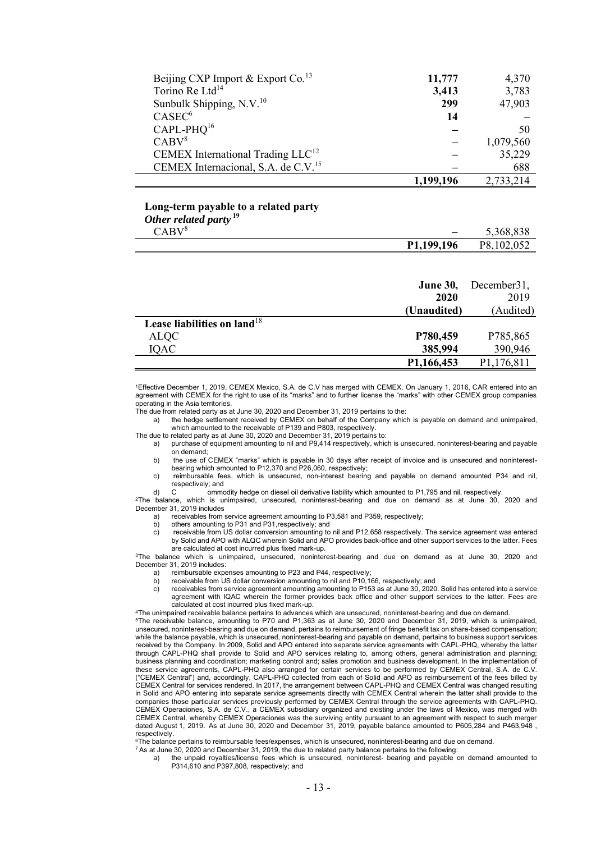| Beijing CXP Import & Export Co. <sup>13</sup>   | 11,777    | 4,370     |
|-------------------------------------------------|-----------|-----------|
| Torino Re Ltd <sup>14</sup>                     | 3,413     | 3,783     |
| Sunbulk Shipping, N.V. <sup>10</sup>            | 299       | 47,903    |
| $CASEC^6$                                       | 14        |           |
| $CAPL-PHQ16$                                    |           | 50        |
| CABV <sup>8</sup>                               |           | 1,079,560 |
| CEMEX International Trading $LLC^{12}$          |           | 35,229    |
| CEMEX Internacional, S.A. de C.V. <sup>15</sup> |           | 688       |
|                                                 | 1,199,196 | 2,733,214 |

#### **Long-term payable to a related party** *Other related party* **<sup>19</sup>**

 $\overline{\phantom{0}}$ 

|                            | P1,199,196               | P8,102,052 |
|----------------------------|--------------------------|------------|
| CABV <sup>8</sup>          | $\overline{\phantom{0}}$ | 5,368,838  |
| <b>Olher retated party</b> |                          |            |

|                                | <b>June 30,</b> | December 31, |
|--------------------------------|-----------------|--------------|
|                                | 2020            | 2019         |
|                                | (Unaudited)     | (Audited)    |
| Lease liabilities on land $18$ |                 |              |
| <b>ALQC</b>                    | P780,459        | P785,865     |
| <b>IQAC</b>                    | 385,994         | 390,946      |
|                                | P1,166,453      | P1,176,811   |

<sup>1</sup>Effective December 1, 2019, CEMEX Mexico, S.A. de C.V has merged with CEMEX. On January 1, 2016, CAR entered into an agreement with CEMEX for the right to use of its "marks" and to further license the "marks" with other CEMEX group companies operating in the Asia territories.

The due from related party as at June 30, 2020 and December 31, 2019 pertains to the:

a) the hedge settlement received by CEMEX on behalf of the Company which is payable on demand and unimpaired, which amounted to the receivable of P139 and P803, respectively.

The due to related party as at June 30, 2020 and December 31, 2019 pertains to:

- a) purchase of equipment amounting to nil and P9,414 respectively, which is unsecured, noninterest-bearing and payable on demand;
- b) the use of CEMEX "marks" which is payable in 30 days after receipt of invoice and is unsecured and noninterest-bearing which amounted to P12,370 and P26,060, respectively;
- c) reimbursable fees, which is unsecured, non-interest bearing and payable on demand amounted P34 and nil, respectively; and

d) C ommodity hedge on diesel oil derivative liability which amounted to P1,795 and nil, respectively. <sup>2</sup>The balance, which is unimpaired, unsecured, noninterest-bearing and due on demand as at June 30, 2020 and December 31, 2019 includes<br>a) receivables from s

a) receivables from service agreement amounting to P3,581 and P359, respectively<br>b) others amounting to P31 and P31 respectively: and

- b) others amounting to P31 and P31, respectively; and c) receivable from US dollar conversion amounting to
- c) receivable from US dollar conversion amounting to nil and P12,658 respectively. The service agreement was entered by Solid and APO with ALQC wherein Solid and APO provides back-office and other support services to the latter. Fees are calculated at cost incurred plus fixed mark-up.

<sup>3</sup>The balance which is unimpaired, unsecured, noninterest-bearing and due on demand as at June 30, 2020 and December 31, 2019 includes:<br>a) reimbursable expe

a) reimbursable expenses amounting to P23 and P44, respectively;<br>b) receivable from US dollar conversion amounting to nil and P10.1

- b) receivable from US dollar conversion amounting to nil and P10,166, respectively; and<br>c) receivables from service agreement amounting amounting to P153 as at June 30, 2020
- receivables from service agreement amounting amounting to P153 as at June 30, 2020. Solid has entered into a service agreement with IQAC wherein the former provides back office and other support services to the latter. Fees are calculated at cost incurred plus fixed mark-up.

<sup>4</sup>The unimpaired receivable balance pertains to advances which are unsecured, noninterest-bearing and due on demand.

<sup>5</sup>The receivable balance, amounting to P70 and P1,363 as at June 30, 2020 and December 31, 2019, which is unimpaired, unsecured, noninterest-bearing and due on demand, pertains to reimbursement of fringe benefit tax on share-based compensation; while the balance payable, which is unsecured, noninterest-bearing and payable on demand, pertains to business support services received by the Company. In 2009, Solid and APO entered into separate service agreements with CAPL-PHQ, whereby the latter through CAPL-PHQ shall provide to Solid and APO services relating to, among others, general administration and planning; business planning and coordination; marketing control and; sales promotion and business development. In the implementation of these service agreements, CAPL-PHQ also arranged for certain services to be performed by CEMEX Central, S.A. de C.V. ("CEMEX Central") and, accordingly, CAPL-PHQ collected from each of Solid and APO as reimbursement of the fees billed by CEMEX Central for services rendered. In 2017, the arrangement between CAPL-PHQ and CEMEX Central was changed resulting in Solid and APO entering into separate service agreements directly with CEMEX Central wherein the latter shall provide to the companies those particular services previously performed by CEMEX Central through the service agreements with CAPL-PHQ. CEMEX Operaciones, S.A. de C.V., a CEMEX subsidiary organized and existing under the laws of Mexico, was merged with CEMEX Central, whereby CEMEX Operaciones was the surviving entity pursuant to an agreement with respect to such merger<br>dated August 1, 2019. As at June 30, 2020 and December 31, 2019, payable balance amounted to P605,284 respectively.

<sup>6</sup>The balance pertains to reimbursable fees/expenses, which is unsecured, noninterest-bearing and due on demand.

- <sup>7</sup> As at June 30, 2020 and December 31, 2019, the due to related party balance pertains to the following: a) the unpaid royalties/license fees which is unsecured, noninterest- bearing and payable on demand amounted to
	- P314,610 and P397,808, respectively; and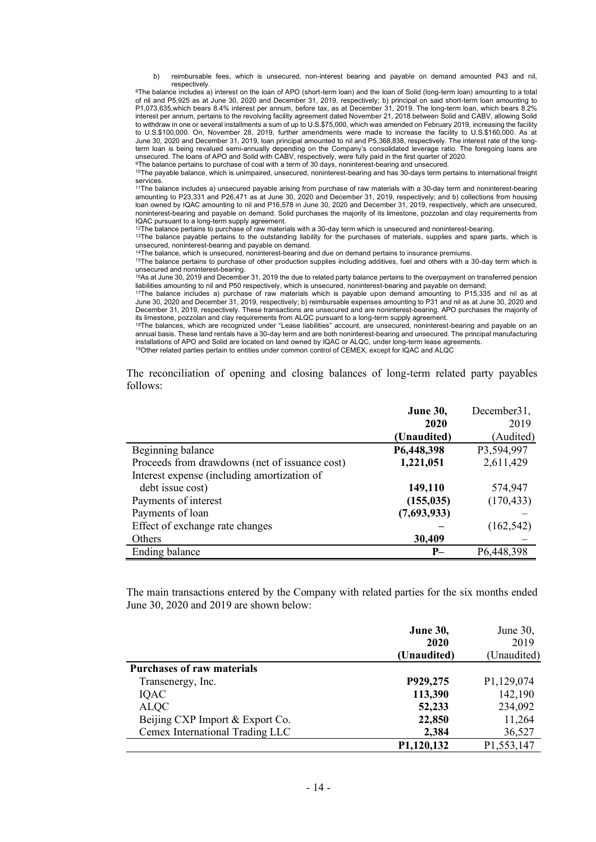b) reimbursable fees, which is unsecured, non-interest bearing and payable on demand amounted P43 and nil, respectively.

8The balance includes a) interest on the loan of APO (short-term loan) and the loan of Solid (long-term loan) amounting to a total of nil and P5,925 as at June 30, 2020 and December 31, 2019, respectively; b) principal on said short-term loan amounting to P1,073,635,which bears 8.4% interest per annum, before tax, as at December 31, 2019. The long-term loan, which bears 8.2% interest per annum, pertains to the revolving facility agreement dated November 21, 2018 between Solid and CABV, allowing Solid to withdraw in one or several installments a sum of up to U.S.\$75,000, which was amended on February 2019, increasing the facility to U.S.\$100,000. On, November 28, 2019, further amendments were made to increase the facility to U.S.\$160,000. As at June 30, 2020 and December 31, 2019, loan principal amounted to nil and P5,368,838, respectively. The interest rate of the longterm loan is being revalued semi-annually depending on the Company's consolidated leverage ratio. The foregoing loans are unsecured. The loans of APO and Solid with CABV, respectively, were fully paid in the first quarter of 2020.

<sup>9</sup>The balance pertains to purchase of coal with a term of 30 days, noninterest-bearing and unsecured.

<sup>10</sup>The payable balance, which is unimpaired, unsecured, noninterest-bearing and has 30-days term pertains to international freight services.

<sup>11</sup>The balance includes a) unsecured payable arising from purchase of raw materials with a 30-day term and noninterest-bearing amounting to P23,331 and P26,471 as at June 30, 2020 and December 31, 2019, respectively; and b) collections from housing loan owned by IQAC amounting to nil and P16,578 in June 30, 2020 and December 31, 2019, respectively, which are unsecured, noninterest-bearing and payable on demand. Solid purchases the majority of its limestone, pozzolan and clay requirements from IQAC pursuant to a long-term supply agreement.

<sup>12</sup>The balance pertains to purchase of raw materials with a 30-day term which is unsecured and noninterest-bearing.

13The balance payable pertains to the outstanding liability for the purchases of materials, supplies and spare parts, which is

unsecured, noninterest-bearing and payable on demand. <sup>14</sup>The balance, which is unsecured, noninterest-bearing and due on demand pertains to insurance premiums.

<sup>15</sup>The balance pertains to purchase of other production supplies including additives, fuel and others with a 30-day term which is unsecured and noninterest-bearing.

<sup>16</sup>As at June 30, 2019 and December 31, 2019 the due to related party balance pertains to the overpayment on transferred pension liabilities amounting to nil and P50 respectively, which is unsecured, noninterest-bearing and payable on demand;

<sup>17</sup>The balance includes a) purchase of raw materials which is payable upon demand amounting to P15,335 and nil as at June 30, 2020 and December 31, 2019, respectively; b) reimbursable expenses amounting to P31 and nil as at June 30, 2020 and December 31, 2019, respectively. These transactions are unsecured and are noninterest-bearing. APO purchases the majority of its limestone, pozzolan and clay requirements from ALQC pursuant to a long-term supply agreement.

<sup>18</sup>The balances, which are recognized under "Lease liabilities" account, are unsecured, noninterest-bearing and payable on an annual basis. These land rentals have a 30-day term and are both noninterest-bearing and unsecured. The principal manufacturing installations of APO and Solid are located on land owned by IQAC or ALQC, under long-term lease agreements.

<sup>19</sup>Other related parties pertain to entities under common control of CEMEX, except for IQAC and ALQC

The reconciliation of opening and closing balances of long-term related party payables follows:

|                                                | <b>June 30,</b> | December31, |
|------------------------------------------------|-----------------|-------------|
|                                                | 2020            | 2019        |
|                                                | (Unaudited)     | (Audited)   |
| Beginning balance                              | P6,448,398      | P3,594,997  |
| Proceeds from drawdowns (net of issuance cost) | 1,221,051       | 2,611,429   |
| Interest expense (including amortization of    |                 |             |
| debt issue cost)                               | 149,110         | 574,947     |
| Payments of interest                           | (155, 035)      | (170, 433)  |
| Payments of loan                               | (7,693,933)     |             |
| Effect of exchange rate changes                |                 | (162, 542)  |
| Others                                         | 30,409          |             |
| Ending balance                                 | $P-$            | P6,448,398  |

The main transactions entered by the Company with related parties for the six months ended June 30, 2020 and 2019 are shown below:

|                                   | <b>June 30,</b> | June 30,    |
|-----------------------------------|-----------------|-------------|
|                                   | 2020            | 2019        |
|                                   | (Unaudited)     | (Unaudited) |
| <b>Purchases of raw materials</b> |                 |             |
| Transenergy, Inc.                 | P929,275        | P1,129,074  |
| IQAC                              | 113,390         | 142,190     |
| <b>ALQC</b>                       | 52,233          | 234,092     |
| Beijing CXP Import & Export Co.   | 22,850          | 11,264      |
| Cemex International Trading LLC   | 2,384           | 36,527      |
|                                   | P1,120,132      | P1,553,147  |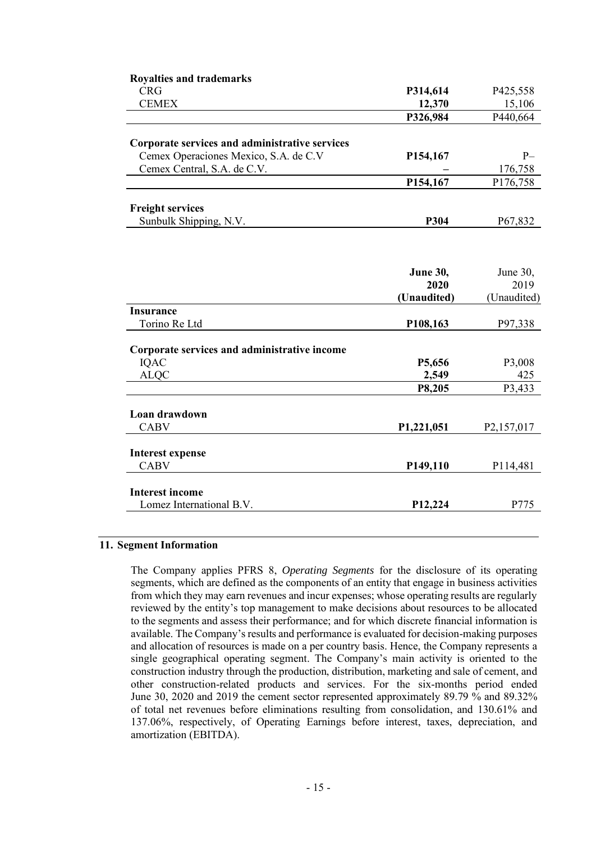| <b>Royalties and trademarks</b>                |                                      |                           |
|------------------------------------------------|--------------------------------------|---------------------------|
| <b>CRG</b>                                     | P314,614                             | P425,558                  |
| <b>CEMEX</b>                                   | 12,370                               | 15,106                    |
|                                                | P326,984                             | P440,664                  |
|                                                |                                      |                           |
| Corporate services and administrative services |                                      |                           |
| Cemex Operaciones Mexico, S.A. de C.V          | P154,167                             | $P-$                      |
| Cemex Central, S.A. de C.V.                    |                                      | 176,758                   |
|                                                | P154,167                             | P176,758                  |
| <b>Freight services</b>                        |                                      |                           |
| Sunbulk Shipping, N.V.                         | P304                                 | P67,832                   |
|                                                |                                      |                           |
|                                                | <b>June 30,</b>                      | June 30,                  |
|                                                | 2020                                 | 2019                      |
|                                                | (Unaudited)                          | (Unaudited)               |
| <b>Insurance</b>                               |                                      |                           |
| Torino Re Ltd                                  | P108,163                             | P97,338                   |
| Corporate services and administrative income   |                                      |                           |
| <b>IQAC</b>                                    | P5,656                               | P3,008                    |
| <b>ALQC</b>                                    | 2,549                                | 425                       |
|                                                | P8,205                               | P3,433                    |
|                                                |                                      |                           |
| Loan drawdown                                  |                                      |                           |
| <b>CABV</b>                                    | P <sub>1</sub> ,22 <sub>1</sub> ,051 | P <sub>2</sub> , 157, 017 |
|                                                |                                      |                           |
| <b>Interest expense</b><br><b>CABV</b>         |                                      |                           |
|                                                | P <sub>149</sub> ,110                | P114,481                  |
| <b>Interest income</b>                         |                                      |                           |
| Lomez International B.V.                       | P12,224                              | P775                      |
|                                                |                                      |                           |

# **11. Segment Information**

The Company applies PFRS 8, *Operating Segments* for the disclosure of its operating segments, which are defined as the components of an entity that engage in business activities from which they may earn revenues and incur expenses; whose operating results are regularly reviewed by the entity's top management to make decisions about resources to be allocated to the segments and assess their performance; and for which discrete financial information is available. The Company's results and performance is evaluated for decision-making purposes and allocation of resources is made on a per country basis. Hence, the Company represents a single geographical operating segment. The Company's main activity is oriented to the construction industry through the production, distribution, marketing and sale of cement, and other construction-related products and services. For the six-months period ended June 30, 2020 and 2019 the cement sector represented approximately 89.79 % and 89.32% of total net revenues before eliminations resulting from consolidation, and 130.61% and 137.06%, respectively, of Operating Earnings before interest, taxes, depreciation, and amortization (EBITDA).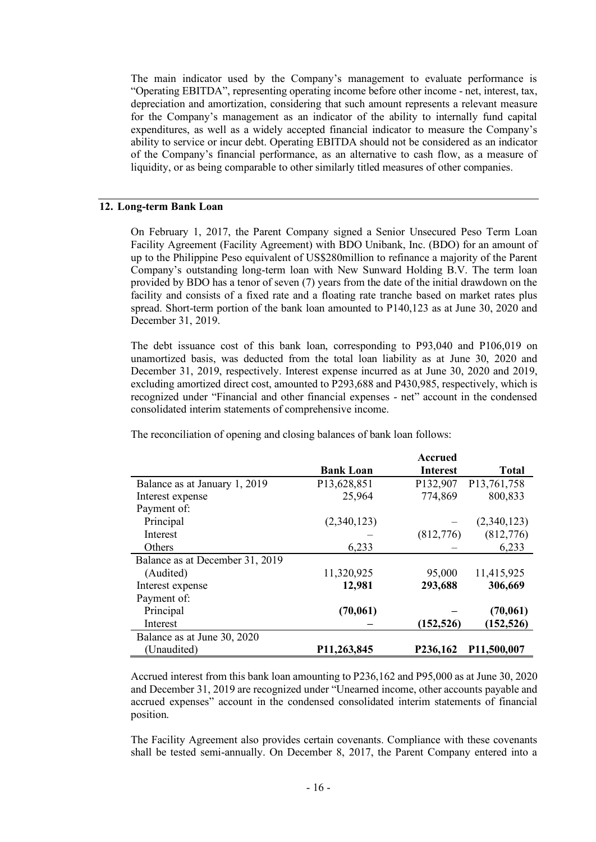The main indicator used by the Company's management to evaluate performance is "Operating EBITDA", representing operating income before other income - net, interest, tax, depreciation and amortization, considering that such amount represents a relevant measure for the Company's management as an indicator of the ability to internally fund capital expenditures, as well as a widely accepted financial indicator to measure the Company's ability to service or incur debt. Operating EBITDA should not be considered as an indicator of the Company's financial performance, as an alternative to cash flow, as a measure of liquidity, or as being comparable to other similarly titled measures of other companies.

### **12. Long-term Bank Loan**

On February 1, 2017, the Parent Company signed a Senior Unsecured Peso Term Loan Facility Agreement (Facility Agreement) with BDO Unibank, Inc. (BDO) for an amount of up to the Philippine Peso equivalent of US\$280million to refinance a majority of the Parent Company's outstanding long-term loan with New Sunward Holding B.V. The term loan provided by BDO has a tenor of seven (7) years from the date of the initial drawdown on the facility and consists of a fixed rate and a floating rate tranche based on market rates plus spread. Short-term portion of the bank loan amounted to P140,123 as at June 30, 2020 and December 31, 2019.

The debt issuance cost of this bank loan, corresponding to P93,040 and P106,019 on unamortized basis, was deducted from the total loan liability as at June 30, 2020 and December 31, 2019, respectively. Interest expense incurred as at June 30, 2020 and 2019, excluding amortized direct cost, amounted to P293,688 and P430,985, respectively, which is recognized under "Financial and other financial expenses - net" account in the condensed consolidated interim statements of comprehensive income.

|                                 |                  | Accrued         |              |
|---------------------------------|------------------|-----------------|--------------|
|                                 | <b>Bank Loan</b> | <b>Interest</b> | <b>Total</b> |
| Balance as at January 1, 2019   | P13,628,851      | P132,907        | P13,761,758  |
| Interest expense                | 25,964           | 774,869         | 800,833      |
| Payment of:                     |                  |                 |              |
| Principal                       | (2,340,123)      |                 | (2,340,123)  |
| Interest                        |                  | (812,776)       | (812,776)    |
| Others                          | 6,233            |                 | 6,233        |
| Balance as at December 31, 2019 |                  |                 |              |
| (Audited)                       | 11,320,925       | 95,000          | 11,415,925   |
| Interest expense                | 12,981           | 293,688         | 306,669      |
| Payment of:                     |                  |                 |              |
| Principal                       | (70, 061)        |                 | (70,061)     |
| Interest                        |                  | (152, 526)      | (152, 526)   |
| Balance as at June 30, 2020     |                  |                 |              |
| (Unaudited)                     | P11,263,845      | P236,162        | P11,500,007  |

The reconciliation of opening and closing balances of bank loan follows:

Accrued interest from this bank loan amounting to P236,162 and P95,000 as at June 30, 2020 and December 31, 2019 are recognized under "Unearned income, other accounts payable and accrued expenses" account in the condensed consolidated interim statements of financial position.

The Facility Agreement also provides certain covenants. Compliance with these covenants shall be tested semi-annually. On December 8, 2017, the Parent Company entered into a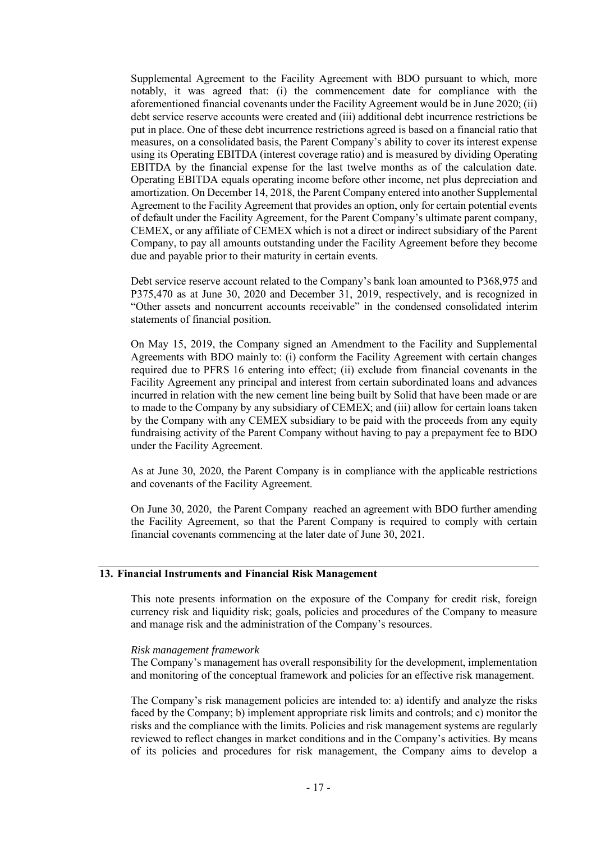Supplemental Agreement to the Facility Agreement with BDO pursuant to which, more notably, it was agreed that: (i) the commencement date for compliance with the aforementioned financial covenants under the Facility Agreement would be in June 2020; (ii) debt service reserve accounts were created and (iii) additional debt incurrence restrictions be put in place. One of these debt incurrence restrictions agreed is based on a financial ratio that measures, on a consolidated basis, the Parent Company's ability to cover its interest expense using its Operating EBITDA (interest coverage ratio) and is measured by dividing Operating EBITDA by the financial expense for the last twelve months as of the calculation date. Operating EBITDA equals operating income before other income, net plus depreciation and amortization. On December 14, 2018, the Parent Company entered into another Supplemental Agreement to the Facility Agreement that provides an option, only for certain potential events of default under the Facility Agreement, for the Parent Company's ultimate parent company, CEMEX, or any affiliate of CEMEX which is not a direct or indirect subsidiary of the Parent Company, to pay all amounts outstanding under the Facility Agreement before they become due and payable prior to their maturity in certain events.

Debt service reserve account related to the Company's bank loan amounted to P368,975 and P375,470 as at June 30, 2020 and December 31, 2019, respectively, and is recognized in "Other assets and noncurrent accounts receivable" in the condensed consolidated interim statements of financial position.

On May 15, 2019, the Company signed an Amendment to the Facility and Supplemental Agreements with BDO mainly to: (i) conform the Facility Agreement with certain changes required due to PFRS 16 entering into effect; (ii) exclude from financial covenants in the Facility Agreement any principal and interest from certain subordinated loans and advances incurred in relation with the new cement line being built by Solid that have been made or are to made to the Company by any subsidiary of CEMEX; and (iii) allow for certain loans taken by the Company with any CEMEX subsidiary to be paid with the proceeds from any equity fundraising activity of the Parent Company without having to pay a prepayment fee to BDO under the Facility Agreement.

As at June 30, 2020, the Parent Company is in compliance with the applicable restrictions and covenants of the Facility Agreement.

On June 30, 2020, the Parent Company reached an agreement with BDO further amending the Facility Agreement, so that the Parent Company is required to comply with certain financial covenants commencing at the later date of June 30, 2021.

# **13. Financial Instruments and Financial Risk Management**

This note presents information on the exposure of the Company for credit risk, foreign currency risk and liquidity risk; goals, policies and procedures of the Company to measure and manage risk and the administration of the Company's resources.

## *Risk management framework*

The Company's management has overall responsibility for the development, implementation and monitoring of the conceptual framework and policies for an effective risk management.

The Company's risk management policies are intended to: a) identify and analyze the risks faced by the Company; b) implement appropriate risk limits and controls; and c) monitor the risks and the compliance with the limits. Policies and risk management systems are regularly reviewed to reflect changes in market conditions and in the Company's activities. By means of its policies and procedures for risk management, the Company aims to develop a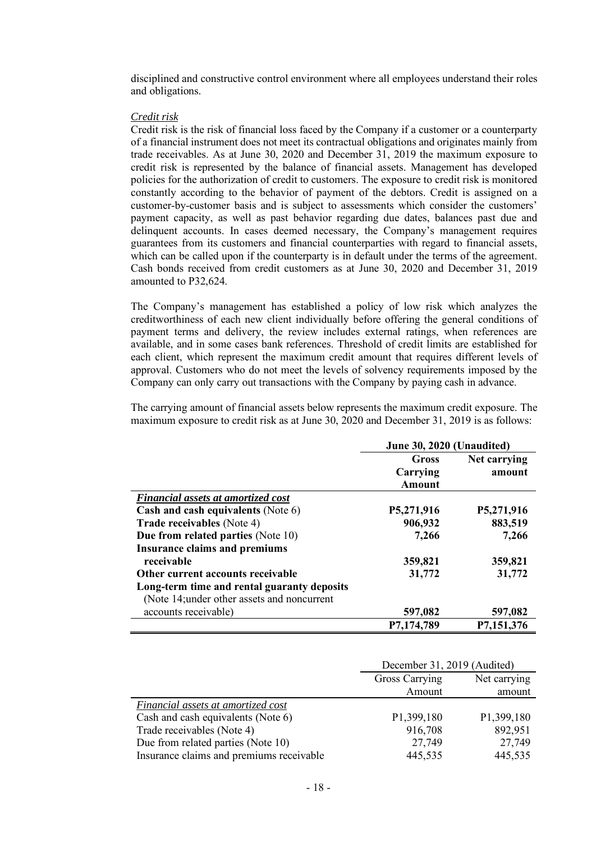disciplined and constructive control environment where all employees understand their roles and obligations.

### *Credit risk*

Credit risk is the risk of financial loss faced by the Company if a customer or a counterparty of a financial instrument does not meet its contractual obligations and originates mainly from trade receivables. As at June 30, 2020 and December 31, 2019 the maximum exposure to credit risk is represented by the balance of financial assets. Management has developed policies for the authorization of credit to customers. The exposure to credit risk is monitored constantly according to the behavior of payment of the debtors. Credit is assigned on a customer-by-customer basis and is subject to assessments which consider the customers' payment capacity, as well as past behavior regarding due dates, balances past due and delinquent accounts. In cases deemed necessary, the Company's management requires guarantees from its customers and financial counterparties with regard to financial assets, which can be called upon if the counterparty is in default under the terms of the agreement. Cash bonds received from credit customers as at June 30, 2020 and December 31, 2019 amounted to P32,624.

The Company's management has established a policy of low risk which analyzes the creditworthiness of each new client individually before offering the general conditions of payment terms and delivery, the review includes external ratings, when references are available, and in some cases bank references. Threshold of credit limits are established for each client, which represent the maximum credit amount that requires different levels of approval. Customers who do not meet the levels of solvency requirements imposed by the Company can only carry out transactions with the Company by paying cash in advance.

The carrying amount of financial assets below represents the maximum credit exposure. The maximum exposure to credit risk as at June 30, 2020 and December 31, 2019 is as follows:

|                                             | June 30, 2020 (Unaudited) |              |
|---------------------------------------------|---------------------------|--------------|
|                                             | Gross                     | Net carrying |
|                                             | Carrying                  | amount       |
|                                             | <b>Amount</b>             |              |
| <b>Financial assets at amortized cost</b>   |                           |              |
| Cash and cash equivalents (Note 6)          | P5,271,916                | P5,271,916   |
| <b>Trade receivables</b> (Note 4)           | 906,932                   | 883,519      |
| Due from related parties (Note 10)          | 7,266                     | 7,266        |
| <b>Insurance claims and premiums</b>        |                           |              |
| receivable                                  | 359,821                   | 359,821      |
| Other current accounts receivable           | 31,772                    | 31,772       |
| Long-term time and rental guaranty deposits |                           |              |
| (Note 14; under other assets and noncurrent |                           |              |
| accounts receivable)                        | 597,082                   | 597,082      |
|                                             | P7,174,789                | P7,151,376   |

|                                           | December 31, 2019 (Audited)    |            |
|-------------------------------------------|--------------------------------|------------|
|                                           | Gross Carrying<br>Net carrying |            |
|                                           | Amount                         | amount     |
| <i>Financial assets at amortized cost</i> |                                |            |
| Cash and cash equivalents (Note 6)        | P <sub>1</sub> ,399,180        | P1,399,180 |
| Trade receivables (Note 4)                | 916,708                        | 892,951    |
| Due from related parties (Note 10)        | 27,749                         | 27,749     |
| Insurance claims and premiums receivable  | 445,535                        | 445,535    |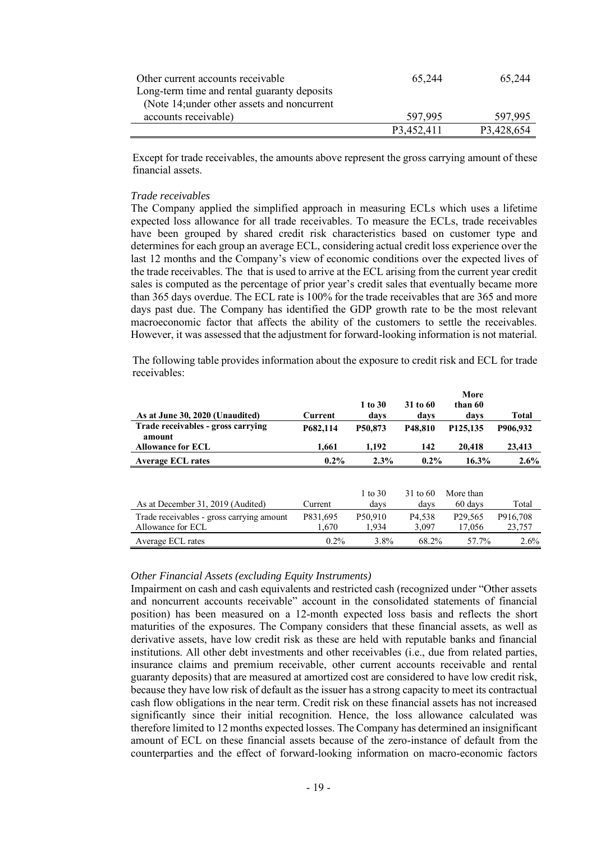| Other current accounts receivable           | 65.244     | 65,244     |
|---------------------------------------------|------------|------------|
| Long-term time and rental guaranty deposits |            |            |
| (Note 14; under other assets and noncurrent |            |            |
| accounts receivable)                        | 597.995    | 597.995    |
|                                             | P3.452.411 | P3,428,654 |

Except for trade receivables, the amounts above represent the gross carrying amount of these financial assets.

# *Trade receivables*

The Company applied the simplified approach in measuring ECLs which uses a lifetime expected loss allowance for all trade receivables. To measure the ECLs, trade receivables have been grouped by shared credit risk characteristics based on customer type and determines for each group an average ECL, considering actual credit loss experience over the last 12 months and the Company's view of economic conditions over the expected lives of the trade receivables. The that is used to arrive at the ECL arising from the current year credit sales is computed as the percentage of prior year's credit sales that eventually became more than 365 days overdue. The ECL rate is 100% for the trade receivables that are 365 and more days past due. The Company has identified the GDP growth rate to be the most relevant macroeconomic factor that affects the ability of the customers to settle the receivables. However, it was assessed that the adjustment for forward-looking information is not material.

The following table provides information about the exposure to credit risk and ECL for trade receivables:

| As at June 30, 2020 (Unaudited)              | Current  | $1$ to $30$<br>davs | 31 to 60<br>davs     | More<br>than 60<br>davs | <b>Total</b> |
|----------------------------------------------|----------|---------------------|----------------------|-------------------------|--------------|
| Trade receivables - gross carrying<br>amount | P682.114 | P50.873             | P <sub>48</sub> .810 | P125.135                | P906,932     |
| <b>Allowance for ECL</b>                     | 1,661    | 1,192               | 142                  | 20,418                  | 23,413       |
| <b>Average ECL rates</b>                     | $0.2\%$  | 2.3%                | $0.2\%$              | 16.3%                   | $2.6\%$      |
|                                              |          |                     |                      |                         |              |
|                                              |          | 1 to $30$           | $31 \text{ to } 60$  | More than               |              |
| As at December 31, 2019 (Audited)            | Current  | days                | days                 | 60 days                 | Total        |
| Trade receivables - gross carrying amount    | P831,695 | P50.910             | P <sub>4.538</sub>   | P <sub>29</sub> ,565    | P916.708     |
| Allowance for ECL                            | 1.670    | 1.934               | 3,097                | 17.056                  | 23,757       |
| Average ECL rates                            | $0.2\%$  | $3.8\%$             | 68.2%                | 57.7%                   | $2.6\%$      |

### *Other Financial Assets (excluding Equity Instruments)*

Impairment on cash and cash equivalents and restricted cash (recognized under "Other assets and noncurrent accounts receivable" account in the consolidated statements of financial position) has been measured on a 12-month expected loss basis and reflects the short maturities of the exposures. The Company considers that these financial assets, as well as derivative assets, have low credit risk as these are held with reputable banks and financial institutions. All other debt investments and other receivables (i.e., due from related parties, insurance claims and premium receivable, other current accounts receivable and rental guaranty deposits) that are measured at amortized cost are considered to have low credit risk, because they have low risk of default as the issuer has a strong capacity to meet its contractual cash flow obligations in the near term. Credit risk on these financial assets has not increased significantly since their initial recognition. Hence, the loss allowance calculated was therefore limited to 12 months expected losses. The Company has determined an insignificant amount of ECL on these financial assets because of the zero-instance of default from the counterparties and the effect of forward-looking information on macro-economic factors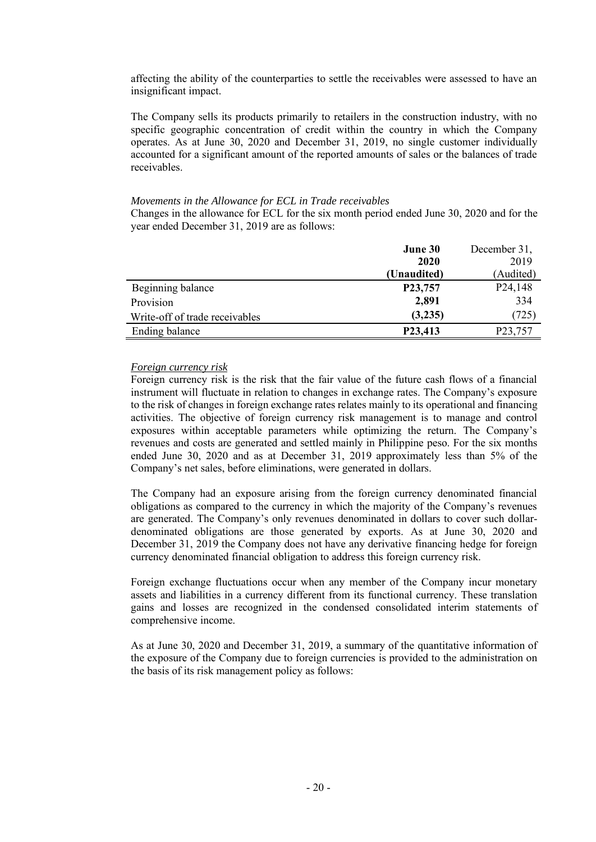affecting the ability of the counterparties to settle the receivables were assessed to have an insignificant impact.

The Company sells its products primarily to retailers in the construction industry, with no specific geographic concentration of credit within the country in which the Company operates. As at June 30, 2020 and December 31, 2019, no single customer individually accounted for a significant amount of the reported amounts of sales or the balances of trade receivables.

### *Movements in the Allowance for ECL in Trade receivables*

Changes in the allowance for ECL for the six month period ended June 30, 2020 and for the year ended December 31, 2019 are as follows:

|                                | June 30              | December 31,         |
|--------------------------------|----------------------|----------------------|
|                                | 2020                 | 2019                 |
|                                | (Unaudited)          | (Audited)            |
| Beginning balance              | P23,757              | P <sub>24</sub> ,148 |
| Provision                      | 2,891                | 334                  |
| Write-off of trade receivables | (3,235)              | (725)                |
| Ending balance                 | P <sub>23</sub> ,413 | P23,757              |

### *Foreign currency risk*

Foreign currency risk is the risk that the fair value of the future cash flows of a financial instrument will fluctuate in relation to changes in exchange rates. The Company's exposure to the risk of changes in foreign exchange rates relates mainly to its operational and financing activities. The objective of foreign currency risk management is to manage and control exposures within acceptable parameters while optimizing the return. The Company's revenues and costs are generated and settled mainly in Philippine peso. For the six months ended June 30, 2020 and as at December 31, 2019 approximately less than 5% of the Company's net sales, before eliminations, were generated in dollars.

The Company had an exposure arising from the foreign currency denominated financial obligations as compared to the currency in which the majority of the Company's revenues are generated. The Company's only revenues denominated in dollars to cover such dollardenominated obligations are those generated by exports. As at June 30, 2020 and December 31, 2019 the Company does not have any derivative financing hedge for foreign currency denominated financial obligation to address this foreign currency risk.

Foreign exchange fluctuations occur when any member of the Company incur monetary assets and liabilities in a currency different from its functional currency. These translation gains and losses are recognized in the condensed consolidated interim statements of comprehensive income.

As at June 30, 2020 and December 31, 2019, a summary of the quantitative information of the exposure of the Company due to foreign currencies is provided to the administration on the basis of its risk management policy as follows: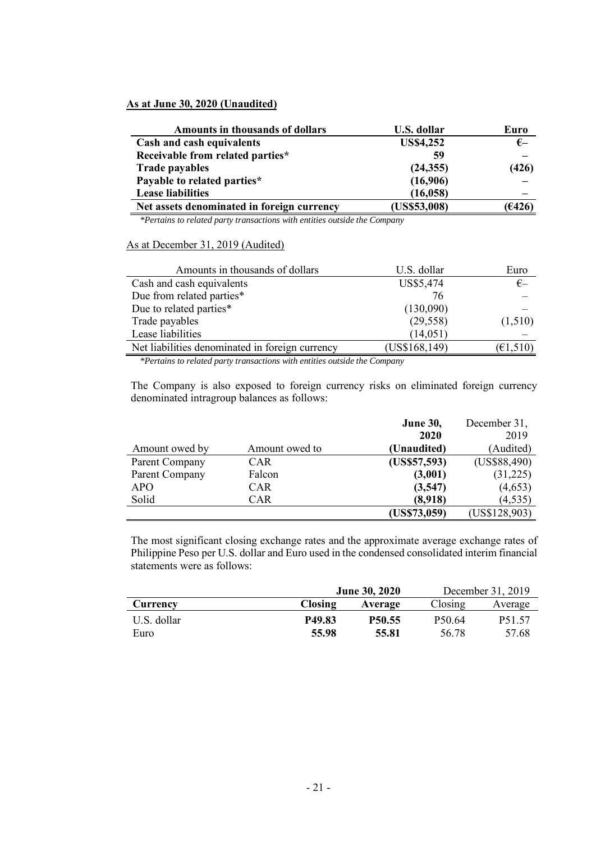## **As at June 30, 2020 (Unaudited)**

| <b>Amounts in thousands of dollars</b>     | U.S. dollar      | Euro       |
|--------------------------------------------|------------------|------------|
| Cash and cash equivalents                  | <b>US\$4,252</b> | $\epsilon$ |
| Receivable from related parties*           | 59               |            |
| <b>Trade payables</b>                      | (24, 355)        | (426)      |
| Payable to related parties*                | (16,906)         |            |
| <b>Lease liabilities</b>                   | (16, 058)        |            |
| Net assets denominated in foreign currency | (US\$53,008)     | (€426)     |

*\*Pertains to related party transactions with entities outside the Company*

### As at December 31, 2019 (Audited)

| Amounts in thousands of dollars                 | U.S. dollar   | Euro                             |
|-------------------------------------------------|---------------|----------------------------------|
| Cash and cash equivalents                       | US\$5,474     | $\epsilon$                       |
| Due from related parties*                       | 76            |                                  |
| Due to related parties*                         | (130,090)     |                                  |
| Trade payables                                  | (29, 558)     | (1,510)                          |
| Lease liabilities                               | (14, 051)     |                                  |
| Net liabilities denominated in foreign currency | (US\$168,149) | $(\text{\small{\'et}}\,1,\!510)$ |

*\*Pertains to related party transactions with entities outside the Company*

The Company is also exposed to foreign currency risks on eliminated foreign currency denominated intragroup balances as follows:

|                |                | December 31,<br><b>June 30,</b> |               |
|----------------|----------------|---------------------------------|---------------|
|                |                | <b>2020</b>                     | 2019          |
| Amount owed by | Amount owed to | (Unaudited)                     | (Audited)     |
| Parent Company | <b>CAR</b>     | (US\$57,593)                    | (US\$88,490)  |
| Parent Company | Falcon         | (3,001)                         | (31,225)      |
| APO.           | <b>CAR</b>     | (3,547)                         | (4,653)       |
| Solid          | <b>CAR</b>     | (8,918)                         | (4, 535)      |
|                |                | (US\$73,059)                    | (US\$128,903) |

The most significant closing exchange rates and the approximate average exchange rates of Philippine Peso per U.S. dollar and Euro used in the condensed consolidated interim financial statements were as follows:

|             | <b>June 30, 2020</b> |                    |                    | December 31, 2019   |  |
|-------------|----------------------|--------------------|--------------------|---------------------|--|
| Currency    | <b>Closing</b>       | Closing<br>Average |                    |                     |  |
| U.S. dollar | P49.83               | P <sub>50.55</sub> | P <sub>50.64</sub> | P <sub>5</sub> 1.57 |  |
| Euro        | 55.98                | 55.81              | 56.78              | 57.68               |  |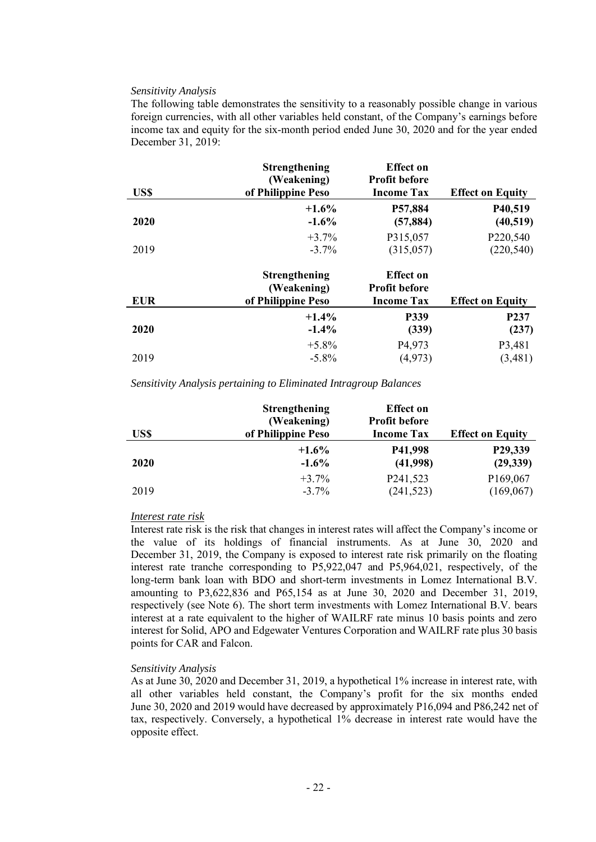### *Sensitivity Analysis*

The following table demonstrates the sensitivity to a reasonably possible change in various foreign currencies, with all other variables held constant, of the Company's earnings before income tax and equity for the six-month period ended June 30, 2020 and for the year ended December 31, 2019:

| US\$        | <b>Strengthening</b><br>(Weakening)<br>of Philippine Peso | <b>Effect</b> on<br><b>Profit before</b><br><b>Income Tax</b> | <b>Effect on Equity</b> |
|-------------|-----------------------------------------------------------|---------------------------------------------------------------|-------------------------|
| <b>2020</b> | $+1.6\%$<br>$-1.6\%$                                      | P57,884<br>(57, 884)                                          | P40,519<br>(40, 519)    |
|             | $+3.7\%$                                                  | P315,057                                                      | P220,540                |
| 2019        | $-3.7\%$                                                  | (315,057)                                                     | (220, 540)              |
|             | <b>Strengthening</b>                                      | <b>Effect</b> on                                              |                         |

| <b>EUR</b>  | (Weakening)<br>of Philippine Peso | <b>Profit before</b><br><b>Income Tax</b> | <b>Effect on Equity</b> |
|-------------|-----------------------------------|-------------------------------------------|-------------------------|
| <b>2020</b> | $+1.4\%$                          | <b>P339</b>                               | P <sub>237</sub>        |
|             | $-1.4\%$                          | (339)                                     | (237)                   |
| 2019        | $+5.8\%$                          | P <sub>4</sub> ,973                       | P3,481                  |
|             | $-5.8\%$                          | (4,973)                                   | (3,481)                 |

*Sensitivity Analysis pertaining to Eliminated Intragroup Balances*

| US\$        | <b>Strengthening</b><br>(Weakening)<br>of Philippine Peso | <b>Effect</b> on<br><b>Profit before</b><br><b>Income Tax</b> | <b>Effect on Equity</b> |
|-------------|-----------------------------------------------------------|---------------------------------------------------------------|-------------------------|
| <b>2020</b> | $+1.6\%$                                                  | P41,998                                                       | P29,339                 |
|             | $-1.6\%$                                                  | (41,998)                                                      | (29, 339)               |
| 2019        | $+3.7%$                                                   | P241,523                                                      | P169,067                |
|             | $-3.7\%$                                                  | (241, 523)                                                    | (169,067)               |

### *Interest rate risk*

Interest rate risk is the risk that changes in interest rates will affect the Company's income or the value of its holdings of financial instruments. As at June 30, 2020 and December 31, 2019, the Company is exposed to interest rate risk primarily on the floating interest rate tranche corresponding to P5,922,047 and P5,964,021, respectively, of the long-term bank loan with BDO and short-term investments in Lomez International B.V. amounting to P3,622,836 and P65,154 as at June 30, 2020 and December 31, 2019, respectively (see Note 6). The short term investments with Lomez International B.V. bears interest at a rate equivalent to the higher of WAILRF rate minus 10 basis points and zero interest for Solid, APO and Edgewater Ventures Corporation and WAILRF rate plus 30 basis points for CAR and Falcon.

### *Sensitivity Analysis*

As at June 30, 2020 and December 31, 2019, a hypothetical 1% increase in interest rate, with all other variables held constant, the Company's profit for the six months ended June 30, 2020 and 2019 would have decreased by approximately P16,094 and P86,242 net of tax, respectively. Conversely, a hypothetical 1% decrease in interest rate would have the opposite effect.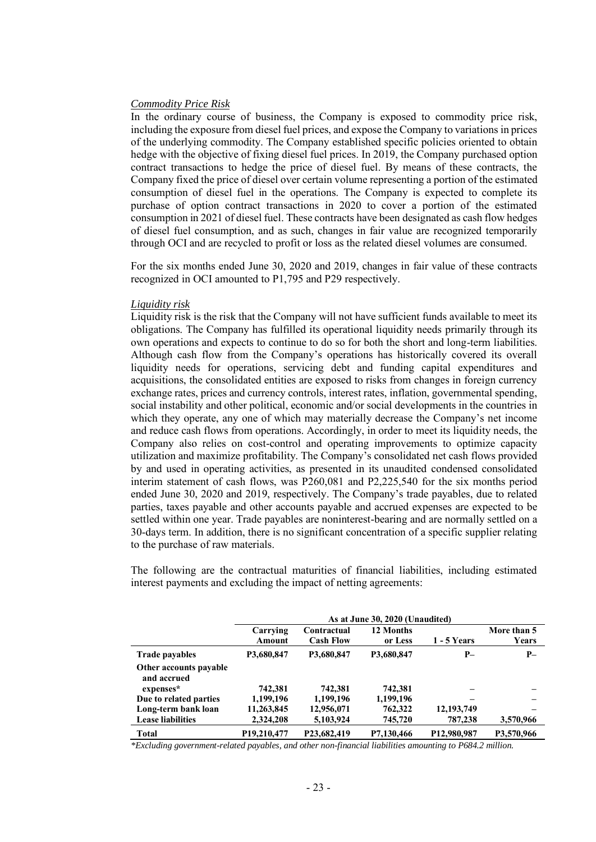### *Commodity Price Risk*

In the ordinary course of business, the Company is exposed to commodity price risk, including the exposure from diesel fuel prices, and expose the Company to variations in prices of the underlying commodity. The Company established specific policies oriented to obtain hedge with the objective of fixing diesel fuel prices. In 2019, the Company purchased option contract transactions to hedge the price of diesel fuel. By means of these contracts, the Company fixed the price of diesel over certain volume representing a portion of the estimated consumption of diesel fuel in the operations. The Company is expected to complete its purchase of option contract transactions in 2020 to cover a portion of the estimated consumption in 2021 of diesel fuel. These contracts have been designated as cash flow hedges of diesel fuel consumption, and as such, changes in fair value are recognized temporarily through OCI and are recycled to profit or loss as the related diesel volumes are consumed.

For the six months ended June 30, 2020 and 2019, changes in fair value of these contracts recognized in OCI amounted to P1,795 and P29 respectively.

### *Liquidity risk*

Liquidity risk is the risk that the Company will not have sufficient funds available to meet its obligations. The Company has fulfilled its operational liquidity needs primarily through its own operations and expects to continue to do so for both the short and long-term liabilities. Although cash flow from the Company's operations has historically covered its overall liquidity needs for operations, servicing debt and funding capital expenditures and acquisitions, the consolidated entities are exposed to risks from changes in foreign currency exchange rates, prices and currency controls, interest rates, inflation, governmental spending, social instability and other political, economic and/or social developments in the countries in which they operate, any one of which may materially decrease the Company's net income and reduce cash flows from operations. Accordingly, in order to meet its liquidity needs, the Company also relies on cost-control and operating improvements to optimize capacity utilization and maximize profitability. The Company's consolidated net cash flows provided by and used in operating activities, as presented in its unaudited condensed consolidated interim statement of cash flows, was P260,081 and P2,225,540 for the six months period ended June 30, 2020 and 2019, respectively. The Company's trade payables, due to related parties, taxes payable and other accounts payable and accrued expenses are expected to be settled within one year. Trade payables are noninterest-bearing and are normally settled on a 30-days term. In addition, there is no significant concentration of a specific supplier relating to the purchase of raw materials.

The following are the contractual maturities of financial liabilities, including estimated interest payments and excluding the impact of netting agreements:

|                                       | As at June 30, 2020 (Unaudited)       |                                 |                      |                    |                             |
|---------------------------------------|---------------------------------------|---------------------------------|----------------------|--------------------|-----------------------------|
|                                       | Carrying<br>Amount                    | Contractual<br><b>Cash Flow</b> | 12 Months<br>or Less | <b>1 - 5 Years</b> | More than 5<br><b>Years</b> |
| <b>Trade payables</b>                 | P3,680,847                            | P3,680,847                      | P3,680,847           | $P-$               | $P-$                        |
| Other accounts payable<br>and accrued |                                       |                                 |                      |                    |                             |
| expenses*                             | 742,381                               | 742.381                         | 742,381              |                    |                             |
| Due to related parties                | 1,199,196                             | 1,199,196                       | 1,199,196            |                    |                             |
| Long-term bank loan                   | 11,263,845                            | 12,956,071                      | 762,322              | 12, 193, 749       |                             |
| <b>Lease liabilities</b>              | 2,324,208                             | 5,103,924                       | 745,720              | 787,238            | 3,570,966                   |
| <b>Total</b>                          | P <sub>19</sub> ,2 <sub>10</sub> ,477 | P23,682,419                     | P7.130.466           | P12,980,987        | P3.570.966                  |

*\*Excluding government-related payables, and other non-financial liabilities amounting to P684.2 million.*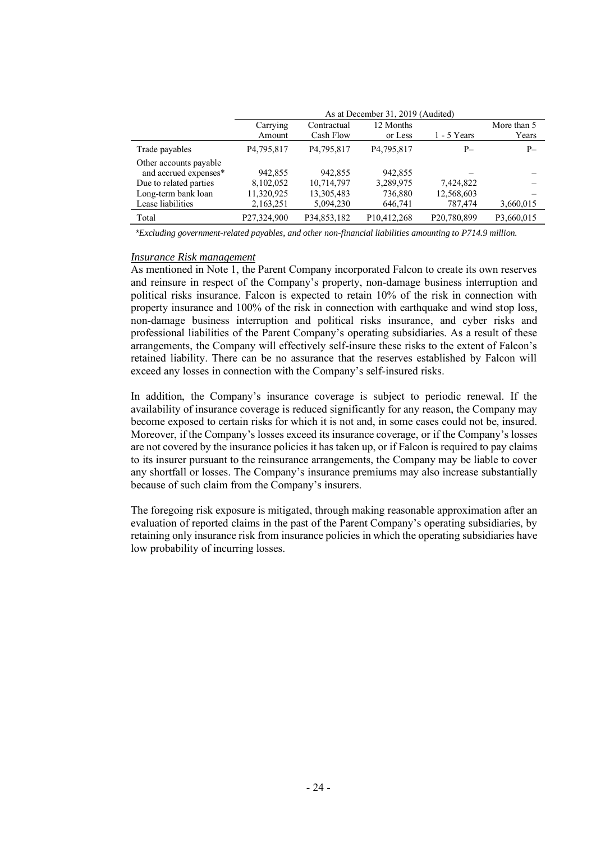|                                                 | As at December 31, 2019 (Audited) |                           |                          |               |                      |
|-------------------------------------------------|-----------------------------------|---------------------------|--------------------------|---------------|----------------------|
|                                                 | Carrying<br>Amount                | Contractual<br>Cash Flow  | 12 Months<br>or Less     | $1 - 5$ Years | More than 5<br>Years |
| Trade payables                                  | P4,795,817                        | P <sub>4</sub> , 795, 817 | P4,795,817               | $P-$          | $P-$                 |
| Other accounts payable<br>and accrued expenses* | 942,855                           | 942,855                   | 942,855                  |               |                      |
| Due to related parties                          | 8,102,052                         | 10,714,797                | 3,289,975                | 7,424,822     |                      |
| Long-term bank loan                             | 11,320,925                        | 13,305,483                | 736,880                  | 12,568,603    |                      |
| Lease liabilities                               | 2,163,251                         | 5,094,230                 | 646,741                  | 787,474       | 3,660,015            |
| Total                                           | P27,324,900                       | P34,853,182               | P <sub>10</sub> ,412,268 | P20,780,899   | P3,660,015           |

*\*Excluding government-related payables, and other non-financial liabilities amounting to P714.9 million.*

### *Insurance Risk management*

As mentioned in Note 1, the Parent Company incorporated Falcon to create its own reserves and reinsure in respect of the Company's property, non-damage business interruption and political risks insurance. Falcon is expected to retain 10% of the risk in connection with property insurance and 100% of the risk in connection with earthquake and wind stop loss, non-damage business interruption and political risks insurance, and cyber risks and professional liabilities of the Parent Company's operating subsidiaries. As a result of these arrangements, the Company will effectively self-insure these risks to the extent of Falcon's retained liability. There can be no assurance that the reserves established by Falcon will exceed any losses in connection with the Company's self-insured risks.

In addition, the Company's insurance coverage is subject to periodic renewal. If the availability of insurance coverage is reduced significantly for any reason, the Company may become exposed to certain risks for which it is not and, in some cases could not be, insured. Moreover, if the Company's losses exceed its insurance coverage, or if the Company's losses are not covered by the insurance policies it has taken up, or if Falcon is required to pay claims to its insurer pursuant to the reinsurance arrangements, the Company may be liable to cover any shortfall or losses. The Company's insurance premiums may also increase substantially because of such claim from the Company's insurers.

The foregoing risk exposure is mitigated, through making reasonable approximation after an evaluation of reported claims in the past of the Parent Company's operating subsidiaries, by retaining only insurance risk from insurance policies in which the operating subsidiaries have low probability of incurring losses.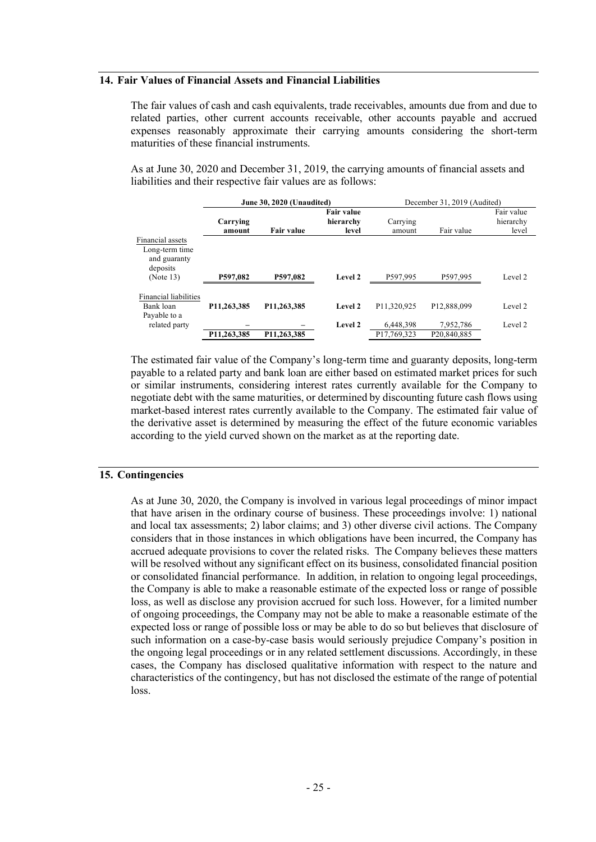# **14. Fair Values of Financial Assets and Financial Liabilities**

The fair values of cash and cash equivalents, trade receivables, amounts due from and due to related parties, other current accounts receivable, other accounts payable and accrued expenses reasonably approximate their carrying amounts considering the short-term maturities of these financial instruments.

As at June 30, 2020 and December 31, 2019, the carrying amounts of financial assets and liabilities and their respective fair values are as follows:

|                       | June 30, 2020 (Unaudited) |                   |                   | December 31, 2019 (Audited) |             |            |
|-----------------------|---------------------------|-------------------|-------------------|-----------------------------|-------------|------------|
|                       |                           |                   | <b>Fair value</b> |                             |             | Fair value |
|                       | Carrying                  |                   | hierarchy         | Carrying                    |             | hierarchy  |
|                       | amount                    | <b>Fair value</b> | level             | amount                      | Fair value  | level      |
| Financial assets      |                           |                   |                   |                             |             |            |
| Long-term time        |                           |                   |                   |                             |             |            |
| and guaranty          |                           |                   |                   |                             |             |            |
| deposits              |                           |                   |                   |                             |             |            |
| (Note 13)             | P597,082                  | P597,082          | Level 2           | P597,995                    | P597,995    | Level 2    |
|                       |                           |                   |                   |                             |             |            |
| Financial liabilities |                           |                   |                   |                             |             |            |
| Bank loan             | P11,263,385               | P11,263,385       | Level 2           | P11.320.925                 | P12.888.099 | Level 2    |
| Payable to a          |                           |                   |                   |                             |             |            |
| related party         |                           |                   | Level 2           | 6,448,398                   | 7,952,786   | Level 2    |
|                       | P11.263.385               | P11,263,385       |                   | P17.769.323                 | P20.840.885 |            |

The estimated fair value of the Company's long-term time and guaranty deposits, long-term payable to a related party and bank loan are either based on estimated market prices for such or similar instruments, considering interest rates currently available for the Company to negotiate debt with the same maturities, or determined by discounting future cash flows using market-based interest rates currently available to the Company. The estimated fair value of the derivative asset is determined by measuring the effect of the future economic variables according to the yield curved shown on the market as at the reporting date.

### **15. Contingencies**

As at June 30, 2020, the Company is involved in various legal proceedings of minor impact that have arisen in the ordinary course of business. These proceedings involve: 1) national and local tax assessments; 2) labor claims; and 3) other diverse civil actions. The Company considers that in those instances in which obligations have been incurred, the Company has accrued adequate provisions to cover the related risks. The Company believes these matters will be resolved without any significant effect on its business, consolidated financial position or consolidated financial performance. In addition, in relation to ongoing legal proceedings, the Company is able to make a reasonable estimate of the expected loss or range of possible loss, as well as disclose any provision accrued for such loss. However, for a limited number of ongoing proceedings, the Company may not be able to make a reasonable estimate of the expected loss or range of possible loss or may be able to do so but believes that disclosure of such information on a case-by-case basis would seriously prejudice Company's position in the ongoing legal proceedings or in any related settlement discussions. Accordingly, in these cases, the Company has disclosed qualitative information with respect to the nature and characteristics of the contingency, but has not disclosed the estimate of the range of potential loss.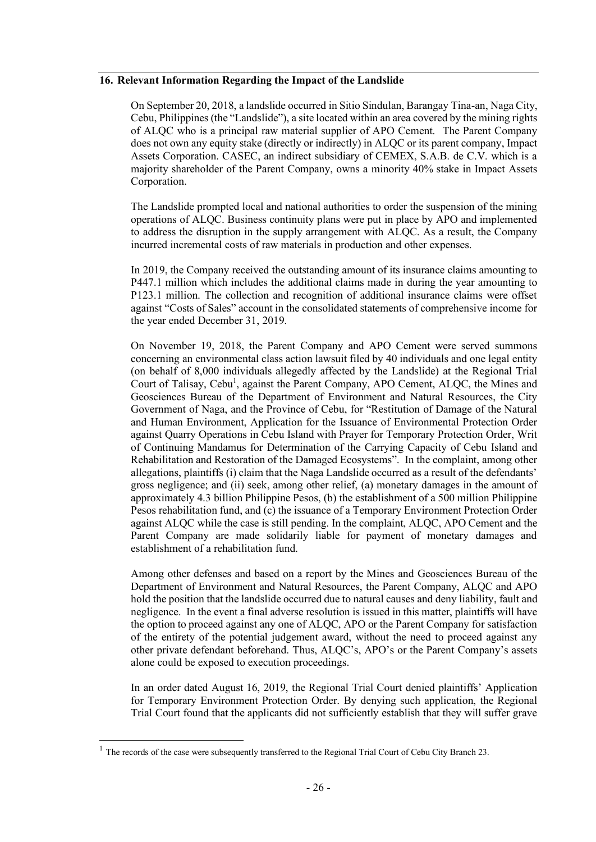# **16. Relevant Information Regarding the Impact of the Landslide**

On September 20, 2018, a landslide occurred in Sitio Sindulan, Barangay Tina-an, Naga City, Cebu, Philippines (the "Landslide"), a site located within an area covered by the mining rights of ALQC who is a principal raw material supplier of APO Cement. The Parent Company does not own any equity stake (directly or indirectly) in ALQC or its parent company, Impact Assets Corporation. CASEC, an indirect subsidiary of CEMEX, S.A.B. de C.V. which is a majority shareholder of the Parent Company, owns a minority 40% stake in Impact Assets Corporation.

The Landslide prompted local and national authorities to order the suspension of the mining operations of ALQC. Business continuity plans were put in place by APO and implemented to address the disruption in the supply arrangement with ALQC. As a result, the Company incurred incremental costs of raw materials in production and other expenses.

In 2019, the Company received the outstanding amount of its insurance claims amounting to P447.1 million which includes the additional claims made in during the year amounting to P123.1 million. The collection and recognition of additional insurance claims were offset against "Costs of Sales" account in the consolidated statements of comprehensive income for the year ended December 31, 2019.

On November 19, 2018, the Parent Company and APO Cement were served summons concerning an environmental class action lawsuit filed by 40 individuals and one legal entity (on behalf of 8,000 individuals allegedly affected by the Landslide) at the Regional Trial Court of Talisay, Cebu<sup>1</sup>, against the Parent Company, APO Cement, ALQC, the Mines and Geosciences Bureau of the Department of Environment and Natural Resources, the City Government of Naga, and the Province of Cebu, for "Restitution of Damage of the Natural and Human Environment, Application for the Issuance of Environmental Protection Order against Quarry Operations in Cebu Island with Prayer for Temporary Protection Order, Writ of Continuing Mandamus for Determination of the Carrying Capacity of Cebu Island and Rehabilitation and Restoration of the Damaged Ecosystems". In the complaint, among other allegations, plaintiffs (i) claim that the Naga Landslide occurred as a result of the defendants' gross negligence; and (ii) seek, among other relief, (a) monetary damages in the amount of approximately 4.3 billion Philippine Pesos, (b) the establishment of a 500 million Philippine Pesos rehabilitation fund, and (c) the issuance of a Temporary Environment Protection Order against ALQC while the case is still pending. In the complaint, ALQC, APO Cement and the Parent Company are made solidarily liable for payment of monetary damages and establishment of a rehabilitation fund.

Among other defenses and based on a report by the Mines and Geosciences Bureau of the Department of Environment and Natural Resources, the Parent Company, ALQC and APO hold the position that the landslide occurred due to natural causes and deny liability, fault and negligence. In the event a final adverse resolution is issued in this matter, plaintiffs will have the option to proceed against any one of ALQC, APO or the Parent Company for satisfaction of the entirety of the potential judgement award, without the need to proceed against any other private defendant beforehand. Thus, ALQC's, APO's or the Parent Company's assets alone could be exposed to execution proceedings.

In an order dated August 16, 2019, the Regional Trial Court denied plaintiffs' Application for Temporary Environment Protection Order. By denying such application, the Regional Trial Court found that the applicants did not sufficiently establish that they will suffer grave

 $1$  The records of the case were subsequently transferred to the Regional Trial Court of Cebu City Branch 23.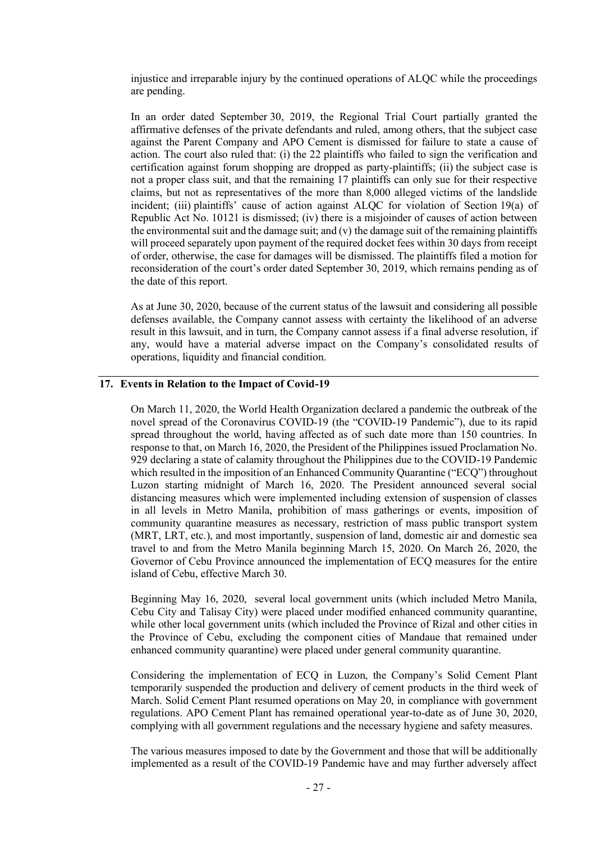injustice and irreparable injury by the continued operations of ALQC while the proceedings are pending.

In an order dated September 30, 2019, the Regional Trial Court partially granted the affirmative defenses of the private defendants and ruled, among others, that the subject case against the Parent Company and APO Cement is dismissed for failure to state a cause of action. The court also ruled that: (i) the 22 plaintiffs who failed to sign the verification and certification against forum shopping are dropped as party-plaintiffs; (ii) the subject case is not a proper class suit, and that the remaining 17 plaintiffs can only sue for their respective claims, but not as representatives of the more than 8,000 alleged victims of the landslide incident; (iii) plaintiffs' cause of action against ALQC for violation of Section 19(a) of Republic Act No. 10121 is dismissed; (iv) there is a misjoinder of causes of action between the environmental suit and the damage suit; and  $(v)$  the damage suit of the remaining plaintiffs will proceed separately upon payment of the required docket fees within 30 days from receipt of order, otherwise, the case for damages will be dismissed. The plaintiffs filed a motion for reconsideration of the court's order dated September 30, 2019, which remains pending as of the date of this report.

As at June 30, 2020, because of the current status of the lawsuit and considering all possible defenses available, the Company cannot assess with certainty the likelihood of an adverse result in this lawsuit, and in turn, the Company cannot assess if a final adverse resolution, if any, would have a material adverse impact on the Company's consolidated results of operations, liquidity and financial condition.

### **17. Events in Relation to the Impact of Covid-19**

On March 11, 2020, the World Health Organization declared a pandemic the outbreak of the novel spread of the Coronavirus COVID-19 (the "COVID-19 Pandemic"), due to its rapid spread throughout the world, having affected as of such date more than 150 countries. In response to that, on March 16, 2020, the President of the Philippines issued Proclamation No. 929 declaring a state of calamity throughout the Philippines due to the COVID-19 Pandemic which resulted in the imposition of an Enhanced Community Quarantine ("ECQ") throughout Luzon starting midnight of March 16, 2020. The President announced several social distancing measures which were implemented including extension of suspension of classes in all levels in Metro Manila, prohibition of mass gatherings or events, imposition of community quarantine measures as necessary, restriction of mass public transport system (MRT, LRT, etc.), and most importantly, suspension of land, domestic air and domestic sea travel to and from the Metro Manila beginning March 15, 2020. On March 26, 2020, the Governor of Cebu Province announced the implementation of ECQ measures for the entire island of Cebu, effective March 30.

Beginning May 16, 2020, several local government units (which included Metro Manila, Cebu City and Talisay City) were placed under modified enhanced community quarantine, while other local government units (which included the Province of Rizal and other cities in the Province of Cebu, excluding the component cities of Mandaue that remained under enhanced community quarantine) were placed under general community quarantine.

Considering the implementation of ECQ in Luzon, the Company's Solid Cement Plant temporarily suspended the production and delivery of cement products in the third week of March. Solid Cement Plant resumed operations on May 20, in compliance with government regulations. APO Cement Plant has remained operational year-to-date as of June 30, 2020, complying with all government regulations and the necessary hygiene and safety measures.

The various measures imposed to date by the Government and those that will be additionally implemented as a result of the COVID-19 Pandemic have and may further adversely affect